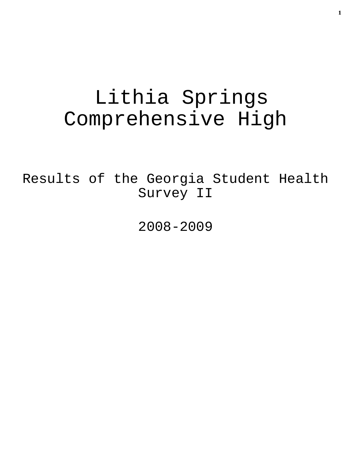# Lithia Springs Comprehensive High

Results of the Georgia Student Health Survey II

2008-2009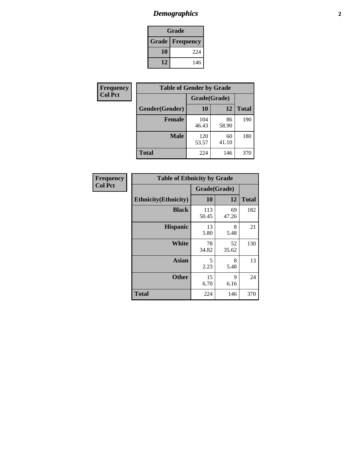# *Demographics* **2**

| Grade                  |     |  |  |  |
|------------------------|-----|--|--|--|
| <b>Grade</b> Frequency |     |  |  |  |
| 10                     | 224 |  |  |  |
| 12                     | 146 |  |  |  |

| Frequency      | <b>Table of Gender by Grade</b> |              |             |              |  |
|----------------|---------------------------------|--------------|-------------|--------------|--|
| <b>Col Pct</b> |                                 | Grade(Grade) |             |              |  |
|                | Gender(Gender)                  | 10           | 12          | <b>Total</b> |  |
|                | <b>Female</b>                   | 104<br>46.43 | 86<br>58.90 | 190          |  |
|                | <b>Male</b>                     | 120<br>53.57 | 60<br>41.10 | 180          |  |
|                | <b>Total</b>                    | 224          | 146         | 370          |  |

| Frequency<br>Col Pct |
|----------------------|

| <b>Table of Ethnicity by Grade</b> |              |              |              |  |  |
|------------------------------------|--------------|--------------|--------------|--|--|
|                                    |              | Grade(Grade) |              |  |  |
| <b>Ethnicity</b> (Ethnicity)       | 10           | 12           | <b>Total</b> |  |  |
| <b>Black</b>                       | 113<br>50.45 | 69<br>47.26  | 182          |  |  |
| <b>Hispanic</b>                    | 13<br>5.80   | 8<br>5.48    | 21           |  |  |
| White                              | 78<br>34.82  | 52<br>35.62  | 130          |  |  |
| <b>Asian</b>                       | 5<br>2.23    | 8<br>5.48    | 13           |  |  |
| <b>Other</b>                       | 15<br>6.70   | 9<br>6.16    | 24           |  |  |
| <b>Total</b>                       | 224          | 146          | 370          |  |  |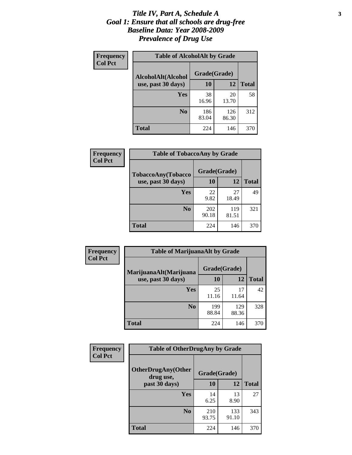#### *Title IV, Part A, Schedule A* **3** *Goal 1: Ensure that all schools are drug-free Baseline Data: Year 2008-2009 Prevalence of Drug Use*

| Frequency<br><b>Col Pct</b> | <b>Table of AlcoholAlt by Grade</b> |              |              |              |  |
|-----------------------------|-------------------------------------|--------------|--------------|--------------|--|
|                             | AlcoholAlt(Alcohol                  | Grade(Grade) |              |              |  |
|                             | use, past 30 days)                  | 10           | 12           | <b>Total</b> |  |
|                             | Yes                                 | 38<br>16.96  | 20<br>13.70  | 58           |  |
|                             | N <sub>0</sub>                      | 186<br>83.04 | 126<br>86.30 | 312          |  |
|                             | <b>Total</b>                        | 224          | 146          | 370          |  |

| Frequency<br><b>Col Pct</b> | <b>Table of TobaccoAny by Grade</b> |              |              |              |  |
|-----------------------------|-------------------------------------|--------------|--------------|--------------|--|
|                             | TobaccoAny(Tobacco                  | Grade(Grade) |              |              |  |
|                             | use, past 30 days)                  | 10           | 12           | <b>Total</b> |  |
|                             | <b>Yes</b>                          | 22<br>9.82   | 27<br>18.49  | 49           |  |
|                             | N <sub>0</sub>                      | 202<br>90.18 | 119<br>81.51 | 321          |  |
|                             | <b>Total</b>                        | 224          | 146          | 370          |  |

| Frequency<br><b>Col Pct</b> | <b>Table of MarijuanaAlt by Grade</b> |              |              |              |  |
|-----------------------------|---------------------------------------|--------------|--------------|--------------|--|
|                             | MarijuanaAlt(Marijuana                | Grade(Grade) |              |              |  |
|                             | use, past 30 days)                    | <b>10</b>    | 12           | <b>Total</b> |  |
|                             | <b>Yes</b>                            | 25<br>11.16  | 17<br>11.64  | 42           |  |
|                             | N <sub>0</sub>                        | 199<br>88.84 | 129<br>88.36 | 328          |  |
|                             | <b>Total</b>                          | 224          | 146          | 370          |  |

| Frequency<br><b>Col Pct</b> | <b>Table of OtherDrugAny by Grade</b>  |              |              |              |  |
|-----------------------------|----------------------------------------|--------------|--------------|--------------|--|
|                             | <b>OtherDrugAny(Other</b><br>drug use, | Grade(Grade) |              |              |  |
|                             | past 30 days)                          | 10           | 12           | <b>Total</b> |  |
|                             | Yes                                    | 14<br>6.25   | 13<br>8.90   | 27           |  |
|                             | N <sub>0</sub>                         | 210<br>93.75 | 133<br>91.10 | 343          |  |
|                             | <b>Total</b>                           | 224          | 146          | 370          |  |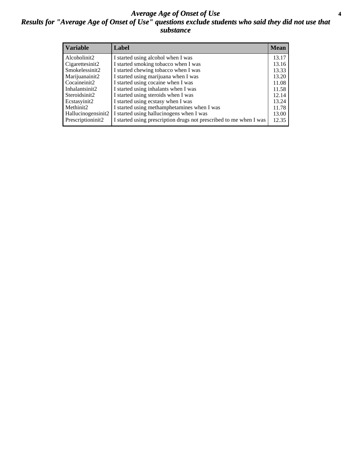#### *Average Age of Onset of Use* **4** *Results for "Average Age of Onset of Use" questions exclude students who said they did not use that substance*

| <b>Variable</b>    | Label                                                              | <b>Mean</b> |
|--------------------|--------------------------------------------------------------------|-------------|
| Alcoholinit2       | I started using alcohol when I was                                 | 13.17       |
| Cigarettesinit2    | I started smoking tobacco when I was                               | 13.16       |
| Smokelessinit2     | I started chewing tobacco when I was                               | 13.33       |
| Marijuanainit2     | I started using marijuana when I was                               | 13.20       |
| Cocaineinit2       | I started using cocaine when I was                                 | 11.08       |
| Inhalantsinit2     | I started using inhalants when I was                               | 11.58       |
| Steroidsinit2      | I started using steroids when I was                                | 12.14       |
| Ecstasyinit2       | I started using ecstasy when I was                                 | 13.24       |
| Methinit2          | I started using methamphetamines when I was                        | 11.78       |
| Hallucinogensinit2 | I started using hallucinogens when I was                           | 13.00       |
| Prescriptioninit2  | I started using prescription drugs not prescribed to me when I was | 12.35       |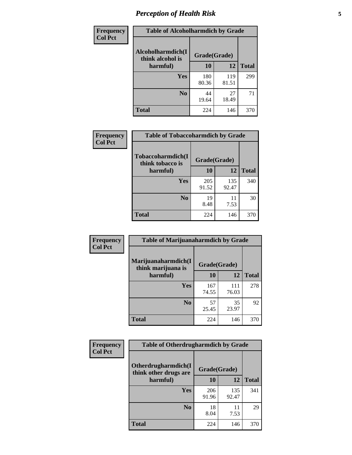# *Perception of Health Risk* **5**

| <b>Frequency</b> | <b>Table of Alcoholharmdich by Grade</b> |              |              |              |
|------------------|------------------------------------------|--------------|--------------|--------------|
| <b>Col Pct</b>   | Alcoholharmdich(I<br>think alcohol is    | Grade(Grade) |              |              |
|                  | harmful)                                 | 10           | 12           | <b>Total</b> |
|                  | <b>Yes</b>                               | 180<br>80.36 | 119<br>81.51 | 299          |
|                  | N <sub>0</sub>                           | 44<br>19.64  | 27<br>18.49  | 71           |
|                  | <b>Total</b>                             | 224          | 146          | 370          |

| Frequency      | <b>Table of Tobaccoharmdich by Grade</b> |              |              |              |
|----------------|------------------------------------------|--------------|--------------|--------------|
| <b>Col Pct</b> | Tobaccoharmdich(I<br>think tobacco is    | Grade(Grade) |              |              |
|                | harmful)                                 | 10           | 12           | <b>Total</b> |
|                | Yes                                      | 205<br>91.52 | 135<br>92.47 | 340          |
|                | N <sub>0</sub>                           | 19<br>8.48   | 11<br>7.53   | 30           |
|                | Total                                    | 224          | 146          | 370          |

| Frequency      | <b>Table of Marijuanaharmdich by Grade</b> |              |              |              |  |
|----------------|--------------------------------------------|--------------|--------------|--------------|--|
| <b>Col Pct</b> | Marijuanaharmdich(I<br>think marijuana is  | Grade(Grade) |              |              |  |
|                | harmful)                                   | 10           | 12           | <b>Total</b> |  |
|                | Yes                                        | 167<br>74.55 | 111<br>76.03 | 278          |  |
|                | N <sub>0</sub>                             | 57<br>25.45  | 35<br>23.97  | 92           |  |
|                | <b>Total</b>                               | 224          | 146          | 370          |  |

| Frequency      | <b>Table of Otherdrugharmdich by Grade</b>   |              |              |              |  |  |  |
|----------------|----------------------------------------------|--------------|--------------|--------------|--|--|--|
| <b>Col Pct</b> | Otherdrugharmdich(I<br>think other drugs are |              | Grade(Grade) |              |  |  |  |
|                | harmful)                                     | 10           | 12           | <b>Total</b> |  |  |  |
|                | Yes                                          | 206<br>91.96 | 135<br>92.47 | 341          |  |  |  |
|                | N <sub>0</sub>                               | 18<br>8.04   | 11<br>7.53   | 29           |  |  |  |
|                | <b>Total</b>                                 | 224          | 146          | 370          |  |  |  |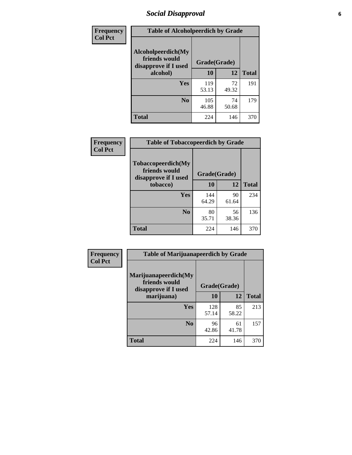# *Social Disapproval* **6**

| <b>Frequency</b> | <b>Table of Alcoholpeerdich by Grade</b>                    |              |             |              |
|------------------|-------------------------------------------------------------|--------------|-------------|--------------|
| <b>Col Pct</b>   | Alcoholpeerdich(My<br>friends would<br>disapprove if I used | Grade(Grade) |             |              |
|                  | alcohol)                                                    | 10           | 12          | <b>Total</b> |
|                  | <b>Yes</b>                                                  | 119<br>53.13 | 72<br>49.32 | 191          |
|                  | N <sub>0</sub>                                              | 105<br>46.88 | 74<br>50.68 | 179          |
|                  | <b>Total</b>                                                | 224          | 146         | 370          |

| <b>Frequency</b> |
|------------------|
| <b>Col Pct</b>   |

| <b>Table of Tobaccopeerdich by Grade</b>                           |              |             |              |  |  |  |  |
|--------------------------------------------------------------------|--------------|-------------|--------------|--|--|--|--|
| <b>Tobaccopeerdich(My</b><br>friends would<br>disapprove if I used | Grade(Grade) |             |              |  |  |  |  |
| tobacco)                                                           | 10           | 12          | <b>Total</b> |  |  |  |  |
| Yes                                                                | 144<br>64.29 | 90<br>61.64 | 234          |  |  |  |  |
| N <sub>0</sub>                                                     | 80<br>35.71  | 56<br>38.36 | 136          |  |  |  |  |
| <b>Total</b>                                                       | 224          | 146         | 370          |  |  |  |  |

| <b>Frequency</b> | <b>Table of Marijuanapeerdich by Grade</b>                    |              |             |              |  |  |  |  |
|------------------|---------------------------------------------------------------|--------------|-------------|--------------|--|--|--|--|
| <b>Col Pct</b>   | Marijuanapeerdich(My<br>friends would<br>disapprove if I used | Grade(Grade) |             |              |  |  |  |  |
|                  | marijuana)                                                    | 10           | 12          | <b>Total</b> |  |  |  |  |
|                  | <b>Yes</b>                                                    | 128<br>57.14 | 85<br>58.22 | 213          |  |  |  |  |
|                  | N <sub>0</sub>                                                | 96<br>42.86  | 61<br>41.78 | 157          |  |  |  |  |
|                  | <b>Total</b>                                                  | 224          | 146         | 370          |  |  |  |  |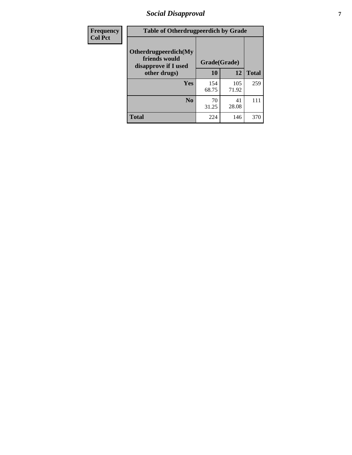# *Social Disapproval* **7**

| Frequency      | <b>Table of Otherdrugpeerdich by Grade</b>                    |              |              |              |  |  |  |  |
|----------------|---------------------------------------------------------------|--------------|--------------|--------------|--|--|--|--|
| <b>Col Pct</b> | Otherdrugpeerdich(My<br>friends would<br>disapprove if I used | Grade(Grade) |              |              |  |  |  |  |
|                | other drugs)                                                  | 10           | 12           | <b>Total</b> |  |  |  |  |
|                | Yes                                                           | 154<br>68.75 | 105<br>71.92 | 259          |  |  |  |  |
|                | N <sub>0</sub>                                                | 70<br>31.25  | 41<br>28.08  | 111          |  |  |  |  |
|                | <b>Total</b>                                                  | 224          | 146          | 370          |  |  |  |  |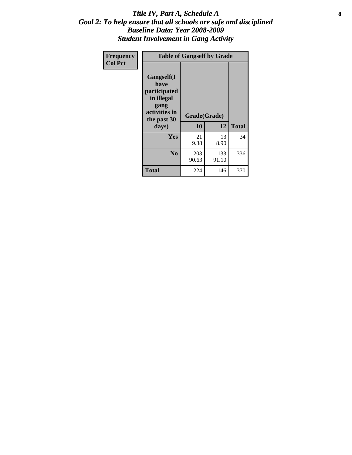#### Title IV, Part A, Schedule A **8** *Goal 2: To help ensure that all schools are safe and disciplined Baseline Data: Year 2008-2009 Student Involvement in Gang Activity*

| Frequency      | <b>Table of Gangself by Grade</b>                                                                         |                    |              |              |
|----------------|-----------------------------------------------------------------------------------------------------------|--------------------|--------------|--------------|
| <b>Col Pct</b> | <b>Gangself</b> (I<br>have<br>participated<br>in illegal<br>gang<br>activities in<br>the past 30<br>days) | Grade(Grade)<br>10 | 12           | <b>Total</b> |
|                | Yes                                                                                                       | 21<br>9.38         | 13<br>8.90   | 34           |
|                | N <sub>0</sub>                                                                                            | 203<br>90.63       | 133<br>91.10 | 336          |
|                | <b>Total</b>                                                                                              | 224                | 146          | 370          |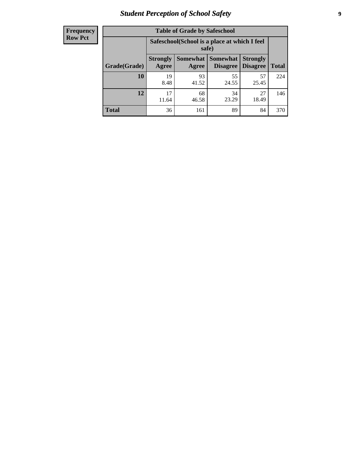# *Student Perception of School Safety* **9**

| <b>Frequency</b><br>Row Pct |
|-----------------------------|
|                             |

| <b>Table of Grade by Safeschool</b> |                          |                                                        |                             |                                    |              |  |  |
|-------------------------------------|--------------------------|--------------------------------------------------------|-----------------------------|------------------------------------|--------------|--|--|
|                                     |                          | Safeschool (School is a place at which I feel<br>safe) |                             |                                    |              |  |  |
| Grade(Grade)                        | <b>Strongly</b><br>Agree | Somewhat  <br>Agree                                    | <b>Somewhat</b><br>Disagree | <b>Strongly</b><br><b>Disagree</b> | <b>Total</b> |  |  |
| 10                                  | 19<br>8.48               | 93<br>41.52                                            | 55<br>24.55                 | 57<br>25.45                        | 224          |  |  |
| 12                                  | 17<br>11.64              | 68<br>46.58                                            | 34<br>23.29                 | 27<br>18.49                        | 146          |  |  |
| <b>Total</b>                        | 36                       | 161                                                    | 89                          | 84                                 | 370          |  |  |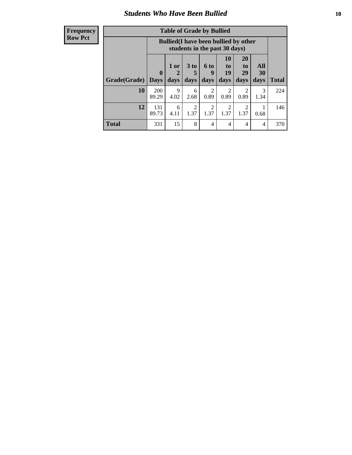#### *Students Who Have Been Bullied* **10**

| Frequency |
|-----------|
| Row Pct   |

| <b>Table of Grade by Bullied</b> |                            |                                                                               |                     |                          |                        |                        |                                 |              |
|----------------------------------|----------------------------|-------------------------------------------------------------------------------|---------------------|--------------------------|------------------------|------------------------|---------------------------------|--------------|
|                                  |                            | <b>Bullied</b> (I have been bullied by other<br>students in the past 30 days) |                     |                          |                        |                        |                                 |              |
| <b>Grade</b> (Grade)             | $\mathbf 0$<br><b>Days</b> | 1 or<br>2<br>days                                                             | $3$ to<br>5<br>days | <b>6 to</b><br>9<br>days | 10<br>to<br>19<br>days | 20<br>to<br>29<br>days | <b>All</b><br><b>30</b><br>days | <b>Total</b> |
| 10                               | 200<br>89.29               | 9<br>4.02                                                                     | 6<br>2.68           | 2<br>0.89                | $\overline{2}$<br>0.89 | 2<br>0.89              | 3<br>1.34                       | 224          |
| 12                               | 131<br>89.73               | 6<br>4.11                                                                     | 2<br>1.37           | 2<br>1.37                | 2<br>1.37              | 2<br>1.37              | 0.68                            | 146          |
| <b>Total</b>                     | 331                        | 15                                                                            | 8                   | $\overline{4}$           | 4                      | $\overline{4}$         | 4                               | 370          |

 $\blacksquare$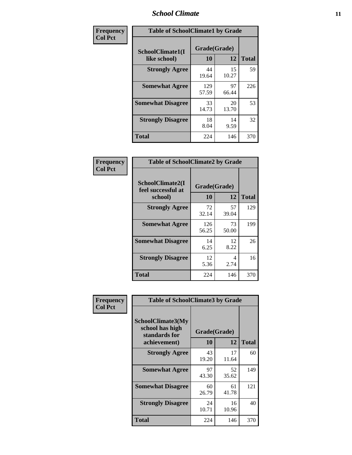### *School Climate* **11**

| Frequency      | <b>Table of SchoolClimate1 by Grade</b> |                    |             |              |  |  |
|----------------|-----------------------------------------|--------------------|-------------|--------------|--|--|
| <b>Col Pct</b> | SchoolClimate1(I<br>like school)        | Grade(Grade)<br>10 | 12          | <b>Total</b> |  |  |
|                | <b>Strongly Agree</b>                   | 44<br>19.64        | 15<br>10.27 | 59           |  |  |
|                | <b>Somewhat Agree</b>                   | 129<br>57.59       | 97<br>66.44 | 226          |  |  |
|                | <b>Somewhat Disagree</b>                | 33<br>14.73        | 20<br>13.70 | 53           |  |  |
|                | <b>Strongly Disagree</b>                | 18<br>8.04         | 14<br>9.59  | 32           |  |  |
|                | <b>Total</b>                            | 224                | 146         | 370          |  |  |

| <b>Frequency</b> | <b>Table</b>      |
|------------------|-------------------|
| <b>Col Pct</b>   |                   |
|                  | <b>SchoolClin</b> |
|                  | feel succes       |
|                  | schoo             |

| <b>Table of SchoolClimate2 by Grade</b>           |                    |             |              |  |  |
|---------------------------------------------------|--------------------|-------------|--------------|--|--|
| SchoolClimate2(I<br>feel successful at<br>school) | Grade(Grade)<br>10 | 12          | <b>Total</b> |  |  |
| <b>Strongly Agree</b>                             | 72<br>32.14        | 57<br>39.04 | 129          |  |  |
| <b>Somewhat Agree</b>                             | 126<br>56.25       | 73<br>50.00 | 199          |  |  |
| <b>Somewhat Disagree</b>                          | 14<br>6.25         | 12<br>8.22  | 26           |  |  |
| <b>Strongly Disagree</b>                          | 12<br>5.36         | 4<br>2.74   | 16           |  |  |
| <b>Total</b>                                      | 224                | 146         | 370          |  |  |

| Frequency      | <b>Table of SchoolClimate3 by Grade</b>               |              |             |              |  |
|----------------|-------------------------------------------------------|--------------|-------------|--------------|--|
| <b>Col Pct</b> | SchoolClimate3(My<br>school has high<br>standards for | Grade(Grade) |             |              |  |
|                | achievement)                                          | <b>10</b>    | 12          | <b>Total</b> |  |
|                | <b>Strongly Agree</b>                                 | 43<br>19.20  | 17<br>11.64 | 60           |  |
|                | <b>Somewhat Agree</b>                                 | 97<br>43.30  | 52<br>35.62 | 149          |  |
|                | <b>Somewhat Disagree</b>                              | 60<br>26.79  | 61<br>41.78 | 121          |  |
|                | <b>Strongly Disagree</b>                              | 24<br>10.71  | 16<br>10.96 | 40           |  |
|                | Total                                                 | 224          | 146         | 370          |  |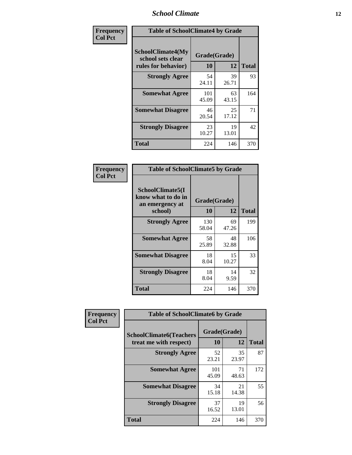### *School Climate* **12**

| Frequency      | <b>Table of SchoolClimate4 by Grade</b>                       |                    |             |              |
|----------------|---------------------------------------------------------------|--------------------|-------------|--------------|
| <b>Col Pct</b> | SchoolClimate4(My<br>school sets clear<br>rules for behavior) | Grade(Grade)<br>10 | 12          | <b>Total</b> |
|                | <b>Strongly Agree</b>                                         | 54<br>24.11        | 39<br>26.71 | 93           |
|                | <b>Somewhat Agree</b>                                         | 101<br>45.09       | 63<br>43.15 | 164          |
|                | <b>Somewhat Disagree</b>                                      | 46<br>20.54        | 25<br>17.12 | 71           |
|                | <b>Strongly Disagree</b>                                      | 23<br>10.27        | 19<br>13.01 | 42           |
|                | Total                                                         | 224                | 146         | 370          |

| <b>Table of SchoolClimate5 by Grade</b>                   |              |             |              |  |  |
|-----------------------------------------------------------|--------------|-------------|--------------|--|--|
| SchoolClimate5(I<br>know what to do in<br>an emergency at |              |             |              |  |  |
| school)                                                   | 10           | 12          | <b>Total</b> |  |  |
| <b>Strongly Agree</b>                                     | 130<br>58.04 | 69<br>47.26 | 199          |  |  |
| <b>Somewhat Agree</b>                                     | 58<br>25.89  | 48<br>32.88 | 106          |  |  |
| <b>Somewhat Disagree</b>                                  | 18<br>8.04   | 15<br>10.27 | 33           |  |  |
| <b>Strongly Disagree</b>                                  | 18<br>8.04   | 14<br>9.59  | 32           |  |  |
| <b>Total</b>                                              | 224          | 146         | 370          |  |  |

| Frequency      | <b>Table of SchoolClimate6 by Grade</b>                  |                    |             |              |
|----------------|----------------------------------------------------------|--------------------|-------------|--------------|
| <b>Col Pct</b> | <b>SchoolClimate6(Teachers</b><br>treat me with respect) | Grade(Grade)<br>10 | 12          | <b>Total</b> |
|                | <b>Strongly Agree</b>                                    | 52<br>23.21        | 35<br>23.97 | 87           |
|                | <b>Somewhat Agree</b>                                    | 101<br>45.09       | 71<br>48.63 | 172          |
|                | <b>Somewhat Disagree</b>                                 | 34<br>15.18        | 21<br>14.38 | 55           |
|                | <b>Strongly Disagree</b>                                 | 37<br>16.52        | 19<br>13.01 | 56           |
|                | <b>Total</b>                                             | 224                | 146         | 370          |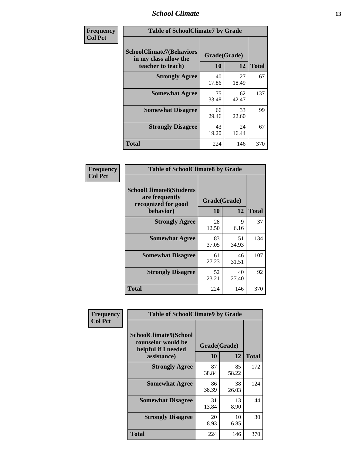### *School Climate* **13**

| Frequency      | <b>Table of SchoolClimate7 by Grade</b>                                       |                           |             |              |
|----------------|-------------------------------------------------------------------------------|---------------------------|-------------|--------------|
| <b>Col Pct</b> | <b>SchoolClimate7(Behaviors</b><br>in my class allow the<br>teacher to teach) | Grade(Grade)<br><b>10</b> | 12          | <b>Total</b> |
|                | <b>Strongly Agree</b>                                                         | 40<br>17.86               | 27<br>18.49 | 67           |
|                | <b>Somewhat Agree</b>                                                         | 75<br>33.48               | 62<br>42.47 | 137          |
|                | <b>Somewhat Disagree</b>                                                      | 66<br>29.46               | 33<br>22.60 | 99           |
|                | <b>Strongly Disagree</b>                                                      | 43<br>19.20               | 24<br>16.44 | 67           |
|                | <b>Total</b>                                                                  | 224                       | 146         | 370          |

| Frequency      | <b>Table of SchoolClimate8 by Grade</b>                                              |                    |             |              |  |
|----------------|--------------------------------------------------------------------------------------|--------------------|-------------|--------------|--|
| <b>Col Pct</b> | <b>SchoolClimate8(Students</b><br>are frequently<br>recognized for good<br>behavior) | Grade(Grade)<br>10 | 12          | <b>Total</b> |  |
|                | <b>Strongly Agree</b>                                                                | 28<br>12.50        | 9<br>6.16   | 37           |  |
|                | <b>Somewhat Agree</b>                                                                | 83<br>37.05        | 51<br>34.93 | 134          |  |
|                | <b>Somewhat Disagree</b>                                                             | 61<br>27.23        | 46<br>31.51 | 107          |  |
|                | <b>Strongly Disagree</b>                                                             | 52<br>23.21        | 40<br>27.40 | 92           |  |
|                | <b>Total</b>                                                                         | 224                | 146         | 370          |  |

| Frequency      | <b>Table of SchoolClimate9 by Grade</b>                                                  |                    |             |              |
|----------------|------------------------------------------------------------------------------------------|--------------------|-------------|--------------|
| <b>Col Pct</b> | <b>SchoolClimate9(School</b><br>counselor would be<br>helpful if I needed<br>assistance) | Grade(Grade)<br>10 | 12          | <b>Total</b> |
|                | <b>Strongly Agree</b>                                                                    | 87<br>38.84        | 85<br>58.22 | 172          |
|                | <b>Somewhat Agree</b>                                                                    | 86<br>38.39        | 38<br>26.03 | 124          |
|                | <b>Somewhat Disagree</b>                                                                 | 31<br>13.84        | 13<br>8.90  | 44           |
|                | <b>Strongly Disagree</b>                                                                 | 20<br>8.93         | 10<br>6.85  | 30           |
|                | <b>Total</b>                                                                             | 224                | 146         | 370          |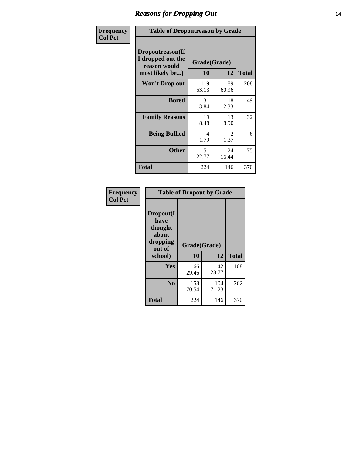### *Reasons for Dropping Out* **14**

| Frequency      |                                                                          | <b>Table of Dropoutreason by Grade</b> |                       |              |  |
|----------------|--------------------------------------------------------------------------|----------------------------------------|-----------------------|--------------|--|
| <b>Col Pct</b> | Dropoutreason(If<br>I dropped out the<br>reason would<br>most likely be) | <b>10</b>                              | Grade(Grade)<br>12    | <b>Total</b> |  |
|                | <b>Won't Drop out</b>                                                    | 119<br>53.13                           | 89<br>60.96           | 208          |  |
|                | <b>Bored</b>                                                             | 31<br>13.84                            | 18<br>12.33           | 49           |  |
|                | <b>Family Reasons</b>                                                    | 19<br>8.48                             | 13<br>8.90            | 32           |  |
|                | <b>Being Bullied</b>                                                     | 4<br>1.79                              | $\mathcal{L}$<br>1.37 | 6            |  |
|                | <b>Other</b>                                                             | 51<br>22.77                            | 24<br>16.44           | 75           |  |
|                | <b>Total</b>                                                             | 224                                    | 146                   | 370          |  |

| Frequency<br><b>Col Pct</b> |                                                                        | <b>Table of Dropout by Grade</b> |              |              |
|-----------------------------|------------------------------------------------------------------------|----------------------------------|--------------|--------------|
|                             | Dropout(I<br>have<br>thought<br>about<br>dropping<br>out of<br>school) | Grade(Grade)<br>10               | 12           | <b>Total</b> |
|                             |                                                                        |                                  |              |              |
|                             | Yes                                                                    | 66<br>29.46                      | 42<br>28.77  | 108          |
|                             | N <sub>0</sub>                                                         | 158<br>70.54                     | 104<br>71.23 | 262          |
|                             | <b>Total</b>                                                           | 224                              | 146          | 370          |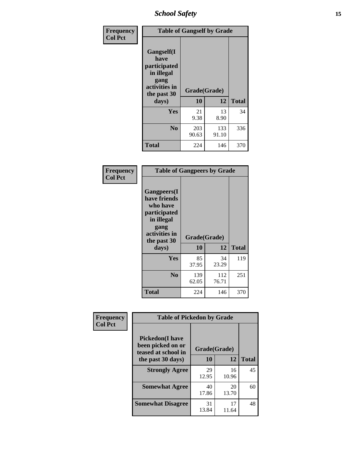*School Safety* **15**

| Frequency      | <b>Table of Gangself by Grade</b>                                                                 |                    |              |              |  |
|----------------|---------------------------------------------------------------------------------------------------|--------------------|--------------|--------------|--|
| <b>Col Pct</b> | Gangself(I<br>have<br>participated<br>in illegal<br>gang<br>activities in<br>the past 30<br>days) | Grade(Grade)<br>10 | 12           | <b>Total</b> |  |
|                | Yes                                                                                               | 21<br>9.38         | 13<br>8.90   | 34           |  |
|                | N <sub>0</sub>                                                                                    | 203<br>90.63       | 133<br>91.10 | 336          |  |
|                | <b>Total</b>                                                                                      | 224                | 146          | 370          |  |

| Frequency<br><b>Col Pct</b> | <b>Table of Gangpeers by Grade</b>                                                                                             |                    |              |              |
|-----------------------------|--------------------------------------------------------------------------------------------------------------------------------|--------------------|--------------|--------------|
|                             | <b>Gangpeers</b> (I<br>have friends<br>who have<br>participated<br>in illegal<br>gang<br>activities in<br>the past 30<br>days) | Grade(Grade)<br>10 | 12           | <b>Total</b> |
|                             | Yes                                                                                                                            | 85<br>37.95        | 34<br>23.29  | 119          |
|                             | N <sub>0</sub>                                                                                                                 | 139<br>62.05       | 112<br>76.71 | 251          |
|                             | <b>Total</b>                                                                                                                   | 224                | 146          | 370          |

| Frequency      | <b>Table of Pickedon by Grade</b>                                  |              |             |              |
|----------------|--------------------------------------------------------------------|--------------|-------------|--------------|
| <b>Col Pct</b> | <b>Pickedon(I have</b><br>been picked on or<br>teased at school in | Grade(Grade) |             |              |
|                | the past 30 days)                                                  | <b>10</b>    | 12          | <b>Total</b> |
|                | <b>Strongly Agree</b>                                              | 29<br>12.95  | 16<br>10.96 | 45           |
|                | <b>Somewhat Agree</b>                                              | 40<br>17.86  | 20<br>13.70 | 60           |
|                | <b>Somewhat Disagree</b>                                           | 31<br>13.84  | 17<br>11.64 | 48           |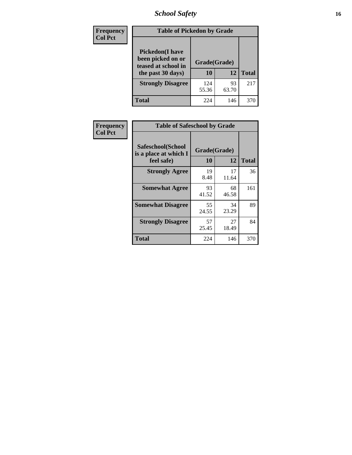# *School Safety* **16**

| <b>Frequency</b> | <b>Table of Pickedon by Grade</b>                                                        |                    |             |              |
|------------------|------------------------------------------------------------------------------------------|--------------------|-------------|--------------|
| <b>Col Pct</b>   | <b>Pickedon</b> (I have<br>been picked on or<br>teased at school in<br>the past 30 days) | Grade(Grade)<br>10 | 12          | <b>Total</b> |
|                  | <b>Strongly Disagree</b>                                                                 | 124<br>55.36       | 93<br>63.70 | 217          |
|                  | Total                                                                                    | 224                | 146         | 370          |

| Frequency      | <b>Table of Safeschool by Grade</b>                      |                    |             |              |
|----------------|----------------------------------------------------------|--------------------|-------------|--------------|
| <b>Col Pct</b> | Safeschool(School<br>is a place at which I<br>feel safe) | Grade(Grade)<br>10 | 12          | <b>Total</b> |
|                | <b>Strongly Agree</b>                                    | 19<br>8.48         | 17<br>11.64 | 36           |
|                | <b>Somewhat Agree</b>                                    | 93<br>41.52        | 68<br>46.58 | 161          |
|                | <b>Somewhat Disagree</b>                                 | 55<br>24.55        | 34<br>23.29 | 89           |
|                | <b>Strongly Disagree</b>                                 | 57<br>25.45        | 27<br>18.49 | 84           |
|                | <b>Total</b>                                             | 224                | 146         | 370          |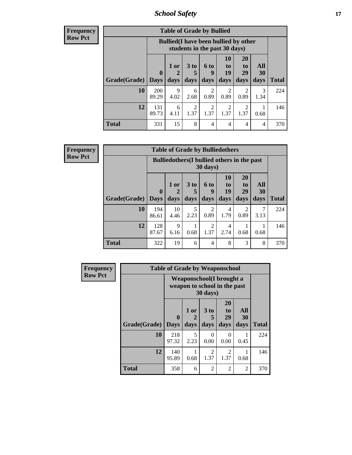*School Safety* **17**

**Frequency Row Pct**

|              | <b>Table of Grade by Bullied</b> |                                                                               |                              |                        |                        |                               |                          |              |  |  |
|--------------|----------------------------------|-------------------------------------------------------------------------------|------------------------------|------------------------|------------------------|-------------------------------|--------------------------|--------------|--|--|
|              |                                  | <b>Bullied</b> (I have been bullied by other<br>students in the past 30 days) |                              |                        |                        |                               |                          |              |  |  |
| Grade(Grade) | 0<br>  Days                      | 1 or<br>2<br>days                                                             | 3 <sub>to</sub><br>5<br>days | 6 to<br>q<br>days      | 10<br>to<br>19<br>days | <b>20</b><br>to<br>29<br>days | All<br><b>30</b><br>days | <b>Total</b> |  |  |
| 10           | 200<br>89.29                     | 9<br>4.02                                                                     | 6<br>2.68                    | 2<br>0.89              | 2<br>0.89              | 2<br>0.89                     | 3<br>1.34                | 224          |  |  |
| 12           | 131<br>89.73                     | 6<br>4.11                                                                     | 2<br>1.37                    | $\mathfrak{D}$<br>1.37 | 2<br>1.37              | 2<br>1.37                     | 0.68                     | 146          |  |  |
| <b>Total</b> | 331                              | 15                                                                            | 8                            | 4                      | 4                      | 4                             | 4                        | 370          |  |  |

| <b>Table of Grade by Bulliedothers</b> |                                                                |                     |                              |                        |                               |                        |                   |              |  |  |
|----------------------------------------|----------------------------------------------------------------|---------------------|------------------------------|------------------------|-------------------------------|------------------------|-------------------|--------------|--|--|
|                                        | <b>Bulliedothers</b> (I bullied others in the past<br>30 days) |                     |                              |                        |                               |                        |                   |              |  |  |
| Grade(Grade)                           | $\bf{0}$<br><b>Days</b>                                        | $1$ or<br>2<br>days | 3 <sub>to</sub><br>5<br>days | 6 to<br>9<br>days      | <b>10</b><br>to<br>19<br>days | 20<br>to<br>29<br>days | All<br>30<br>days | <b>Total</b> |  |  |
| 10                                     | 194<br>86.61                                                   | 10<br>4.46          | 5<br>2.23                    | 2<br>0.89              | 4<br>1.79                     | 2<br>0.89              | 3.13              | 224          |  |  |
| 12                                     | 128<br>87.67                                                   | 9<br>6.16           | 0.68                         | $\mathfrak{D}$<br>1.37 | 4<br>2.74                     | 0.68                   | 0.68              | 146          |  |  |
| Total                                  | 322                                                            | 19                  | 6                            | $\overline{4}$         | 8                             | 3                      | 8                 | 370          |  |  |

| Frequency      | <b>Table of Grade by Weaponschool</b> |                                                          |                   |                              |                        |                   |              |  |  |  |
|----------------|---------------------------------------|----------------------------------------------------------|-------------------|------------------------------|------------------------|-------------------|--------------|--|--|--|
| <b>Row Pct</b> |                                       | Weaponschool(I brought a<br>weapon to school in the past |                   |                              |                        |                   |              |  |  |  |
|                | Grade(Grade)                          | $\bf{0}$<br><b>Days</b>                                  | 1 or<br>2<br>days | 3 <sub>to</sub><br>5<br>days | 20<br>to<br>29<br>days | All<br>30<br>days | <b>Total</b> |  |  |  |
|                | 10                                    | 218<br>97.32                                             | 5<br>2.23         | 0<br>0.00                    | 0<br>0.00              | 0.45              | 224          |  |  |  |
|                | 12                                    | 140<br>95.89                                             | 0.68              | $\mathfrak{D}$<br>1.37       | 2<br>1.37              | 0.68              | 146          |  |  |  |
|                | <b>Total</b>                          | 358                                                      | 6                 | 2                            | $\overline{2}$         | 2                 | 370          |  |  |  |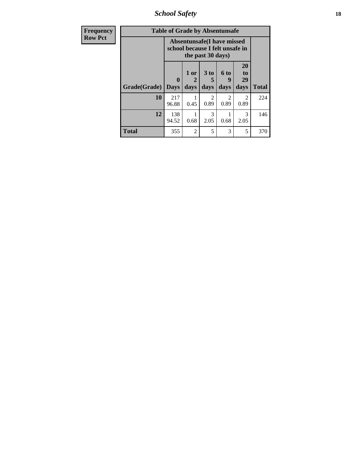*School Safety* **18**

| <b>Frequency</b> | <b>Table of Grade by Absentunsafe</b> |                                                                      |                   |                       |                        |                        |              |  |  |  |
|------------------|---------------------------------------|----------------------------------------------------------------------|-------------------|-----------------------|------------------------|------------------------|--------------|--|--|--|
| <b>Row Pct</b>   |                                       | <b>Absentunsafe(I have missed</b><br>school because I felt unsafe in |                   |                       |                        |                        |              |  |  |  |
|                  | Grade(Grade)                          | 0<br><b>Days</b>                                                     | 1 or<br>2<br>days | 3 to<br>5<br>days     | 6 to<br>9<br>days      | 20<br>to<br>29<br>days | <b>Total</b> |  |  |  |
|                  | 10                                    | 217<br>96.88                                                         | 0.45              | $\mathcal{D}$<br>0.89 | $\mathfrak{D}$<br>0.89 | $\mathfrak{D}$<br>0.89 | 224          |  |  |  |
|                  | 12                                    | 138<br>94.52                                                         | 0.68              | $\mathcal{R}$<br>2.05 | 0.68                   | $\mathcal{R}$<br>2.05  | 146          |  |  |  |
|                  | <b>Total</b>                          | 355                                                                  | $\overline{2}$    | 5                     | 3                      | 5                      | 370          |  |  |  |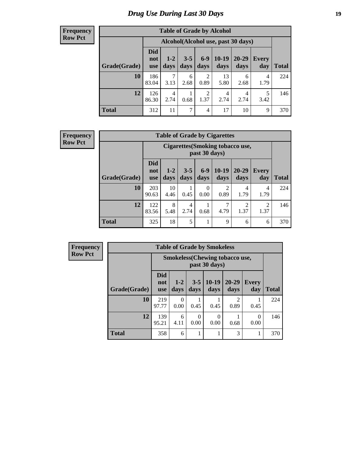# *Drug Use During Last 30 Days* **19**

#### **Frequency Row Pct**

| <b>Table of Grade by Alcohol</b> |                                 |                                    |                 |                        |                 |               |              |       |  |  |  |  |
|----------------------------------|---------------------------------|------------------------------------|-----------------|------------------------|-----------------|---------------|--------------|-------|--|--|--|--|
|                                  |                                 | Alcohol(Alcohol use, past 30 days) |                 |                        |                 |               |              |       |  |  |  |  |
| Grade(Grade)                     | <b>Did</b><br>not<br><b>use</b> | $1-2$<br>days                      | $3 - 5$<br>days | $6 - 9$<br>days        | $10-19$<br>days | 20-29<br>days | Every<br>day | Total |  |  |  |  |
| 10                               | 186<br>83.04                    | 7<br>3.13                          | 6<br>2.68       | 2<br>0.89              | 13<br>5.80      | 6<br>2.68     | 4<br>1.79    | 224   |  |  |  |  |
| 12                               | 126<br>86.30                    | $\overline{4}$<br>2.74             | 0.68            | $\overline{2}$<br>1.37 | 4<br>2.74       | 4<br>2.74     | 5<br>3.42    | 146   |  |  |  |  |
| <b>Total</b>                     | 312                             | 11                                 | 7               | 4                      | 17              | 10            | 9            | 370   |  |  |  |  |

#### **Frequency Row Pct**

| <b>Table of Grade by Cigarettes</b> |                                 |                                                          |                 |                  |                 |                        |                     |              |  |  |  |
|-------------------------------------|---------------------------------|----------------------------------------------------------|-----------------|------------------|-----------------|------------------------|---------------------|--------------|--|--|--|
|                                     |                                 | <b>Cigarettes (Smoking tobacco use,</b><br>past 30 days) |                 |                  |                 |                        |                     |              |  |  |  |
| Grade(Grade)                        | <b>Did</b><br>not<br><b>use</b> | $1 - 2$<br>days                                          | $3 - 5$<br>days | $6 - 9$<br>days  | $10-19$<br>days | $20 - 29$<br>days      | <b>Every</b><br>day | <b>Total</b> |  |  |  |
| 10                                  | 203<br>90.63                    | 10<br>4.46                                               | 0.45            | $\Omega$<br>0.00 | 2<br>0.89       | 4<br>1.79              | 4<br>1.79           | 224          |  |  |  |
| 12                                  | 122<br>83.56                    | 8<br>5.48                                                | 4<br>2.74       | 0.68             | 7<br>4.79       | $\overline{c}$<br>1.37 | 2<br>1.37           | 146          |  |  |  |
| <b>Total</b>                        | 325                             | 18                                                       | 5               | 1                | 9               | 6                      | 6                   | 370          |  |  |  |

| <b>Table of Grade by Smokeless</b> |                                 |                                                        |                 |                 |                   |                     |              |  |  |  |  |
|------------------------------------|---------------------------------|--------------------------------------------------------|-----------------|-----------------|-------------------|---------------------|--------------|--|--|--|--|
|                                    |                                 | <b>Smokeless</b> (Chewing tobaccouse,<br>past 30 days) |                 |                 |                   |                     |              |  |  |  |  |
| Grade(Grade)                       | <b>Did</b><br>not<br><b>use</b> | $1-2$<br>days                                          | $3 - 5$<br>days | $10-19$<br>days | $20 - 29$<br>days | <b>Every</b><br>day | <b>Total</b> |  |  |  |  |
| 10                                 | 219<br>97.77                    | 0<br>0.00                                              | 0.45            | 0.45            | 2<br>0.89         | 0.45                | 224          |  |  |  |  |
| 12                                 | 139<br>95.21                    | 6<br>4.11                                              | 0<br>0.00       | 0<br>0.00       | 0.68              | 0<br>0.00           | 146          |  |  |  |  |
| <b>Total</b>                       | 358                             | 6                                                      |                 | 1               | 3                 |                     | 370          |  |  |  |  |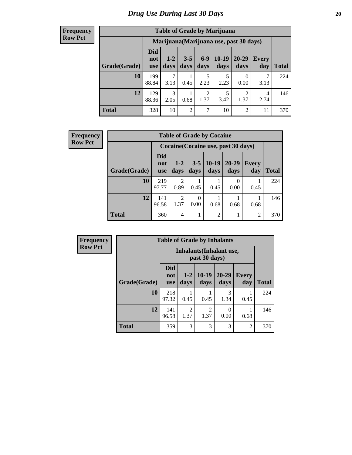| <b>Table of Grade by Marijuana</b> |                                 |                                         |                 |                        |                 |                        |                     |              |  |  |  |  |
|------------------------------------|---------------------------------|-----------------------------------------|-----------------|------------------------|-----------------|------------------------|---------------------|--------------|--|--|--|--|
|                                    |                                 | Marijuana (Marijuana use, past 30 days) |                 |                        |                 |                        |                     |              |  |  |  |  |
| Grade(Grade)                       | <b>Did</b><br>not<br><b>use</b> | $1 - 2$<br>days                         | $3 - 5$<br>days | $6-9$<br>days          | $10-19$<br>days | $20 - 29$<br>days      | <b>Every</b><br>day | <b>Total</b> |  |  |  |  |
| 10                                 | 199<br>88.84                    | 7<br>3.13                               | 0.45            | 5<br>2.23              | 5<br>2.23       | 0<br>0.00              | 3.13                | 224          |  |  |  |  |
| 12                                 | 129<br>88.36                    | 3<br>2.05                               | 0.68            | $\overline{c}$<br>1.37 | 5<br>3.42       | $\overline{2}$<br>1.37 | 4<br>2.74           | 146          |  |  |  |  |
| <b>Total</b>                       | 328                             | 10                                      | $\overline{2}$  | 7                      | 10              | 2                      | 11                  | 370          |  |  |  |  |

| <b>Frequency</b> | <b>Table of Grade by Cocaine</b> |                                 |                        |                 |                                     |                   |                     |              |
|------------------|----------------------------------|---------------------------------|------------------------|-----------------|-------------------------------------|-------------------|---------------------|--------------|
| <b>Row Pct</b>   |                                  |                                 |                        |                 | Cocaine (Cocaine use, past 30 days) |                   |                     |              |
|                  | Grade(Grade)                     | <b>Did</b><br>not<br><b>use</b> | $1 - 2$<br>days        | $3 - 5$<br>days | $ 10-19 $<br>days                   | $20 - 29$<br>days | <b>Every</b><br>day | <b>Total</b> |
|                  | 10                               | 219<br>97.77                    | $\mathfrak{D}$<br>0.89 | 0.45            | 0.45                                | $\theta$<br>0.00  | 0.45                | 224          |
|                  | 12                               | 141<br>96.58                    | $\overline{2}$<br>1.37 | 0<br>0.00       | 0.68                                | 0.68              | 0.68                | 146          |
|                  | Total                            | 360                             | 4                      |                 | $\overline{2}$                      |                   | $\overline{c}$      | 370          |

| Frequency      | <b>Table of Grade by Inhalants</b> |                                 |                                                  |                 |                   |                     |              |  |
|----------------|------------------------------------|---------------------------------|--------------------------------------------------|-----------------|-------------------|---------------------|--------------|--|
| <b>Row Pct</b> |                                    |                                 | <b>Inhalants</b> (Inhalant use,<br>past 30 days) |                 |                   |                     |              |  |
|                | Grade(Grade)                       | <b>Did</b><br>not<br><b>use</b> | $1 - 2$<br>days                                  | $10-19$<br>days | $20 - 29$<br>days | <b>Every</b><br>day | <b>Total</b> |  |
|                | 10                                 | 218<br>97.32                    | 0.45                                             | 0.45            | 3<br>1.34         | 0.45                | 224          |  |
|                | 12                                 | 141<br>96.58                    | $\overline{2}$<br>1.37                           | 2<br>1.37       | 0.00              | 0.68                | 146          |  |
|                | <b>Total</b>                       | 359                             | 3                                                | 3               | 3                 | $\overline{2}$      | 370          |  |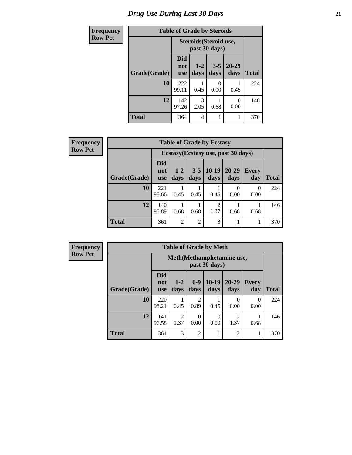# *Drug Use During Last 30 Days* **21**

| Frequency      |              | <b>Table of Grade by Steroids</b> |                                         |                 |                   |              |  |  |  |  |
|----------------|--------------|-----------------------------------|-----------------------------------------|-----------------|-------------------|--------------|--|--|--|--|
| <b>Row Pct</b> |              |                                   | Steroids (Steroid use,<br>past 30 days) |                 |                   |              |  |  |  |  |
|                | Grade(Grade) | <b>Did</b><br>not<br><b>use</b>   | $1 - 2$<br>days                         | $3 - 5$<br>days | $20 - 29$<br>days | <b>Total</b> |  |  |  |  |
|                | 10           | 222<br>99.11                      | 0.45                                    | 0<br>0.00       | 0.45              | 224          |  |  |  |  |
|                | 12           | 142<br>97.26                      | 3<br>2.05                               | 0.68            | $\theta$<br>0.00  | 146          |  |  |  |  |
|                | <b>Total</b> | 364                               | 4                                       |                 |                   | 370          |  |  |  |  |

| Frequency      |              | <b>Table of Grade by Ecstasy</b> |                 |                 |                 |                                     |              |              |
|----------------|--------------|----------------------------------|-----------------|-----------------|-----------------|-------------------------------------|--------------|--------------|
| <b>Row Pct</b> |              |                                  |                 |                 |                 | Ecstasy (Ecstasy use, past 30 days) |              |              |
|                | Grade(Grade) | <b>Did</b><br>not<br><b>use</b>  | $1 - 2$<br>days | $3 - 5$<br>days | $10-19$<br>days | $20 - 29$<br>days                   | Every<br>day | <b>Total</b> |
|                | 10           | 221<br>98.66                     | 0.45            | 0.45            | 0.45            | $\theta$<br>0.00                    | 0<br>0.00    | 224          |
|                | 12           | 140<br>95.89                     | 0.68            | 0.68            | 2<br>1.37       | 0.68                                | 0.68         | 146          |
|                | <b>Total</b> | 361                              | $\overline{2}$  | $\overline{2}$  | 3               |                                     | -1           | 370          |

| <b>Table of Grade by Meth</b> |                          |                                             |                        |                 |                        |                     |              |  |  |
|-------------------------------|--------------------------|---------------------------------------------|------------------------|-----------------|------------------------|---------------------|--------------|--|--|
|                               |                          | Meth (Methamphetamine use,<br>past 30 days) |                        |                 |                        |                     |              |  |  |
| Grade(Grade)                  | <b>Did</b><br>not<br>use | $1 - 2$<br>days                             | $6-9$<br>days          | $10-19$<br>days | $20 - 29$<br>days      | <b>Every</b><br>day | <b>Total</b> |  |  |
| 10                            | 220<br>98.21             | 0.45                                        | $\overline{2}$<br>0.89 | 0.45            | 0<br>0.00              | 0<br>0.00           | 224          |  |  |
| 12                            | 141<br>96.58             | $\mathfrak{D}$<br>1.37                      | $\Omega$<br>0.00       | 0<br>0.00       | $\overline{c}$<br>1.37 | 0.68                | 146          |  |  |
| <b>Total</b>                  | 361                      | 3                                           | $\overline{2}$         |                 | $\overline{c}$         |                     | 370          |  |  |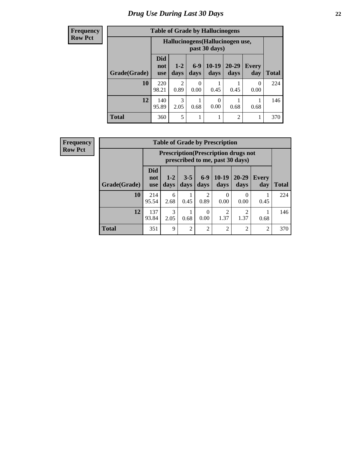# *Drug Use During Last 30 Days* **22**

#### **Frequency Row Pct**

| <b>Table of Grade by Hallucinogens</b> |                                 |                                                   |               |                 |                |                     |              |  |  |
|----------------------------------------|---------------------------------|---------------------------------------------------|---------------|-----------------|----------------|---------------------|--------------|--|--|
|                                        |                                 | Hallucinogens (Hallucinogen use,<br>past 30 days) |               |                 |                |                     |              |  |  |
| Grade(Grade)                           | <b>Did</b><br>not<br><b>use</b> | $1 - 2$<br>days                                   | $6-9$<br>days | $10-19$<br>days | 20-29<br>days  | <b>Every</b><br>day | <b>Total</b> |  |  |
| 10                                     | 220<br>98.21                    | 2<br>0.89                                         | 0<br>0.00     | 0.45            | 0.45           | 0<br>0.00           | 224          |  |  |
| 12                                     | 140<br>95.89                    | 3<br>2.05                                         | 0.68          | 0<br>0.00       | 0.68           | 0.68                | 146          |  |  |
| <b>Total</b>                           | 360                             | 5                                                 |               |                 | $\overline{2}$ | 1                   | 370          |  |  |

| <b>Table of Grade by Prescription</b> |                                 |                                                                                |                 |                        |                 |                  |                |              |  |
|---------------------------------------|---------------------------------|--------------------------------------------------------------------------------|-----------------|------------------------|-----------------|------------------|----------------|--------------|--|
|                                       |                                 | <b>Prescription</b> (Prescription drugs not<br>prescribed to me, past 30 days) |                 |                        |                 |                  |                |              |  |
| Grade(Grade)                          | <b>Did</b><br>not<br><b>use</b> | $1 - 2$<br>days                                                                | $3 - 5$<br>days | $6-9$<br>days          | $10-19$<br>days | 20-29<br>days    | Every<br>day   | <b>Total</b> |  |
| 10                                    | 214<br>95.54                    | 6<br>2.68                                                                      | 0.45            | $\overline{c}$<br>0.89 | 0<br>0.00       | $\Omega$<br>0.00 | 0.45           | 224          |  |
| 12                                    | 137<br>93.84                    | 3<br>2.05                                                                      | 0.68            | $\theta$<br>0.00       | 2<br>1.37       | ∍<br>1.37        | 0.68           | 146          |  |
| <b>Total</b>                          | 351                             | 9                                                                              | $\overline{2}$  | $\overline{c}$         | $\overline{2}$  | $\mathfrak{D}$   | $\overline{2}$ | 370          |  |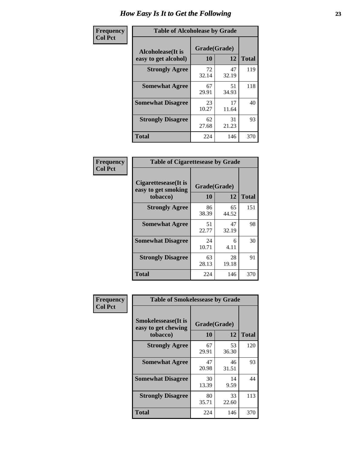| Frequency      | <b>Table of Alcoholease by Grade</b>              |                    |             |              |  |  |  |  |  |
|----------------|---------------------------------------------------|--------------------|-------------|--------------|--|--|--|--|--|
| <b>Col Pct</b> | <b>Alcoholease</b> (It is<br>easy to get alcohol) | Grade(Grade)<br>10 | 12          | <b>Total</b> |  |  |  |  |  |
|                | <b>Strongly Agree</b>                             | 72<br>32.14        | 47<br>32.19 | 119          |  |  |  |  |  |
|                | <b>Somewhat Agree</b>                             | 67<br>29.91        | 51<br>34.93 | 118          |  |  |  |  |  |
|                | <b>Somewhat Disagree</b>                          | 23<br>10.27        | 17<br>11.64 | 40           |  |  |  |  |  |
|                | <b>Strongly Disagree</b>                          | 62<br>27.68        | 31<br>21.23 | 93           |  |  |  |  |  |
|                | <b>Total</b>                                      | 224                | 146         | 370          |  |  |  |  |  |

| Frequency      | <b>Table of Cigarettesease by Grade</b>                 |                    |             |              |  |  |  |  |  |
|----------------|---------------------------------------------------------|--------------------|-------------|--------------|--|--|--|--|--|
| <b>Col Pct</b> | Cigarettesease(It is<br>easy to get smoking<br>tobacco) | Grade(Grade)<br>10 | 12          | <b>Total</b> |  |  |  |  |  |
|                | <b>Strongly Agree</b>                                   | 86<br>38.39        | 65<br>44.52 | 151          |  |  |  |  |  |
|                | <b>Somewhat Agree</b>                                   | 51<br>22.77        | 47<br>32.19 | 98           |  |  |  |  |  |
|                | <b>Somewhat Disagree</b>                                | 24<br>10.71        | 6<br>4.11   | 30           |  |  |  |  |  |
|                | <b>Strongly Disagree</b>                                | 63<br>28.13        | 28<br>19.18 | 91           |  |  |  |  |  |
|                | <b>Total</b>                                            | 224                | 146         | 370          |  |  |  |  |  |

| Frequency      | <b>Table of Smokelessease by Grade</b>             |              |             |              |  |  |  |  |
|----------------|----------------------------------------------------|--------------|-------------|--------------|--|--|--|--|
| <b>Col Pct</b> | <b>Smokelessease</b> (It is<br>easy to get chewing | Grade(Grade) |             |              |  |  |  |  |
|                | tobacco)                                           | 10           | 12          | <b>Total</b> |  |  |  |  |
|                | <b>Strongly Agree</b>                              | 67<br>29.91  | 53<br>36.30 | 120          |  |  |  |  |
|                | <b>Somewhat Agree</b>                              | 47<br>20.98  | 46<br>31.51 | 93           |  |  |  |  |
|                | <b>Somewhat Disagree</b>                           | 30<br>13.39  | 14<br>9.59  | 44           |  |  |  |  |
|                | <b>Strongly Disagree</b>                           | 80<br>35.71  | 33<br>22.60 | 113          |  |  |  |  |
|                | <b>Total</b>                                       | 224          | 146         | 370          |  |  |  |  |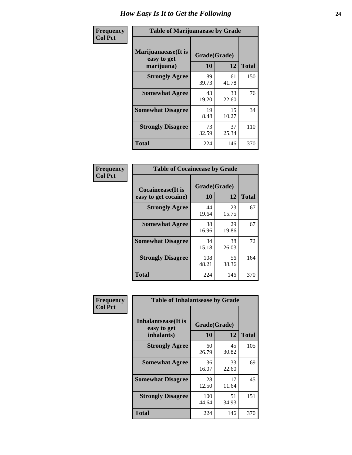| Frequency      | <b>Table of Marijuanaease by Grade</b>           |                    |             |              |  |  |  |  |
|----------------|--------------------------------------------------|--------------------|-------------|--------------|--|--|--|--|
| <b>Col Pct</b> | Marijuanaease(It is<br>easy to get<br>marijuana) | Grade(Grade)<br>10 | 12          | <b>Total</b> |  |  |  |  |
|                | <b>Strongly Agree</b>                            | 89<br>39.73        | 61<br>41.78 | 150          |  |  |  |  |
|                | <b>Somewhat Agree</b>                            | 43<br>19.20        | 33<br>22.60 | 76           |  |  |  |  |
|                | <b>Somewhat Disagree</b>                         | 19<br>8.48         | 15<br>10.27 | 34           |  |  |  |  |
|                | <b>Strongly Disagree</b>                         | 73<br>32.59        | 37<br>25.34 | 110          |  |  |  |  |
|                | <b>Total</b>                                     | 224                | 146         | 370          |  |  |  |  |

| <b>Table of Cocaineease by Grade</b>              |                    |             |              |  |  |  |  |  |
|---------------------------------------------------|--------------------|-------------|--------------|--|--|--|--|--|
| <b>Cocaineease</b> (It is<br>easy to get cocaine) | Grade(Grade)<br>10 | 12          | <b>Total</b> |  |  |  |  |  |
| <b>Strongly Agree</b>                             | 44<br>19.64        | 23<br>15.75 | 67           |  |  |  |  |  |
| <b>Somewhat Agree</b>                             | 38<br>16.96        | 29<br>19.86 | 67           |  |  |  |  |  |
| <b>Somewhat Disagree</b>                          | 34<br>15.18        | 38<br>26.03 | 72           |  |  |  |  |  |
| <b>Strongly Disagree</b>                          | 108<br>48.21       | 56<br>38.36 | 164          |  |  |  |  |  |
| <b>Total</b>                                      | 224                | 146         | 370          |  |  |  |  |  |

| Frequency      | <b>Table of Inhalantsease by Grade</b>                   |                           |              |     |
|----------------|----------------------------------------------------------|---------------------------|--------------|-----|
| <b>Col Pct</b> | <b>Inhalantsease</b> (It is<br>easy to get<br>inhalants) | Grade(Grade)<br><b>10</b> | <b>Total</b> |     |
|                | <b>Strongly Agree</b>                                    | 60<br>26.79               | 45<br>30.82  | 105 |
|                | <b>Somewhat Agree</b>                                    | 36<br>16.07               | 33<br>22.60  | 69  |
|                | <b>Somewhat Disagree</b>                                 | 28<br>12.50               | 17<br>11.64  | 45  |
|                | <b>Strongly Disagree</b>                                 | 100<br>44.64              | 51<br>34.93  | 151 |
|                | <b>Total</b>                                             | 224                       | 146          | 370 |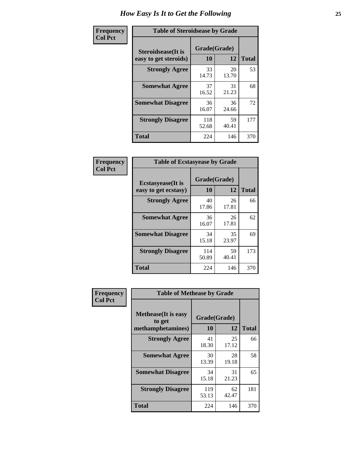| Frequency      |                                                     | <b>Table of Steroidsease by Grade</b> |             |              |  |  |  |  |  |  |
|----------------|-----------------------------------------------------|---------------------------------------|-------------|--------------|--|--|--|--|--|--|
| <b>Col Pct</b> | <b>Steroidsease</b> (It is<br>easy to get steroids) | Grade(Grade)<br>10                    | 12          | <b>Total</b> |  |  |  |  |  |  |
|                | <b>Strongly Agree</b>                               | 33<br>14.73                           | 20<br>13.70 | 53           |  |  |  |  |  |  |
|                | <b>Somewhat Agree</b>                               | 37<br>16.52                           | 31<br>21.23 | 68           |  |  |  |  |  |  |
|                | <b>Somewhat Disagree</b>                            | 36<br>16.07                           | 36<br>24.66 | 72           |  |  |  |  |  |  |
|                | <b>Strongly Disagree</b>                            | 118<br>52.68                          | 59<br>40.41 | 177          |  |  |  |  |  |  |
|                | Total                                               | 224                                   | 146         | 370          |  |  |  |  |  |  |

| Frequency      | <b>Table of Ecstasyease by Grade</b>              |                           |             |              |  |  |  |  |  |  |
|----------------|---------------------------------------------------|---------------------------|-------------|--------------|--|--|--|--|--|--|
| <b>Col Pct</b> | <b>Ecstasyease</b> (It is<br>easy to get ecstasy) | Grade(Grade)<br><b>10</b> | 12          | <b>Total</b> |  |  |  |  |  |  |
|                | <b>Strongly Agree</b>                             | 40<br>17.86               | 26<br>17.81 | 66           |  |  |  |  |  |  |
|                | <b>Somewhat Agree</b>                             | 36<br>16.07               | 26<br>17.81 | 62           |  |  |  |  |  |  |
|                | <b>Somewhat Disagree</b>                          | 34<br>15.18               | 35<br>23.97 | 69           |  |  |  |  |  |  |
|                | <b>Strongly Disagree</b>                          | 114<br>50.89              | 59<br>40.41 | 173          |  |  |  |  |  |  |
|                | Total                                             | 224                       | 146         | 370          |  |  |  |  |  |  |

| Frequency      | <b>Table of Methease by Grade</b>                          |                    |              |     |
|----------------|------------------------------------------------------------|--------------------|--------------|-----|
| <b>Col Pct</b> | <b>Methease</b> (It is easy<br>to get<br>methamphetamines) | Grade(Grade)<br>10 | <b>Total</b> |     |
|                | <b>Strongly Agree</b>                                      | 41<br>18.30        | 25<br>17.12  | 66  |
|                | <b>Somewhat Agree</b>                                      | 30<br>13.39        | 28<br>19.18  | 58  |
|                | <b>Somewhat Disagree</b>                                   | 34<br>15.18        | 31<br>21.23  | 65  |
|                | <b>Strongly Disagree</b>                                   | 119<br>53.13       | 62<br>42.47  | 181 |
|                | <b>Total</b>                                               | 224                | 146          | 370 |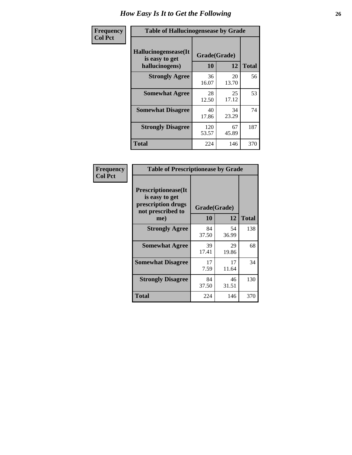| <b>Frequency</b> | <b>Table of Hallucinogensease by Grade</b>               |                    |             |              |  |  |  |  |  |  |
|------------------|----------------------------------------------------------|--------------------|-------------|--------------|--|--|--|--|--|--|
| <b>Col Pct</b>   | Hallucinogensease(It<br>is easy to get<br>hallucinogens) | Grade(Grade)<br>10 | 12          | <b>Total</b> |  |  |  |  |  |  |
|                  | <b>Strongly Agree</b>                                    | 36<br>16.07        | 20<br>13.70 | 56           |  |  |  |  |  |  |
|                  | <b>Somewhat Agree</b>                                    | 28<br>12.50        | 25<br>17.12 | 53           |  |  |  |  |  |  |
|                  | <b>Somewhat Disagree</b>                                 | 40<br>17.86        | 34<br>23.29 | 74           |  |  |  |  |  |  |
|                  | <b>Strongly Disagree</b>                                 | 120<br>53.57       | 67<br>45.89 | 187          |  |  |  |  |  |  |
|                  | <b>Total</b>                                             | 224                | 146         | 370          |  |  |  |  |  |  |

| Frequency<br>Col Pct |
|----------------------|
|                      |

| <b>Table of Prescriptionease by Grade</b>                                                |             |              |              |
|------------------------------------------------------------------------------------------|-------------|--------------|--------------|
| <b>Prescriptionease</b> (It<br>is easy to get<br>prescription drugs<br>not prescribed to |             | Grade(Grade) |              |
| me)                                                                                      | 10          | 12           | <b>Total</b> |
| <b>Strongly Agree</b>                                                                    | 84<br>37.50 | 54<br>36.99  | 138          |
| <b>Somewhat Agree</b>                                                                    | 39<br>17.41 | 29<br>19.86  | 68           |
| <b>Somewhat Disagree</b>                                                                 | 17<br>7.59  | 17<br>11.64  | 34           |
| <b>Strongly Disagree</b>                                                                 | 84<br>37.50 | 46<br>31.51  | 130          |
| <b>Total</b>                                                                             | 224         | 146          | 370          |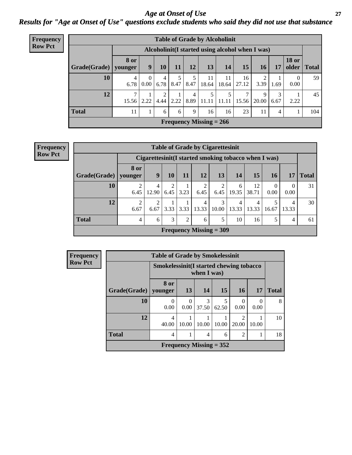#### *Age at Onset of Use* **27** *Results for "Age at Onset of Use" questions exclude students who said they did not use that substance*

| Frequency      | <b>Table of Grade by Alcoholinit</b> |                        |                      |                        |           |                |                           |             |                                                  |                 |           |                          |              |
|----------------|--------------------------------------|------------------------|----------------------|------------------------|-----------|----------------|---------------------------|-------------|--------------------------------------------------|-----------------|-----------|--------------------------|--------------|
| <b>Row Pct</b> |                                      |                        |                      |                        |           |                |                           |             | Alcoholinit (I started using alcohol when I was) |                 |           |                          |              |
|                | Grade(Grade)                         | <b>8 or</b><br>younger | 9                    | 10                     | 11        | 12             | 13                        | 14          | 15                                               | 16 <sup>1</sup> | 17        | <b>18 or</b><br>older    | <b>Total</b> |
|                | 10                                   | $\overline{4}$<br>6.78 | $\Omega$<br>$0.00\,$ | $\overline{4}$<br>6.78 | 5<br>8.47 | 8.47           | 11<br>18.64               | 11<br>18.64 | 16<br>27.12                                      | 2<br>3.39       | 1.69      | $\boldsymbol{0}$<br>0.00 | 59           |
|                | 12                                   | 7<br>15.56             | 2.22                 | 2<br>4.44              | 2.22      | $\overline{4}$ | 5<br>$8.89$   11.11       | 11.11       | 15.56                                            | 9<br>20.00      | 3<br>6.67 | 2.22                     | 45           |
|                | <b>Total</b>                         | 11                     | $\bf{I}$             | 6                      | 6         | 9              | 16                        | 16          | 23                                               | 11              | 4         |                          | 104          |
|                |                                      |                        |                      |                        |           |                | Frequency Missing $= 266$ |             |                                                  |                 |           |                          |              |

**Frequency Row Pct**

|                        | <b>Table of Grade by Cigarettesinit</b> |                                                       |           |                |                           |            |            |             |                  |            |              |  |
|------------------------|-----------------------------------------|-------------------------------------------------------|-----------|----------------|---------------------------|------------|------------|-------------|------------------|------------|--------------|--|
|                        |                                         | Cigarettesinit (I started smoking tobacco when I was) |           |                |                           |            |            |             |                  |            |              |  |
| Grade(Grade)   younger | 8 or                                    | 9                                                     | 10        | 11             | 12                        | 13         | 14         | <b>15</b>   | <b>16</b>        | 17         | <b>Total</b> |  |
| 10                     | 2<br>6.45                               | 4<br>12.90                                            | 2<br>6.45 | 3.23           | $\overline{2}$<br>6.45    | 6.45       | 6<br>19.35 | 12<br>38.71 | $\Omega$<br>0.00 | 0.00       | 31           |  |
| 12                     | $\overline{2}$<br>6.67                  | $\overline{2}$<br>6.67                                | 3.33      | 3.33           | 4<br>13.33                | 3<br>10.00 | 4<br>13.33 | 4<br>13.33  | 5<br>16.67       | 4<br>13.33 | 30           |  |
| <b>Total</b>           | 4                                       | 6                                                     | 3         | $\overline{2}$ | 6                         | 5          | 10         | 16          | 5                | 4          | 61           |  |
|                        |                                         |                                                       |           |                | Frequency Missing $=$ 309 |            |            |             |                  |            |              |  |

| <b>Frequency</b> |                        | <b>Table of Grade by Smokelessinit</b>   |       |             |                           |                  |           |              |  |  |  |
|------------------|------------------------|------------------------------------------|-------|-------------|---------------------------|------------------|-----------|--------------|--|--|--|
| <b>Row Pct</b>   |                        | Smokelessinit (I started chewing tobacco |       | when I was) |                           |                  |           |              |  |  |  |
|                  | Grade(Grade)   younger | 8 or                                     | 13    | 14          | 15                        | 16               | 17        | <b>Total</b> |  |  |  |
|                  | 10                     | $\theta$<br>0.00                         | 0.00  | 3<br>37.50  | 62.50                     | $\Omega$<br>0.00 | 0<br>0.00 | 8            |  |  |  |
|                  | 12                     | 4<br>40.00                               | 10.00 | 10.00       | 10.00                     | 20.00            | 10.00     | 10           |  |  |  |
|                  | <b>Total</b>           | 4                                        |       | 4           | 6                         | 2                |           | 18           |  |  |  |
|                  |                        |                                          |       |             | Frequency Missing $= 352$ |                  |           |              |  |  |  |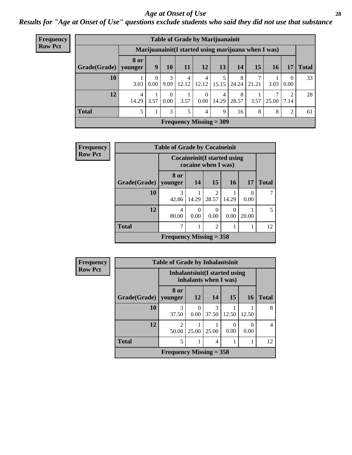#### *Age at Onset of Use* **28**

*Results for "Age at Onset of Use" questions exclude students who said they did not use that substance*

| Frequency      | <b>Table of Grade by Marijuanainit</b> |                                                      |                  |               |                           |                  |            |            |       |            |                  |              |
|----------------|----------------------------------------|------------------------------------------------------|------------------|---------------|---------------------------|------------------|------------|------------|-------|------------|------------------|--------------|
| <b>Row Pct</b> |                                        | Marijuanainit (I started using marijuana when I was) |                  |               |                           |                  |            |            |       |            |                  |              |
|                | Grade(Grade)                           | <b>8 or</b><br>younger                               | 9                | 10            | 11                        | <b>12</b>        | 13         | 14         | 15    | 16         | 17               | <b>Total</b> |
|                | 10                                     | 3.03                                                 | $\theta$<br>0.00 | 3<br>9.09     | $\overline{4}$<br>12.12   | 4<br>12.12       | 5<br>15.15 | 8<br>24.24 | 21.21 | 3.03       | $\theta$<br>0.00 | 33           |
|                | 12                                     | 4<br>14.29                                           | 3.57             | $0.00\,$      | 3.57                      | $\theta$<br>0.00 | 4<br>14.29 | 8<br>28.57 | 3.57  | ⇁<br>25.00 | 2<br>7.14        | 28           |
|                | <b>Total</b>                           | 5                                                    |                  | $\mathcal{E}$ | 5                         | 4                | 9          | 16         | 8     | 8          | 2                | 61           |
|                |                                        |                                                      |                  |               | Frequency Missing $=$ 309 |                  |            |            |       |            |                  |              |

| Frequency      |              | <b>Table of Grade by Cocaineinit</b> |           |                                                            |                  |                  |              |
|----------------|--------------|--------------------------------------|-----------|------------------------------------------------------------|------------------|------------------|--------------|
| <b>Row Pct</b> |              |                                      |           | <b>Cocaineinit</b> (I started using<br>cocaine when I was) |                  |                  |              |
|                | Grade(Grade) | 8 or<br>  younger                    | 14        | 15                                                         | <b>16</b>        | <b>17</b>        | <b>Total</b> |
|                | 10           | 3<br>42.86                           | 14.29     | $\mathfrak{D}$<br>28.57                                    | 14.29            | $\Omega$<br>0.00 |              |
|                | 12           | 4<br>80.00                           | 0<br>0.00 | $\Omega$<br>0.00                                           | $\left($<br>0.00 | 20.00            |              |
|                | <b>Total</b> |                                      |           | $\mathfrak{D}$                                             |                  |                  | 12           |
|                |              | Frequency Missing $=$ 358            |           |                                                            |                  |                  |              |

| <b>Frequency</b> |                        | <b>Table of Grade by Inhalantsinit</b> |                  |                                                         |       |           |                |
|------------------|------------------------|----------------------------------------|------------------|---------------------------------------------------------|-------|-----------|----------------|
| <b>Row Pct</b>   |                        |                                        |                  | Inhalantsinit (I started using<br>inhalants when I was) |       |           |                |
|                  | Grade(Grade)   younger | 8 or                                   | 12               | 14                                                      | 15    | <b>16</b> | <b>Total</b>   |
|                  | 10                     | 3<br>37.50                             | $\theta$<br>0.00 | 3<br>37.50                                              | 12.50 | 12.50     | 8              |
|                  | 12                     | $\mathfrak{D}$<br>50.00                | 25.00            | 25.00                                                   | 0.00  | ∩<br>0.00 | $\overline{4}$ |
|                  | <b>Total</b>           | 5                                      |                  | 4                                                       |       |           | 12             |
|                  |                        | Frequency Missing $=$ 358              |                  |                                                         |       |           |                |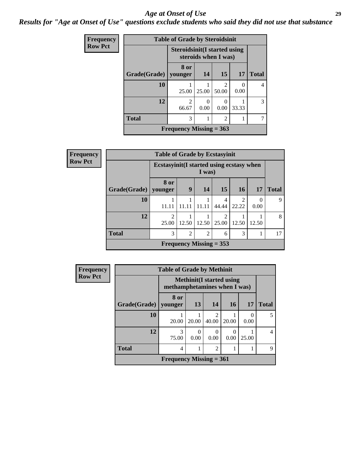#### *Age at Onset of Use* **29**

*Results for "Age at Onset of Use" questions exclude students who said they did not use that substance*

| <b>Frequency</b> |              |                                      | <b>Table of Grade by Steroidsinit</b> |                                      |                  |              |  |  |
|------------------|--------------|--------------------------------------|---------------------------------------|--------------------------------------|------------------|--------------|--|--|
| <b>Row Pct</b>   |              | <b>Steroidsinit (I started using</b> | steroids when I was)                  |                                      |                  |              |  |  |
|                  | Grade(Grade) | 8 or<br>vounger                      | 14                                    | 15                                   | 17               | <b>Total</b> |  |  |
|                  | 10           | 25.00                                | 25.00                                 | $\mathcal{D}_{\mathcal{L}}$<br>50.00 | $\Omega$<br>0.00 | 4            |  |  |
|                  | 12           | $\mathfrak{D}$<br>66.67              | 0<br>0.00                             | 0.00                                 | 33.33            | 3            |  |  |
|                  | <b>Total</b> | 3<br>$\overline{2}$                  |                                       |                                      |                  |              |  |  |
|                  |              | Frequency Missing $= 363$            |                                       |                                      |                  |              |  |  |

| Frequency      | <b>Table of Grade by Ecstasyinit</b>                |                                      |       |                           |            |                         |                  |              |
|----------------|-----------------------------------------------------|--------------------------------------|-------|---------------------------|------------|-------------------------|------------------|--------------|
| <b>Row Pct</b> | Ecstasyinit (I started using ecstasy when<br>I was) |                                      |       |                           |            |                         |                  |              |
|                | Grade(Grade)                                        | 8 or<br>younger                      | 9     | 14                        | 15         | <b>16</b>               | <b>17</b>        | <b>Total</b> |
|                | 10                                                  | 11.11                                |       |                           | 4<br>44.44 | $\overline{c}$<br>22.22 | $\theta$<br>0.00 | 9            |
|                | 12                                                  | $\mathcal{D}_{\mathcal{L}}$<br>25.00 | 12.50 | 12.50                     | 2<br>25.00 | 12.50                   | 12.50            | 8            |
|                | <b>Total</b>                                        | 3                                    | 2     | $\overline{2}$            | 6          | 3                       |                  | 17           |
|                |                                                     |                                      |       | Frequency Missing $= 353$ |            |                         |                  |              |

| <b>Frequency</b> |              | <b>Table of Grade by Methinit</b> |           |                |                                  |       |                |  |
|------------------|--------------|-----------------------------------|-----------|----------------|----------------------------------|-------|----------------|--|
| <b>Row Pct</b>   |              | methamphetamines when I was)      |           |                | <b>Methinit</b> (I started using |       |                |  |
|                  | Grade(Grade) | 8 or<br>younger                   | 13        | 14             | <b>16</b>                        | 17    | <b>Total</b>   |  |
|                  | 10           | 20.00                             | 20.00     | 2<br>40.00     | 20.00                            | 0.00  | 5              |  |
|                  | 12           | 3<br>75.00                        | 0<br>0.00 | 0<br>0.00      | 0.00                             | 25.00 | $\overline{4}$ |  |
|                  | <b>Total</b> | 4                                 |           | $\overline{2}$ |                                  |       | 9              |  |
|                  |              | Frequency Missing $= 361$         |           |                |                                  |       |                |  |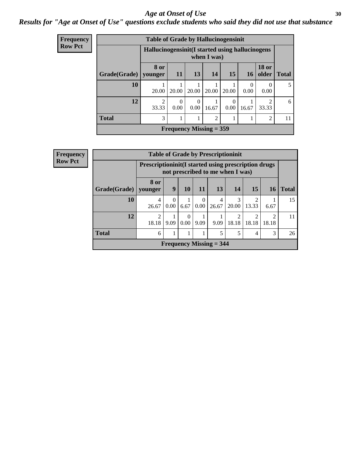#### Age at Onset of Use **30**

### *Results for "Age at Onset of Use" questions exclude students who said they did not use that substance*

| Frequency      | <b>Table of Grade by Hallucinogensinit</b> |                                                  |                           |                  |                 |                  |                          |                       |              |
|----------------|--------------------------------------------|--------------------------------------------------|---------------------------|------------------|-----------------|------------------|--------------------------|-----------------------|--------------|
| <b>Row Pct</b> |                                            | Hallucinogensinit (I started using hallucinogens |                           |                  | when I was)     |                  |                          |                       |              |
|                | Grade(Grade)                               | 8 or<br>younger                                  | <b>11</b>                 | 13               | 14 <sup>1</sup> | 15               | <b>16</b>                | <b>18 or</b><br>older | <b>Total</b> |
|                | 10                                         | 20.00                                            | 20.00                     | 20.00            | 20.00           | 20.00            | $\left( \right)$<br>0.00 | 0.00                  | 5            |
|                | 12                                         | $\mathfrak{D}$<br>33.33                          | $\Omega$<br>0.00          | $\Omega$<br>0.00 | 16.67           | $\Omega$<br>0.00 | 16.67                    | ∍<br>33.33            | 6            |
|                | <b>Total</b>                               | 3                                                |                           |                  | $\overline{2}$  |                  |                          | $\mathcal{D}$         | 11           |
|                |                                            |                                                  | Frequency Missing $=$ 359 |                  |                 |                  |                          |                       |              |

| <b>Frequency</b> |                        | <b>Table of Grade by Prescriptioninit</b>            |           |                  |                  |                                  |                         |                         |            |              |  |
|------------------|------------------------|------------------------------------------------------|-----------|------------------|------------------|----------------------------------|-------------------------|-------------------------|------------|--------------|--|
| <b>Row Pct</b>   |                        | Prescriptioninit (I started using prescription drugs |           |                  |                  | not prescribed to me when I was) |                         |                         |            |              |  |
|                  | Grade(Grade)   younger | 8 or                                                 | 9         | 10               | 11               | <b>13</b>                        | 14                      | 15                      | 16         | <b>Total</b> |  |
|                  | 10                     | 4<br>26.67                                           | 0<br>0.00 | 6.67             | $\theta$<br>0.00 | 4<br>26.67                       | 3<br>20.00              | $\overline{2}$<br>13.33 | 6.67       | 15           |  |
|                  | 12                     | $\overline{2}$<br>18.18                              | 9.09      | $\Omega$<br>0.00 | 9.09             | 9.09                             | $\mathfrak{D}$<br>18.18 | $\overline{2}$<br>18.18 | ∍<br>18.18 | 11           |  |
|                  | <b>Total</b>           | 6                                                    | 1         |                  |                  | 5                                | 5                       | 4                       | 3          | 26           |  |
|                  |                        |                                                      |           |                  |                  | Frequency Missing $=$ 344        |                         |                         |            |              |  |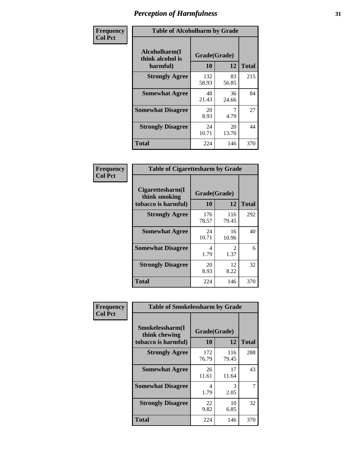| Frequency      | <b>Table of Alcoholharm by Grade</b>          |                    |             |              |  |  |  |
|----------------|-----------------------------------------------|--------------------|-------------|--------------|--|--|--|
| <b>Col Pct</b> | Alcoholharm(I<br>think alcohol is<br>harmful) | Grade(Grade)<br>10 | 12          | <b>Total</b> |  |  |  |
|                | <b>Strongly Agree</b>                         | 132<br>58.93       | 83<br>56.85 | 215          |  |  |  |
|                | <b>Somewhat Agree</b>                         | 48<br>21.43        | 36<br>24.66 | 84           |  |  |  |
|                | <b>Somewhat Disagree</b>                      | 20<br>8.93         | 4.79        | 27           |  |  |  |
|                | <b>Strongly Disagree</b>                      | 24<br>10.71        | 20<br>13.70 | 44           |  |  |  |
|                | <b>Total</b>                                  | 224                | 146         | 370          |  |  |  |

| <b>Table of Cigarettesharm by Grade</b>                  |                    |                        |              |  |  |  |  |
|----------------------------------------------------------|--------------------|------------------------|--------------|--|--|--|--|
| Cigarettesharm(I<br>think smoking<br>tobacco is harmful) | Grade(Grade)<br>10 | 12                     | <b>Total</b> |  |  |  |  |
| <b>Strongly Agree</b>                                    | 176<br>78.57       | 116<br>79.45           | 292          |  |  |  |  |
| <b>Somewhat Agree</b>                                    | 24<br>10.71        | 16<br>10.96            | 40           |  |  |  |  |
| <b>Somewhat Disagree</b>                                 | 4<br>1.79          | $\mathfrak{D}$<br>1.37 | 6            |  |  |  |  |
| <b>Strongly Disagree</b>                                 | 20<br>8.93         | 12<br>8.22             | 32           |  |  |  |  |
| Total                                                    | 224                | 146                    | 370          |  |  |  |  |

| Frequency      | <b>Table of Smokelessharm by Grade</b>                  |                    |              |              |  |  |  |  |
|----------------|---------------------------------------------------------|--------------------|--------------|--------------|--|--|--|--|
| <b>Col Pct</b> | Smokelessharm(I<br>think chewing<br>tobacco is harmful) | Grade(Grade)<br>10 | 12           | <b>Total</b> |  |  |  |  |
|                | <b>Strongly Agree</b>                                   | 172<br>76.79       | 116<br>79.45 | 288          |  |  |  |  |
|                | <b>Somewhat Agree</b>                                   | 26<br>11.61        | 17<br>11.64  | 43           |  |  |  |  |
|                | <b>Somewhat Disagree</b>                                | 4<br>1.79          | 3<br>2.05    |              |  |  |  |  |
|                | <b>Strongly Disagree</b>                                | 22<br>9.82         | 10<br>6.85   | 32           |  |  |  |  |
|                | <b>Total</b>                                            | 224                | 146          | 370          |  |  |  |  |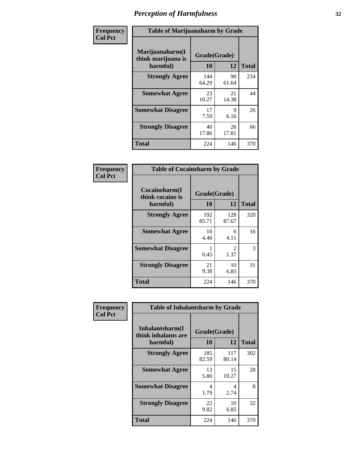| Frequency      |                                                   | <b>Table of Marijuanaharm by Grade</b> |             |              |  |  |  |  |
|----------------|---------------------------------------------------|----------------------------------------|-------------|--------------|--|--|--|--|
| <b>Col Pct</b> | Marijuanaharm(I<br>think marijuana is<br>harmful) | Grade(Grade)<br>10                     | 12          | <b>Total</b> |  |  |  |  |
|                | <b>Strongly Agree</b>                             | 144<br>64.29                           | 90<br>61.64 | 234          |  |  |  |  |
|                | <b>Somewhat Agree</b>                             | 23<br>10.27                            | 21<br>14.38 | 44           |  |  |  |  |
|                | <b>Somewhat Disagree</b>                          | 17<br>7.59                             | 9<br>6.16   | 26           |  |  |  |  |
|                | <b>Strongly Disagree</b>                          | 40<br>17.86                            | 26<br>17.81 | 66           |  |  |  |  |
|                | <b>Total</b>                                      | 224                                    | 146         | 370          |  |  |  |  |

| <b>Table of Cocaineharm by Grade</b>          |                    |                        |              |  |  |  |  |
|-----------------------------------------------|--------------------|------------------------|--------------|--|--|--|--|
| Cocaineharm(I<br>think cocaine is<br>harmful) | Grade(Grade)<br>10 | 12                     | <b>Total</b> |  |  |  |  |
| <b>Strongly Agree</b>                         | 192<br>85.71       | 128<br>87.67           | 320          |  |  |  |  |
| <b>Somewhat Agree</b>                         | 10<br>4.46         | 6<br>4.11              | 16           |  |  |  |  |
| <b>Somewhat Disagree</b>                      | 0.45               | $\mathfrak{D}$<br>1.37 | 3            |  |  |  |  |
| <b>Strongly Disagree</b>                      | 21<br>9.38         | 10<br>6.85             | 31           |  |  |  |  |
| Total                                         | 224                | 146                    | 370          |  |  |  |  |

| Frequency      |                                                    | <b>Table of Inhalantsharm by Grade</b> |              |              |  |  |  |  |
|----------------|----------------------------------------------------|----------------------------------------|--------------|--------------|--|--|--|--|
| <b>Col Pct</b> | Inhalantsharm(I<br>think inhalants are<br>harmful) | Grade(Grade)<br>10                     | <b>12</b>    | <b>Total</b> |  |  |  |  |
|                | <b>Strongly Agree</b>                              | 185<br>82.59                           | 117<br>80.14 | 302          |  |  |  |  |
|                | <b>Somewhat Agree</b>                              | 13<br>5.80                             | 15<br>10.27  | 28           |  |  |  |  |
|                | <b>Somewhat Disagree</b>                           | 4<br>1.79                              | 4<br>2.74    | 8            |  |  |  |  |
|                | <b>Strongly Disagree</b>                           | 22<br>9.82                             | 10<br>6.85   | 32           |  |  |  |  |
|                | <b>Total</b>                                       | 224                                    | 146          | 370          |  |  |  |  |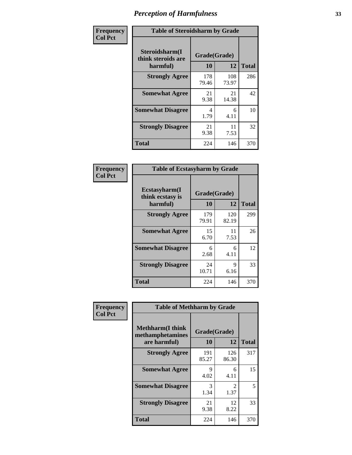| Frequency      | <b>Table of Steroidsharm by Grade</b>            |                    |              |              |
|----------------|--------------------------------------------------|--------------------|--------------|--------------|
| <b>Col Pct</b> | Steroidsharm(I<br>think steroids are<br>harmful) | Grade(Grade)<br>10 | 12           | <b>Total</b> |
|                | <b>Strongly Agree</b>                            | 178<br>79.46       | 108<br>73.97 | 286          |
|                | <b>Somewhat Agree</b>                            | 21<br>9.38         | 21<br>14.38  | 42           |
|                | <b>Somewhat Disagree</b>                         | 4<br>1.79          | 6<br>4.11    | 10           |
|                | <b>Strongly Disagree</b>                         | 21<br>9.38         | 11<br>7.53   | 32           |
|                | <b>Total</b>                                     | 224                | 146          | 370          |

| <b>Table of Ecstasyharm by Grade</b>          |                    |              |     |  |  |
|-----------------------------------------------|--------------------|--------------|-----|--|--|
| Ecstasyharm(I<br>think ecstasy is<br>harmful) | Grade(Grade)<br>10 | <b>Total</b> |     |  |  |
| <b>Strongly Agree</b>                         | 179<br>79.91       | 120<br>82.19 | 299 |  |  |
| <b>Somewhat Agree</b>                         | 15<br>6.70         | 11<br>7.53   | 26  |  |  |
| <b>Somewhat Disagree</b>                      | 6<br>2.68          | 6<br>4.11    | 12  |  |  |
| <b>Strongly Disagree</b>                      | 24<br>10.71        | 9<br>6.16    | 33  |  |  |
| <b>Total</b>                                  | 224                | 146          | 370 |  |  |

| Frequency      | <b>Table of Methharm by Grade</b>                            |                           |              |              |
|----------------|--------------------------------------------------------------|---------------------------|--------------|--------------|
| <b>Col Pct</b> | <b>Methharm</b> (I think<br>methamphetamines<br>are harmful) | Grade(Grade)<br><b>10</b> | 12           | <b>Total</b> |
|                | <b>Strongly Agree</b>                                        | 191<br>85.27              | 126<br>86.30 | 317          |
|                | <b>Somewhat Agree</b>                                        | 9<br>4.02                 | 6<br>4.11    | 15           |
|                | <b>Somewhat Disagree</b>                                     | 3<br>1.34                 | 2<br>1.37    | 5            |
|                | <b>Strongly Disagree</b>                                     | 21<br>9.38                | 12<br>8.22   | 33           |
|                | <b>Total</b>                                                 | 224                       | 146          | 370          |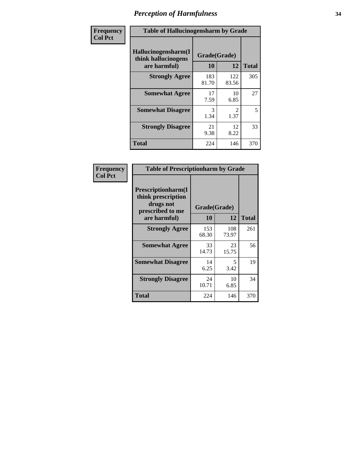| Frequency      | <b>Table of Hallucinogensharm by Grade</b>                 |                    |                       |              |
|----------------|------------------------------------------------------------|--------------------|-----------------------|--------------|
| <b>Col Pct</b> | Hallucinogensharm(I<br>think hallucinogens<br>are harmful) | Grade(Grade)<br>10 | 12                    | <b>Total</b> |
|                | <b>Strongly Agree</b>                                      | 183<br>81.70       | 122<br>83.56          | 305          |
|                | <b>Somewhat Agree</b>                                      | 17<br>7.59         | 10<br>6.85            | 27           |
|                | <b>Somewhat Disagree</b>                                   | 3<br>1.34          | $\mathcal{L}$<br>1.37 | 5            |
|                | <b>Strongly Disagree</b>                                   | 21<br>9.38         | 12<br>8.22            | 33           |
|                | <b>Total</b>                                               | 224                | 146                   | 370          |

| <b>Table of Prescriptionharm by Grade</b>                                 |              |              |              |  |
|---------------------------------------------------------------------------|--------------|--------------|--------------|--|
| Prescriptionharm(I<br>think prescription<br>drugs not<br>prescribed to me |              | Grade(Grade) |              |  |
| are harmful)                                                              | 10           | 12           | <b>Total</b> |  |
| <b>Strongly Agree</b>                                                     | 153<br>68.30 | 108<br>73.97 | 261          |  |
| <b>Somewhat Agree</b>                                                     | 33<br>14.73  | 23<br>15.75  | 56           |  |
| <b>Somewhat Disagree</b>                                                  | 14<br>6.25   | 5<br>3.42    | 19           |  |
| <b>Strongly Disagree</b>                                                  | 24<br>10.71  | 10<br>6.85   | 34           |  |
| Total                                                                     | 224          | 146          | 370          |  |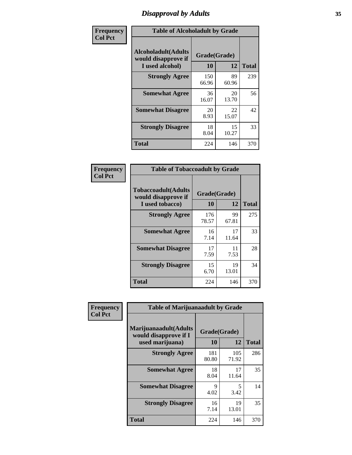# *Disapproval by Adults* **35**

| Frequency      | <b>Table of Alcoholadult by Grade</b>                                 |                    |             |              |
|----------------|-----------------------------------------------------------------------|--------------------|-------------|--------------|
| <b>Col Pct</b> | <b>Alcoholadult</b> (Adults<br>would disapprove if<br>I used alcohol) | Grade(Grade)<br>10 | 12          | <b>Total</b> |
|                | <b>Strongly Agree</b>                                                 | 150<br>66.96       | 89<br>60.96 | 239          |
|                | <b>Somewhat Agree</b>                                                 | 36<br>16.07        | 20<br>13.70 | 56           |
|                | <b>Somewhat Disagree</b>                                              | 20<br>8.93         | 22<br>15.07 | 42           |
|                | <b>Strongly Disagree</b>                                              | 18<br>8.04         | 15<br>10.27 | 33           |
|                | <b>Total</b>                                                          | 224                | 146         | 370          |

| <b>Table of Tobaccoadult by Grade</b>                                                             |              |             |     |  |  |
|---------------------------------------------------------------------------------------------------|--------------|-------------|-----|--|--|
| <b>Tobaccoadult</b> (Adults<br>Grade(Grade)<br>would disapprove if<br>12<br>10<br>I used tobacco) |              |             |     |  |  |
| <b>Strongly Agree</b>                                                                             | 176<br>78.57 | 99<br>67.81 | 275 |  |  |
| <b>Somewhat Agree</b>                                                                             | 16<br>7.14   | 17<br>11.64 | 33  |  |  |
| <b>Somewhat Disagree</b>                                                                          | 17<br>7.59   | 11<br>7.53  | 28  |  |  |
| <b>Strongly Disagree</b>                                                                          | 15<br>6.70   | 19<br>13.01 | 34  |  |  |
| <b>Total</b>                                                                                      | 224          | 146         | 370 |  |  |

| Frequency      | <b>Table of Marijuanaadult by Grade</b>                           |                    |              |              |
|----------------|-------------------------------------------------------------------|--------------------|--------------|--------------|
| <b>Col Pct</b> | Marijuanaadult(Adults<br>would disapprove if I<br>used marijuana) | Grade(Grade)<br>10 | 12           | <b>Total</b> |
|                | <b>Strongly Agree</b>                                             | 181<br>80.80       | 105<br>71.92 | 286          |
|                | <b>Somewhat Agree</b>                                             | 18<br>8.04         | 17<br>11.64  | 35           |
|                | <b>Somewhat Disagree</b>                                          | 9<br>4.02          | 5<br>3.42    | 14           |
|                | <b>Strongly Disagree</b>                                          | 16<br>7.14         | 19<br>13.01  | 35           |
|                | <b>Total</b>                                                      | 224                | 146          | 370          |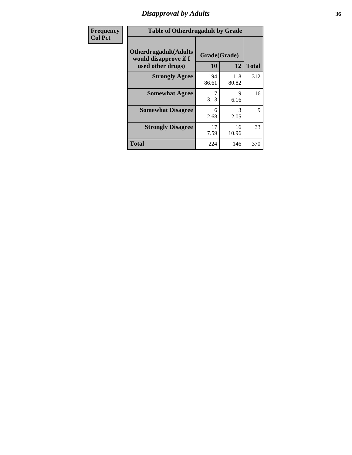# *Disapproval by Adults* **36**

| <b>Frequency</b> | <b>Table of Otherdrugadult by Grade</b>                                     |                    |              |              |
|------------------|-----------------------------------------------------------------------------|--------------------|--------------|--------------|
| <b>Col Pct</b>   | <b>Otherdrugadult</b> (Adults<br>would disapprove if I<br>used other drugs) | Grade(Grade)<br>10 | 12           | <b>Total</b> |
|                  | <b>Strongly Agree</b>                                                       | 194<br>86.61       | 118<br>80.82 | 312          |
|                  | <b>Somewhat Agree</b>                                                       | 3.13               | 9<br>6.16    | 16           |
|                  | <b>Somewhat Disagree</b>                                                    | 6<br>2.68          | 3<br>2.05    | 9            |
|                  | <b>Strongly Disagree</b>                                                    | 17<br>7.59         | 16<br>10.96  | 33           |
|                  | <b>Total</b>                                                                | 224                | 146          | 370          |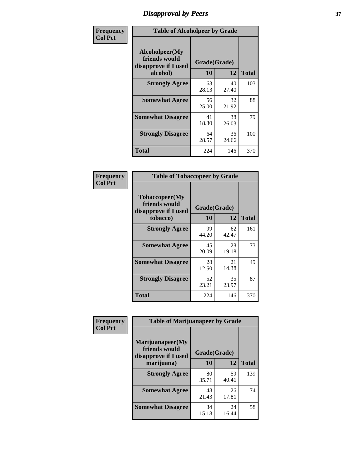# *Disapproval by Peers* **37**

| Frequency      | <b>Table of Alcoholpeer by Grade</b>                    |              |             |              |  |
|----------------|---------------------------------------------------------|--------------|-------------|--------------|--|
| <b>Col Pct</b> | Alcoholpeer(My<br>friends would<br>disapprove if I used | Grade(Grade) |             |              |  |
|                | alcohol)                                                | 10           | 12          | <b>Total</b> |  |
|                | <b>Strongly Agree</b>                                   | 63<br>28.13  | 40<br>27.40 | 103          |  |
|                | <b>Somewhat Agree</b>                                   | 56<br>25.00  | 32<br>21.92 | 88           |  |
|                | <b>Somewhat Disagree</b>                                | 41<br>18.30  | 38<br>26.03 | 79           |  |
|                | <b>Strongly Disagree</b>                                | 64<br>28.57  | 36<br>24.66 | 100          |  |
|                | Total                                                   | 224          | 146         | 370          |  |

| Frequency      | <b>Table of Tobaccopeer by Grade</b>                                |                           |             |              |  |
|----------------|---------------------------------------------------------------------|---------------------------|-------------|--------------|--|
| <b>Col Pct</b> | Tobaccopeer(My<br>friends would<br>disapprove if I used<br>tobacco) | Grade(Grade)<br><b>10</b> | 12          | <b>Total</b> |  |
|                | <b>Strongly Agree</b>                                               | 99<br>44.20               | 62<br>42.47 | 161          |  |
|                | <b>Somewhat Agree</b>                                               | 45<br>20.09               | 28<br>19.18 | 73           |  |
|                | <b>Somewhat Disagree</b>                                            | 28<br>12.50               | 21<br>14.38 | 49           |  |
|                | <b>Strongly Disagree</b>                                            | 52<br>23.21               | 35<br>23.97 | 87           |  |
|                | Total                                                               | 224                       | 146         | 370          |  |

| Frequency      | <b>Table of Marijuanapeer by Grade</b>                    |              |             |              |
|----------------|-----------------------------------------------------------|--------------|-------------|--------------|
| <b>Col Pct</b> | Marijuanapeer(My<br>friends would<br>disapprove if I used | Grade(Grade) |             |              |
|                | marijuana)                                                | <b>10</b>    | 12          | <b>Total</b> |
|                | <b>Strongly Agree</b>                                     | 80<br>35.71  | 59<br>40.41 | 139          |
|                | <b>Somewhat Agree</b>                                     | 48<br>21.43  | 26<br>17.81 | 74           |
|                | <b>Somewhat Disagree</b>                                  | 34<br>15.18  | 24<br>16.44 | 58           |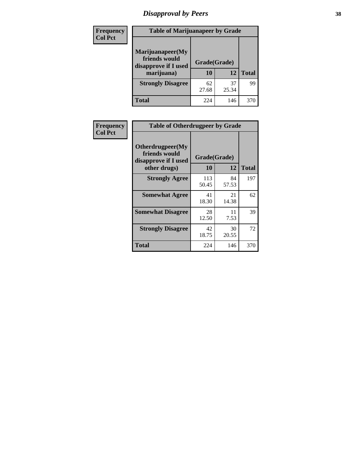# *Disapproval by Peers* **38**

| <b>Frequency</b> | <b>Table of Marijuanapeer by Grade</b>                                  |                           |             |              |  |
|------------------|-------------------------------------------------------------------------|---------------------------|-------------|--------------|--|
| <b>Col Pct</b>   | Marijuanapeer(My<br>friends would<br>disapprove if I used<br>marijuana) | Grade(Grade)<br><b>10</b> | 12          | <b>Total</b> |  |
|                  | <b>Strongly Disagree</b>                                                | 62<br>27.68               | 37<br>25.34 | 99           |  |
|                  | <b>Total</b>                                                            | 224                       | 146         | 370          |  |

| <b>Frequency</b> | <b>Table of Otherdrugpeer by Grade</b>                    |              |             |              |
|------------------|-----------------------------------------------------------|--------------|-------------|--------------|
| <b>Col Pct</b>   | Otherdrugpeer(My<br>friends would<br>disapprove if I used | Grade(Grade) |             |              |
|                  | other drugs)                                              | 10           | 12          | <b>Total</b> |
|                  | <b>Strongly Agree</b>                                     | 113<br>50.45 | 84<br>57.53 | 197          |
|                  | <b>Somewhat Agree</b>                                     | 41<br>18.30  | 21<br>14.38 | 62           |
|                  | <b>Somewhat Disagree</b>                                  | 28<br>12.50  | 11<br>7.53  | 39           |
|                  | <b>Strongly Disagree</b>                                  | 42<br>18.75  | 30<br>20.55 | 72           |
|                  | Total                                                     | 224          | 146         | 370          |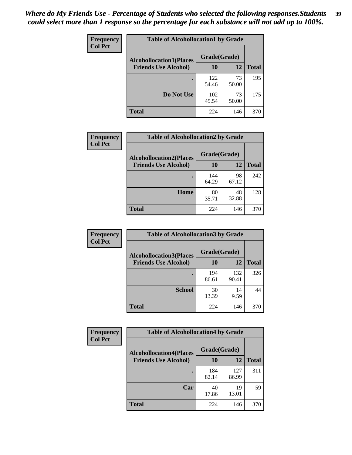| Frequency<br><b>Col Pct</b> | <b>Table of Alcohollocation1 by Grade</b> |              |             |              |
|-----------------------------|-------------------------------------------|--------------|-------------|--------------|
|                             | <b>Alcohollocation1(Places</b>            | Grade(Grade) |             |              |
|                             | <b>Friends Use Alcohol)</b>               | 10           | 12          | <b>Total</b> |
|                             |                                           | 122<br>54.46 | 73<br>50.00 | 195          |
|                             | Do Not Use                                | 102<br>45.54 | 73<br>50.00 | 175          |
|                             | <b>Total</b>                              | 224          | 146         | 370          |

| Frequency      | <b>Table of Alcohollocation2 by Grade</b>                     |                    |             |              |
|----------------|---------------------------------------------------------------|--------------------|-------------|--------------|
| <b>Col Pct</b> | <b>Alcohollocation2(Places</b><br><b>Friends Use Alcohol)</b> | Grade(Grade)<br>10 | <b>12</b>   | <b>Total</b> |
|                |                                                               | 144<br>64.29       | 98<br>67.12 | 242          |
|                | Home                                                          | 80<br>35.71        | 48<br>32.88 | 128          |
|                | <b>Total</b>                                                  | 224                | 146         | 370          |

| Frequency<br><b>Col Pct</b> | <b>Table of Alcohollocation 3 by Grade</b>                    |                    |              |              |
|-----------------------------|---------------------------------------------------------------|--------------------|--------------|--------------|
|                             | <b>Alcohollocation3(Places</b><br><b>Friends Use Alcohol)</b> | Grade(Grade)<br>10 | 12           | <b>Total</b> |
|                             |                                                               | 194<br>86.61       | 132<br>90.41 | 326          |
|                             | <b>School</b>                                                 | 30<br>13.39        | 14<br>9.59   | 44           |
|                             | <b>Total</b>                                                  | 224                | 146          | 370          |

| <b>Frequency</b> | <b>Table of Alcohollocation4 by Grade</b> |              |              |              |  |
|------------------|-------------------------------------------|--------------|--------------|--------------|--|
| <b>Col Pct</b>   | <b>Alcohollocation4(Places</b>            | Grade(Grade) |              |              |  |
|                  | <b>Friends Use Alcohol)</b>               | 10           | 12           | <b>Total</b> |  |
|                  |                                           | 184<br>82.14 | 127<br>86.99 | 311          |  |
|                  | Car                                       | 40<br>17.86  | 19<br>13.01  | 59           |  |
|                  | <b>Total</b>                              | 224          | 146          | 370          |  |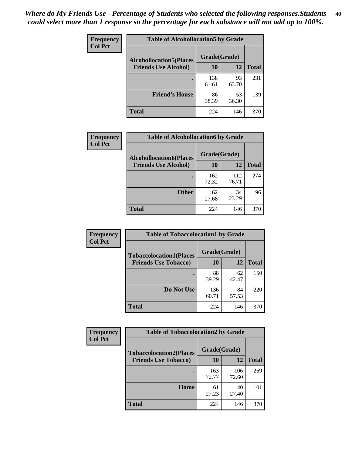| Frequency<br><b>Col Pct</b> | <b>Table of Alcohollocation5 by Grade</b> |              |             |              |  |
|-----------------------------|-------------------------------------------|--------------|-------------|--------------|--|
|                             | <b>Alcohollocation5(Places</b>            | Grade(Grade) |             |              |  |
|                             | <b>Friends Use Alcohol)</b>               | 10           | 12          | <b>Total</b> |  |
|                             |                                           | 138<br>61.61 | 93<br>63.70 | 231          |  |
|                             | <b>Friend's House</b>                     | 86<br>38.39  | 53<br>36.30 | 139          |  |
|                             | <b>Total</b>                              | 224          | 146         | 370          |  |

| <b>Frequency</b> | <b>Table of Alcohollocation6 by Grade</b> |              |              |              |
|------------------|-------------------------------------------|--------------|--------------|--------------|
| <b>Col Pct</b>   | <b>Alcohollocation6(Places</b>            | Grade(Grade) |              |              |
|                  | <b>Friends Use Alcohol)</b>               | 10           | 12           | <b>Total</b> |
|                  |                                           | 162<br>72.32 | 112<br>76.71 | 274          |
|                  | <b>Other</b>                              | 62<br>27.68  | 34<br>23.29  | 96           |
|                  | <b>Total</b>                              | 224          | 146          | 370          |

| <b>Frequency</b> | <b>Table of Tobaccolocation1 by Grade</b> |              |             |              |
|------------------|-------------------------------------------|--------------|-------------|--------------|
| <b>Col Pct</b>   | <b>Tobaccolocation1(Places</b>            | Grade(Grade) |             |              |
|                  | <b>Friends Use Tobacco)</b>               | 10           | 12          | <b>Total</b> |
|                  |                                           | 88<br>39.29  | 62<br>42.47 | 150          |
|                  | Do Not Use                                | 136<br>60.71 | 84<br>57.53 | 220          |
|                  | <b>Total</b>                              | 224          | 146         | 370          |

| <b>Frequency</b> | <b>Table of Tobaccolocation2 by Grade</b> |              |              |              |  |
|------------------|-------------------------------------------|--------------|--------------|--------------|--|
| <b>Col Pct</b>   | <b>Tobaccolocation2(Places</b>            | Grade(Grade) |              |              |  |
|                  | <b>Friends Use Tobacco)</b>               | 10           | 12           | <b>Total</b> |  |
|                  |                                           | 163<br>72.77 | 106<br>72.60 | 269          |  |
|                  | Home                                      | 61<br>27.23  | 40<br>27.40  | 101          |  |
|                  | <b>Total</b>                              | 224          | 146          | 370          |  |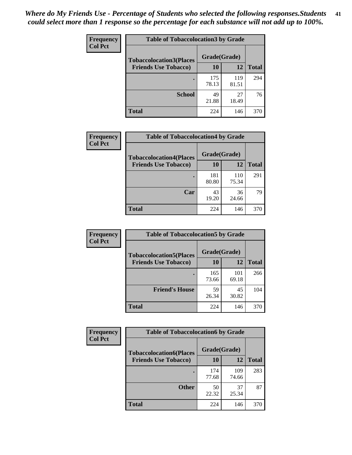| Frequency      | <b>Table of Tobaccolocation 3 by Grade</b> |              |              |              |  |
|----------------|--------------------------------------------|--------------|--------------|--------------|--|
| <b>Col Pct</b> | <b>Tobaccolocation3(Places</b>             | Grade(Grade) |              |              |  |
|                | <b>Friends Use Tobacco)</b>                | 10           | 12           | <b>Total</b> |  |
|                |                                            | 175<br>78.13 | 119<br>81.51 | 294          |  |
|                | <b>School</b>                              | 49<br>21.88  | 27<br>18.49  | 76           |  |
|                | <b>Total</b>                               | 224          | 146          | 370          |  |

| <b>Frequency</b> | <b>Table of Tobaccolocation4 by Grade</b> |              |              |              |
|------------------|-------------------------------------------|--------------|--------------|--------------|
| <b>Col Pct</b>   | <b>Tobaccolocation4(Places</b>            | Grade(Grade) |              |              |
|                  | <b>Friends Use Tobacco)</b>               | 10           | 12           | <b>Total</b> |
|                  |                                           | 181<br>80.80 | 110<br>75.34 | 291          |
|                  | Car                                       | 43<br>19.20  | 36<br>24.66  | 79           |
|                  | <b>Total</b>                              | 224          | 146          | 370          |

| Frequency<br><b>Col Pct</b> | <b>Table of Tobaccolocation5 by Grade</b> |              |              |              |
|-----------------------------|-------------------------------------------|--------------|--------------|--------------|
|                             | <b>Tobaccolocation5(Places</b>            | Grade(Grade) |              |              |
|                             | <b>Friends Use Tobacco)</b>               | 10           | 12           | <b>Total</b> |
|                             |                                           | 165<br>73.66 | 101<br>69.18 | 266          |
|                             | <b>Friend's House</b>                     | 59<br>26.34  | 45<br>30.82  | 104          |
|                             | <b>Total</b>                              | 224          | 146          | 370          |

| <b>Frequency</b> | <b>Table of Tobaccolocation6 by Grade</b> |              |              |              |  |
|------------------|-------------------------------------------|--------------|--------------|--------------|--|
| <b>Col Pct</b>   | <b>Tobaccolocation6(Places</b>            | Grade(Grade) |              |              |  |
|                  | <b>Friends Use Tobacco)</b>               | <b>10</b>    | 12           | <b>Total</b> |  |
|                  |                                           | 174<br>77.68 | 109<br>74.66 | 283          |  |
|                  | <b>Other</b>                              | 50<br>22.32  | 37<br>25.34  | 87           |  |
|                  | <b>Total</b>                              | 224          | 146          | 370          |  |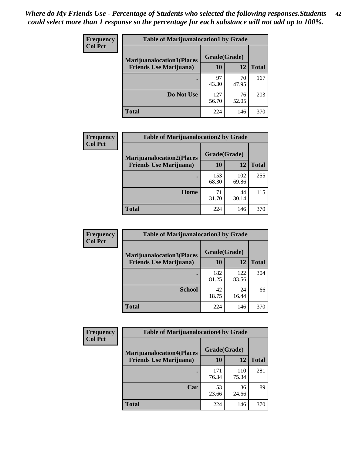| <b>Frequency</b> | <b>Table of Marijuanalocation1 by Grade</b> |              |             |              |
|------------------|---------------------------------------------|--------------|-------------|--------------|
| <b>Col Pct</b>   | <b>Marijuanalocation1(Places</b>            | Grade(Grade) |             |              |
|                  | <b>Friends Use Marijuana</b> )              | 10           | 12          | <b>Total</b> |
|                  |                                             | 97<br>43.30  | 70<br>47.95 | 167          |
|                  | Do Not Use                                  | 127<br>56.70 | 76<br>52.05 | 203          |
|                  | <b>Total</b>                                | 224          | 146         | 370          |

| <b>Frequency</b> | <b>Table of Marijuanalocation2 by Grade</b>                        |                    |              |              |
|------------------|--------------------------------------------------------------------|--------------------|--------------|--------------|
| <b>Col Pct</b>   | <b>Marijuanalocation2(Places</b><br><b>Friends Use Marijuana</b> ) | Grade(Grade)<br>10 | 12           | <b>Total</b> |
|                  |                                                                    | 153<br>68.30       | 102<br>69.86 | 255          |
|                  | Home                                                               | 71<br>31.70        | 44<br>30.14  | 115          |
|                  | <b>Total</b>                                                       | 224                | 146          | 370          |

| Frequency<br><b>Col Pct</b> | <b>Table of Marijuanalocation3 by Grade</b> |              |              |              |
|-----------------------------|---------------------------------------------|--------------|--------------|--------------|
|                             | <b>Marijuanalocation3(Places</b>            | Grade(Grade) |              |              |
|                             | <b>Friends Use Marijuana</b> )              | 10           | 12           | <b>Total</b> |
|                             |                                             | 182<br>81.25 | 122<br>83.56 | 304          |
|                             | <b>School</b>                               | 42<br>18.75  | 24<br>16.44  | 66           |
|                             | <b>Total</b>                                | 224          | 146          | 370          |

| Frequency      | <b>Table of Marijuanalocation4 by Grade</b> |              |              |              |  |
|----------------|---------------------------------------------|--------------|--------------|--------------|--|
| <b>Col Pct</b> | <b>Marijuanalocation4(Places</b>            | Grade(Grade) |              |              |  |
|                | <b>Friends Use Marijuana</b> )              | <b>10</b>    | 12           | <b>Total</b> |  |
|                |                                             | 171<br>76.34 | 110<br>75.34 | 281          |  |
|                | Car                                         | 53<br>23.66  | 36<br>24.66  | 89           |  |
|                | <b>Total</b>                                | 224          | 146          | 370          |  |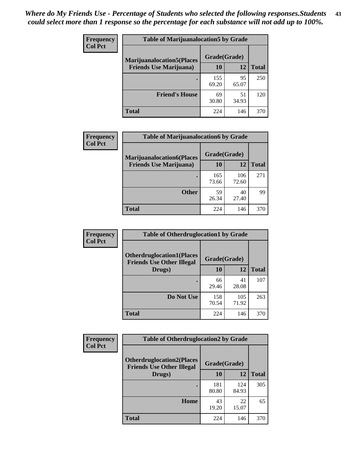| <b>Frequency</b> | <b>Table of Marijuanalocation5 by Grade</b> |              |             |              |
|------------------|---------------------------------------------|--------------|-------------|--------------|
| <b>Col Pct</b>   | <b>Marijuanalocation5</b> (Places           | Grade(Grade) |             |              |
|                  | <b>Friends Use Marijuana</b> )              | 10           | 12          | <b>Total</b> |
|                  |                                             | 155<br>69.20 | 95<br>65.07 | 250          |
|                  | <b>Friend's House</b>                       | 69<br>30.80  | 51<br>34.93 | 120          |
|                  | <b>Total</b>                                | 224          | 146         | 370          |

| <b>Frequency</b><br><b>Col Pct</b> | <b>Table of Marijuanalocation6 by Grade</b>                        |                    |              |              |
|------------------------------------|--------------------------------------------------------------------|--------------------|--------------|--------------|
|                                    | <b>Marijuanalocation6(Places</b><br><b>Friends Use Marijuana</b> ) | Grade(Grade)<br>10 | 12           | <b>Total</b> |
|                                    |                                                                    | 165<br>73.66       | 106<br>72.60 | 271          |
|                                    | <b>Other</b>                                                       | 59<br>26.34        | 40<br>27.40  | 99           |
|                                    | <b>Total</b>                                                       | 224                | 146          | 370          |

| Frequency      | <b>Table of Otherdruglocation1 by Grade</b>                          |              |              |              |
|----------------|----------------------------------------------------------------------|--------------|--------------|--------------|
| <b>Col Pct</b> | <b>Otherdruglocation1(Places</b><br><b>Friends Use Other Illegal</b> | Grade(Grade) |              |              |
|                | Drugs)                                                               | 10           | 12           | <b>Total</b> |
|                |                                                                      | 66<br>29.46  | 41<br>28.08  | 107          |
|                | Do Not Use                                                           | 158<br>70.54 | 105<br>71.92 | 263          |
|                | <b>Total</b>                                                         | 224          | 146          | 370          |

| Frequency      | <b>Table of Otherdruglocation2 by Grade</b>                          |              |              |              |
|----------------|----------------------------------------------------------------------|--------------|--------------|--------------|
| <b>Col Pct</b> | <b>Otherdruglocation2(Places</b><br><b>Friends Use Other Illegal</b> | Grade(Grade) |              |              |
|                | Drugs)                                                               | 10           | 12           | <b>Total</b> |
|                |                                                                      | 181<br>80.80 | 124<br>84.93 | 305          |
|                | <b>Home</b>                                                          | 43<br>19.20  | 22<br>15.07  | 65           |
|                | <b>Total</b>                                                         | 224          | 146          | 370          |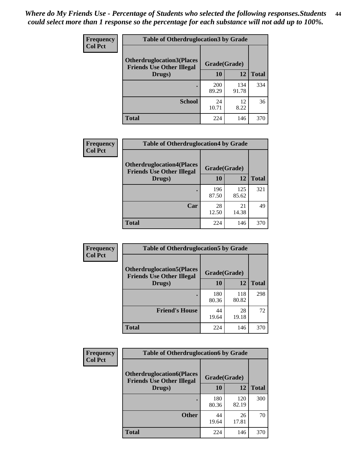| <b>Frequency</b> | <b>Table of Otherdruglocation3 by Grade</b>                          |              |              |              |
|------------------|----------------------------------------------------------------------|--------------|--------------|--------------|
| <b>Col Pct</b>   | <b>Otherdruglocation3(Places</b><br><b>Friends Use Other Illegal</b> | Grade(Grade) |              |              |
|                  | Drugs)                                                               | 10           | 12           | <b>Total</b> |
|                  |                                                                      | 200<br>89.29 | 134<br>91.78 | 334          |
|                  | <b>School</b>                                                        | 24<br>10.71  | 12<br>8.22   | 36           |
|                  | <b>Total</b>                                                         | 224          | 146          | 370          |

| <b>Frequency</b> | <b>Table of Otherdruglocation4 by Grade</b>                          |              |              |              |
|------------------|----------------------------------------------------------------------|--------------|--------------|--------------|
| <b>Col Pct</b>   | <b>Otherdruglocation4(Places</b><br><b>Friends Use Other Illegal</b> | Grade(Grade) |              |              |
|                  | Drugs)                                                               | 10           | 12           | <b>Total</b> |
|                  |                                                                      | 196<br>87.50 | 125<br>85.62 | 321          |
|                  | Car                                                                  | 28<br>12.50  | 21<br>14.38  | 49           |
|                  | <b>Total</b>                                                         | 224          | 146          | 370          |

| Frequency      | <b>Table of Otherdruglocation5 by Grade</b>                          |              |              |              |
|----------------|----------------------------------------------------------------------|--------------|--------------|--------------|
| <b>Col Pct</b> | <b>Otherdruglocation5(Places</b><br><b>Friends Use Other Illegal</b> | Grade(Grade) |              |              |
|                | Drugs)                                                               | 10           | 12           | <b>Total</b> |
|                |                                                                      | 180<br>80.36 | 118<br>80.82 | 298          |
|                | <b>Friend's House</b>                                                | 44<br>19.64  | 28<br>19.18  | 72           |
|                | Total                                                                | 224          | 146          | 370          |

| Frequency      | <b>Table of Otherdruglocation6 by Grade</b>                          |              |              |              |
|----------------|----------------------------------------------------------------------|--------------|--------------|--------------|
| <b>Col Pct</b> | <b>Otherdruglocation6(Places</b><br><b>Friends Use Other Illegal</b> | Grade(Grade) |              |              |
|                | Drugs)                                                               | 10           | 12           | <b>Total</b> |
|                |                                                                      | 180<br>80.36 | 120<br>82.19 | 300          |
|                | <b>Other</b>                                                         | 44<br>19.64  | 26<br>17.81  | 70           |
|                | <b>Total</b>                                                         | 224          | 146          | 370          |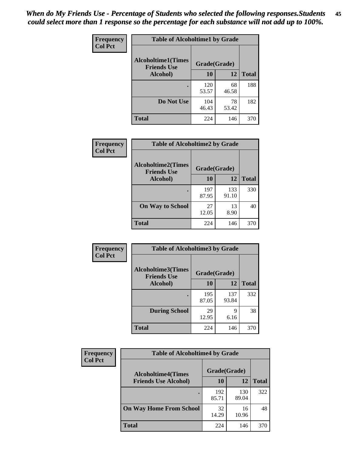| Frequency      | <b>Table of Alcoholtime1 by Grade</b>           |              |             |              |
|----------------|-------------------------------------------------|--------------|-------------|--------------|
| <b>Col Pct</b> | <b>Alcoholtime1(Times</b><br><b>Friends Use</b> | Grade(Grade) |             |              |
|                | Alcohol)                                        | 10           | 12          | <b>Total</b> |
|                |                                                 | 120<br>53.57 | 68<br>46.58 | 188          |
|                | Do Not Use                                      | 104<br>46.43 | 78<br>53.42 | 182          |
|                | <b>Total</b>                                    | 224          | 146         | 370          |

| Frequency      | <b>Table of Alcoholtime2 by Grade</b>           |              |              |              |
|----------------|-------------------------------------------------|--------------|--------------|--------------|
| <b>Col Pct</b> | <b>Alcoholtime2(Times</b><br><b>Friends Use</b> | Grade(Grade) |              |              |
|                | Alcohol)                                        | 10           | 12           | <b>Total</b> |
|                |                                                 | 197<br>87.95 | 133<br>91.10 | 330          |
|                | <b>On Way to School</b>                         | 27<br>12.05  | 13<br>8.90   | 40           |
|                | <b>Total</b>                                    | 224          | 146          | 370          |

| Frequency      | <b>Table of Alcoholtime3 by Grade</b>           |              |              |              |  |
|----------------|-------------------------------------------------|--------------|--------------|--------------|--|
| <b>Col Pct</b> | <b>Alcoholtime3(Times</b><br><b>Friends Use</b> | Grade(Grade) |              |              |  |
|                | Alcohol)                                        | 10           | 12           | <b>Total</b> |  |
|                |                                                 | 195<br>87.05 | 137<br>93.84 | 332          |  |
|                | <b>During School</b>                            | 29<br>12.95  | 9<br>6.16    | 38           |  |
|                | Total                                           | 224          | 146          | 370          |  |

| <b>Frequency</b><br><b>Col Pct</b> | <b>Table of Alcoholtime4 by Grade</b> |              |              |              |
|------------------------------------|---------------------------------------|--------------|--------------|--------------|
|                                    | <b>Alcoholtime4(Times</b>             | Grade(Grade) |              |              |
|                                    | <b>Friends Use Alcohol)</b>           | 10           | 12           | <b>Total</b> |
|                                    |                                       | 192<br>85.71 | 130<br>89.04 | 322          |
|                                    | <b>On Way Home From School</b>        | 32<br>14.29  | 16<br>10.96  | 48           |
|                                    | <b>Total</b>                          | 224          | 146          | 370          |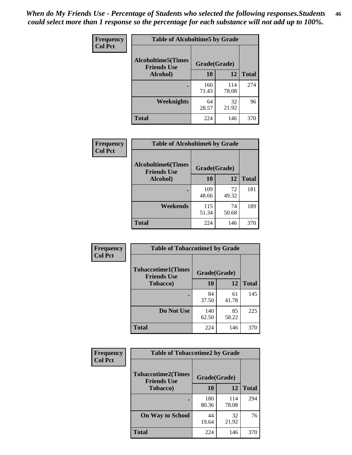*When do My Friends Use - Percentage of Students who selected the following responses.Students could select more than 1 response so the percentage for each substance will not add up to 100%.* **46**

| Frequency      | <b>Table of Alcoholtime5 by Grade</b>            |              |              |              |
|----------------|--------------------------------------------------|--------------|--------------|--------------|
| <b>Col Pct</b> | <b>Alcoholtime5</b> (Times<br><b>Friends Use</b> | Grade(Grade) |              |              |
|                | Alcohol)                                         | 10           | 12           | <b>Total</b> |
|                |                                                  | 160<br>71.43 | 114<br>78.08 | 274          |
|                | Weeknights                                       | 64<br>28.57  | 32<br>21.92  | 96           |
|                | <b>Total</b>                                     | 224          | 146          | 370          |

| Frequency      | <b>Table of Alcoholtime6 by Grade</b>           |              |             |              |
|----------------|-------------------------------------------------|--------------|-------------|--------------|
| <b>Col Pct</b> | <b>Alcoholtime6(Times</b><br><b>Friends Use</b> | Grade(Grade) |             |              |
|                | Alcohol)                                        | 10           | 12          | <b>Total</b> |
|                |                                                 | 109<br>48.66 | 72<br>49.32 | 181          |
|                | Weekends                                        | 115<br>51.34 | 74<br>50.68 | 189          |
|                | <b>Total</b>                                    | 224          | 146         | 370          |

| <b>Frequency</b> | <b>Table of Tobaccotime1 by Grade</b>           |              |             |              |
|------------------|-------------------------------------------------|--------------|-------------|--------------|
| <b>Col Pct</b>   | <b>Tobaccotime1(Times</b><br><b>Friends Use</b> | Grade(Grade) |             |              |
|                  | <b>Tobacco</b> )                                | 10           | 12          | <b>Total</b> |
|                  |                                                 | 84<br>37.50  | 61<br>41.78 | 145          |
|                  | Do Not Use                                      | 140<br>62.50 | 85<br>58.22 | 225          |
|                  | <b>Total</b>                                    | 224          | 146         | 370          |

| <b>Frequency</b> | <b>Table of Tobaccotime2 by Grade</b>           |              |              |              |
|------------------|-------------------------------------------------|--------------|--------------|--------------|
| <b>Col Pct</b>   | <b>Tobaccotime2(Times</b><br><b>Friends Use</b> | Grade(Grade) |              |              |
|                  | <b>Tobacco</b> )                                | 10           | 12           | <b>Total</b> |
|                  |                                                 | 180<br>80.36 | 114<br>78.08 | 294          |
|                  | <b>On Way to School</b>                         | 44<br>19.64  | 32<br>21.92  | 76           |
|                  | <b>Total</b>                                    | 224          | 146          | 370          |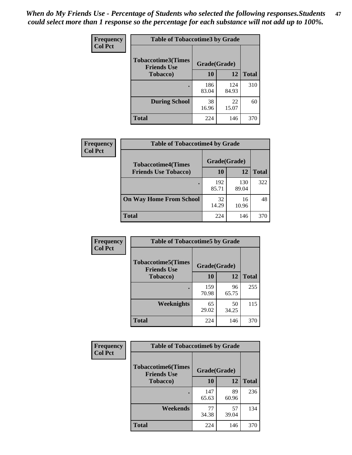*When do My Friends Use - Percentage of Students who selected the following responses.Students could select more than 1 response so the percentage for each substance will not add up to 100%.* **47**

| <b>Frequency</b> | <b>Table of Tobaccotime3 by Grade</b>           |              |              |              |  |
|------------------|-------------------------------------------------|--------------|--------------|--------------|--|
| <b>Col Pct</b>   | <b>Tobaccotime3(Times</b><br><b>Friends Use</b> |              | Grade(Grade) |              |  |
|                  | <b>Tobacco</b> )                                | 10           | 12           | <b>Total</b> |  |
|                  |                                                 | 186<br>83.04 | 124<br>84.93 | 310          |  |
|                  | <b>During School</b>                            | 38<br>16.96  | 22<br>15.07  | 60           |  |
|                  | <b>Total</b>                                    | 224          | 146          | 370          |  |

| Frequency<br><b>Col Pct</b> | <b>Table of Tobaccotime4 by Grade</b> |              |              |              |
|-----------------------------|---------------------------------------|--------------|--------------|--------------|
|                             | <b>Tobaccotime4(Times</b>             | Grade(Grade) |              |              |
|                             | <b>Friends Use Tobacco)</b>           | 10           | 12           | <b>Total</b> |
|                             |                                       | 192<br>85.71 | 130<br>89.04 | 322          |
|                             | <b>On Way Home From School</b>        | 32<br>14.29  | 16<br>10.96  | 48           |
|                             | <b>Total</b>                          | 224          | 146          | 370          |

| Frequency      | <b>Table of Tobaccotime5 by Grade</b>                           |              |             |              |
|----------------|-----------------------------------------------------------------|--------------|-------------|--------------|
| <b>Col Pct</b> | <b>Tobaccotime5(Times</b><br>Grade(Grade)<br><b>Friends Use</b> |              |             |              |
|                | <b>Tobacco</b> )                                                | 10           | 12          | <b>Total</b> |
|                |                                                                 | 159<br>70.98 | 96<br>65.75 | 255          |
|                | <b>Weeknights</b>                                               | 65<br>29.02  | 50<br>34.25 | 115          |
|                | <b>Total</b>                                                    | 224          | 146         | 370          |

| <b>Frequency</b> | <b>Table of Tobaccotime6 by Grade</b><br><b>Tobaccotime6(Times</b><br>Grade(Grade)<br><b>Friends Use</b> |              |             |              |
|------------------|----------------------------------------------------------------------------------------------------------|--------------|-------------|--------------|
| <b>Col Pct</b>   |                                                                                                          |              |             |              |
|                  | <b>Tobacco</b> )                                                                                         | 10           | 12          | <b>Total</b> |
|                  | ٠                                                                                                        | 147<br>65.63 | 89<br>60.96 | 236          |
|                  | Weekends                                                                                                 | 77<br>34.38  | 57<br>39.04 | 134          |
|                  | <b>Total</b>                                                                                             | 224          | 146         | 370          |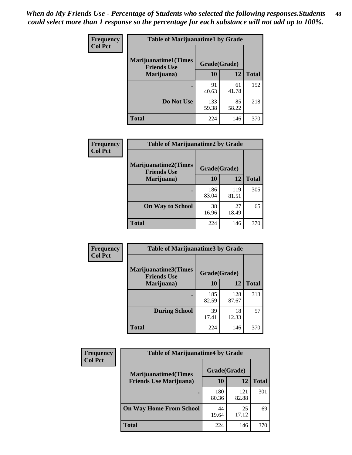| Frequency      | <b>Table of Marijuanatime1 by Grade</b>           |              |             |              |
|----------------|---------------------------------------------------|--------------|-------------|--------------|
| <b>Col Pct</b> | <b>Marijuanatime1(Times</b><br><b>Friends Use</b> | Grade(Grade) |             |              |
|                | Marijuana)                                        | 10           | 12          | <b>Total</b> |
|                |                                                   | 91<br>40.63  | 61<br>41.78 | 152          |
|                | Do Not Use                                        | 133<br>59.38 | 85<br>58.22 | 218          |
|                | <b>Total</b>                                      | 224          | 146         | 370          |

| Frequency      | <b>Table of Marijuanatime2 by Grade</b>           |              |              |              |
|----------------|---------------------------------------------------|--------------|--------------|--------------|
| <b>Col Pct</b> | <b>Marijuanatime2(Times</b><br><b>Friends Use</b> | Grade(Grade) |              |              |
|                | Marijuana)                                        | 10           | 12           | <b>Total</b> |
|                |                                                   | 186<br>83.04 | 119<br>81.51 | 305          |
|                | <b>On Way to School</b>                           | 38<br>16.96  | 27<br>18.49  | 65           |
|                | <b>Total</b>                                      | 224          | 146          | 370          |

| Frequency      | <b>Table of Marijuanatime3 by Grade</b>    |              |              |              |
|----------------|--------------------------------------------|--------------|--------------|--------------|
| <b>Col Pct</b> | Marijuanatime3(Times<br><b>Friends Use</b> | Grade(Grade) |              |              |
|                | Marijuana)                                 | 10           | 12           | <b>Total</b> |
|                |                                            | 185<br>82.59 | 128<br>87.67 | 313          |
|                | <b>During School</b>                       | 39<br>17.41  | 18<br>12.33  | 57           |
|                | <b>Total</b>                               | 224          | 146          | 370          |

| Frequency      | <b>Table of Marijuanatime4 by Grade</b> |              |              |       |
|----------------|-----------------------------------------|--------------|--------------|-------|
| <b>Col Pct</b> | <b>Marijuanatime4</b> (Times            | Grade(Grade) |              |       |
|                | <b>Friends Use Marijuana</b> )          | 10           | 12           | Total |
|                |                                         | 180<br>80.36 | 121<br>82.88 | 301   |
|                | <b>On Way Home From School</b>          | 44<br>19.64  | 25<br>17.12  | 69    |
|                | <b>Total</b>                            | 224          | 146          | 370   |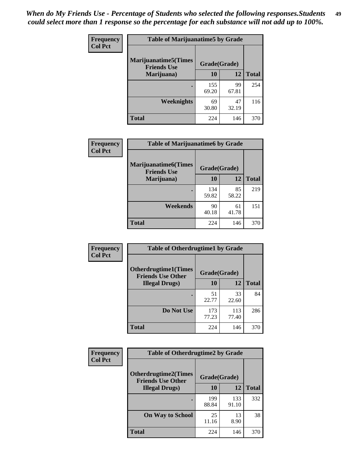| Frequency      | <b>Table of Marijuanatime5 by Grade</b>            |              |             |              |
|----------------|----------------------------------------------------|--------------|-------------|--------------|
| <b>Col Pct</b> | <b>Marijuanatime5</b> (Times<br><b>Friends Use</b> | Grade(Grade) |             |              |
|                | Marijuana)                                         | 10           | 12          | <b>Total</b> |
|                |                                                    | 155<br>69.20 | 99<br>67.81 | 254          |
|                | <b>Weeknights</b>                                  | 69<br>30.80  | 47<br>32.19 | 116          |
|                | <b>Total</b>                                       | 224          | 146         | 370          |

| Frequency      | <b>Table of Marijuanatime6 by Grade</b>    |              |             |              |
|----------------|--------------------------------------------|--------------|-------------|--------------|
| <b>Col Pct</b> | Marijuanatime6(Times<br><b>Friends Use</b> | Grade(Grade) |             |              |
|                | Marijuana)                                 | 10           | 12          | <b>Total</b> |
|                |                                            | 134<br>59.82 | 85<br>58.22 | 219          |
|                | Weekends                                   | 90<br>40.18  | 61<br>41.78 | 151          |
|                | <b>Total</b>                               | 224          | 146         | 370          |

| <b>Frequency</b> | <b>Table of Otherdrugtime1 by Grade</b>                 |              |              |              |  |
|------------------|---------------------------------------------------------|--------------|--------------|--------------|--|
| <b>Col Pct</b>   | <b>Otherdrugtime1(Times</b><br><b>Friends Use Other</b> | Grade(Grade) |              |              |  |
|                  | <b>Illegal Drugs</b> )                                  | 10           | 12           | <b>Total</b> |  |
|                  |                                                         | 51<br>22.77  | 33<br>22.60  | 84           |  |
|                  | Do Not Use                                              | 173<br>77.23 | 113<br>77.40 | 286          |  |
|                  | Total                                                   | 224          | 146          | 370          |  |

| Frequency      | <b>Table of Otherdrugtime2 by Grade</b>                                 |              |              |              |  |  |
|----------------|-------------------------------------------------------------------------|--------------|--------------|--------------|--|--|
| <b>Col Pct</b> | <b>Otherdrugtime2(Times</b><br>Grade(Grade)<br><b>Friends Use Other</b> |              |              |              |  |  |
|                | <b>Illegal Drugs</b> )                                                  | 10           | 12           | <b>Total</b> |  |  |
|                |                                                                         | 199<br>88.84 | 133<br>91.10 | 332          |  |  |
|                | <b>On Way to School</b>                                                 | 25<br>11.16  | 13<br>8.90   | 38           |  |  |
|                | Total                                                                   | 224          | 146          | 370          |  |  |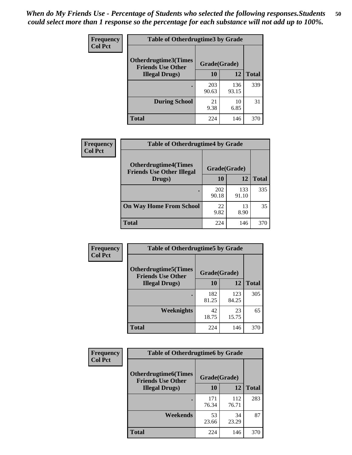| <b>Frequency</b><br><b>Col Pct</b> | <b>Table of Otherdrugtime3 by Grade</b>          |              |              |              |  |  |
|------------------------------------|--------------------------------------------------|--------------|--------------|--------------|--|--|
|                                    | Otherdrugtime3(Times<br><b>Friends Use Other</b> | Grade(Grade) |              |              |  |  |
|                                    | <b>Illegal Drugs</b> )                           | 10           | 12           | <b>Total</b> |  |  |
|                                    |                                                  | 203<br>90.63 | 136<br>93.15 | 339          |  |  |
|                                    | <b>During School</b>                             | 21<br>9.38   | 10<br>6.85   | 31           |  |  |
|                                    | Total                                            | 224          | 146          | 370          |  |  |

| Frequency      | <b>Table of Otherdrugtime4 by Grade</b>                         |              |              |              |  |  |
|----------------|-----------------------------------------------------------------|--------------|--------------|--------------|--|--|
| <b>Col Pct</b> | <b>Otherdrugtime4(Times</b><br><b>Friends Use Other Illegal</b> | Grade(Grade) |              |              |  |  |
|                | Drugs)                                                          | 10           | 12           | <b>Total</b> |  |  |
|                | ٠                                                               | 202<br>90.18 | 133<br>91.10 | 335          |  |  |
|                | <b>On Way Home From School</b>                                  | 22<br>9.82   | 13<br>8.90   | 35           |  |  |
|                | <b>Total</b>                                                    | 224          | 146          | 370          |  |  |

| <b>Frequency</b> | <b>Table of Otherdrugtime5 by Grade</b>                  |              |              |              |  |  |  |
|------------------|----------------------------------------------------------|--------------|--------------|--------------|--|--|--|
| <b>Col Pct</b>   | <b>Otherdrugtime5</b> (Times<br><b>Friends Use Other</b> | Grade(Grade) |              |              |  |  |  |
|                  | <b>Illegal Drugs</b> )                                   | 10           | 12           | <b>Total</b> |  |  |  |
|                  |                                                          | 182<br>81.25 | 123<br>84.25 | 305          |  |  |  |
|                  | Weeknights                                               | 42<br>18.75  | 23<br>15.75  | 65           |  |  |  |
|                  | Total                                                    | 224          | 146          | 370          |  |  |  |

| Frequency      | <b>Table of Otherdrugtime6 by Grade</b>                 |              |              |              |  |  |  |
|----------------|---------------------------------------------------------|--------------|--------------|--------------|--|--|--|
| <b>Col Pct</b> | <b>Otherdrugtime6(Times</b><br><b>Friends Use Other</b> | Grade(Grade) |              |              |  |  |  |
|                | <b>Illegal Drugs</b> )                                  | 10           | 12           | <b>Total</b> |  |  |  |
|                |                                                         | 171<br>76.34 | 112<br>76.71 | 283          |  |  |  |
|                | Weekends                                                | 53<br>23.66  | 34<br>23.29  | 87           |  |  |  |
|                | <b>Total</b>                                            | 224          | 146          | 370          |  |  |  |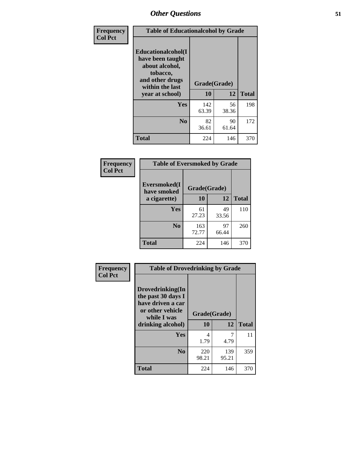| Frequency      | <b>Table of Educationalcohol by Grade</b>                                                                  |              |             |              |  |  |
|----------------|------------------------------------------------------------------------------------------------------------|--------------|-------------|--------------|--|--|
| <b>Col Pct</b> | Educationalcohol(I<br>have been taught<br>about alcohol,<br>tobacco,<br>and other drugs<br>within the last | Grade(Grade) |             |              |  |  |
|                | year at school)                                                                                            | 10           | 12          | <b>Total</b> |  |  |
|                | <b>Yes</b>                                                                                                 | 142<br>63.39 | 56<br>38.36 | 198          |  |  |
|                | N <sub>0</sub>                                                                                             | 82<br>36.61  | 90<br>61.64 | 172          |  |  |
|                | <b>Total</b>                                                                                               | 224          | 146         | 370          |  |  |

| Frequency      | <b>Table of Eversmoked by Grade</b> |              |             |              |  |  |  |
|----------------|-------------------------------------|--------------|-------------|--------------|--|--|--|
| <b>Col Pct</b> | Eversmoked(I<br>have smoked         | Grade(Grade) |             |              |  |  |  |
|                | a cigarette)                        | 10           | 12          | <b>Total</b> |  |  |  |
|                | Yes                                 | 61<br>27.23  | 49<br>33.56 | 110          |  |  |  |
|                | N <sub>0</sub>                      | 163<br>72.77 | 97<br>66.44 | 260          |  |  |  |
|                | <b>Total</b>                        | 224          | 146         | 370          |  |  |  |

| Frequency      | <b>Table of Drovedrinking by Grade</b>                                                                              |                    |              |              |  |  |
|----------------|---------------------------------------------------------------------------------------------------------------------|--------------------|--------------|--------------|--|--|
| <b>Col Pct</b> | Drovedrinking(In<br>the past 30 days I<br>have driven a car<br>or other vehicle<br>while I was<br>drinking alcohol) | Grade(Grade)<br>10 | 12           | <b>Total</b> |  |  |
|                | <b>Yes</b>                                                                                                          | 4<br>1.79          | 4.79         | 11           |  |  |
|                | N <sub>0</sub>                                                                                                      | 220<br>98.21       | 139<br>95.21 | 359          |  |  |
|                | <b>Total</b>                                                                                                        | 224                | 146          | 370          |  |  |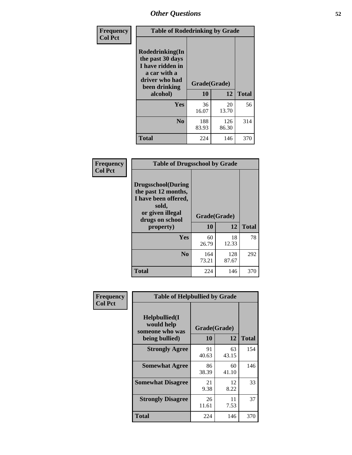| Frequency<br><b>Col Pct</b> | <b>Table of Rodedrinking by Grade</b>                                                                                  |                    |              |     |  |  |
|-----------------------------|------------------------------------------------------------------------------------------------------------------------|--------------------|--------------|-----|--|--|
|                             | Rodedrinking(In<br>the past 30 days<br>I have ridden in<br>a car with a<br>driver who had<br>been drinking<br>alcohol) | Grade(Grade)<br>10 | <b>Total</b> |     |  |  |
|                             | <b>Yes</b>                                                                                                             | 36                 | 12<br>20     | 56  |  |  |
|                             |                                                                                                                        | 16.07              | 13.70        |     |  |  |
|                             | N <sub>0</sub>                                                                                                         | 188<br>83.93       | 126<br>86.30 | 314 |  |  |
|                             | <b>Total</b>                                                                                                           | 224                | 146          | 370 |  |  |

#### **Frequency Col Pct**

| <b>Table of Drugsschool by Grade</b>                                                                                      |              |              |              |  |  |  |
|---------------------------------------------------------------------------------------------------------------------------|--------------|--------------|--------------|--|--|--|
| <b>Drugsschool</b> (During<br>the past 12 months,<br>I have been offered,<br>sold,<br>or given illegal<br>drugs on school | Grade(Grade) |              |              |  |  |  |
| property)                                                                                                                 | 10           | 12           | <b>Total</b> |  |  |  |
| Yes                                                                                                                       | 60<br>26.79  | 18<br>12.33  | 78           |  |  |  |
| N <sub>0</sub>                                                                                                            | 164<br>73.21 | 128<br>87.67 | 292          |  |  |  |
| <b>Total</b>                                                                                                              | 224          | 146          | 370          |  |  |  |

| Frequency      | <b>Table of Helpbullied by Grade</b>                 |                    |             |              |  |  |  |
|----------------|------------------------------------------------------|--------------------|-------------|--------------|--|--|--|
| <b>Col Pct</b> | $Helpb$ ullied $(I$<br>would help<br>someone who was | Grade(Grade)<br>10 |             |              |  |  |  |
|                | being bullied)                                       |                    | 12          | <b>Total</b> |  |  |  |
|                | <b>Strongly Agree</b>                                | 91<br>40.63        | 63<br>43.15 | 154          |  |  |  |
|                | <b>Somewhat Agree</b>                                | 86<br>38.39        | 60<br>41.10 | 146          |  |  |  |
|                | <b>Somewhat Disagree</b>                             | 21<br>9.38         | 12<br>8.22  | 33           |  |  |  |
|                | <b>Strongly Disagree</b>                             | 26<br>11.61        | 11<br>7.53  | 37           |  |  |  |
|                | <b>Total</b>                                         | 224                | 146         | 370          |  |  |  |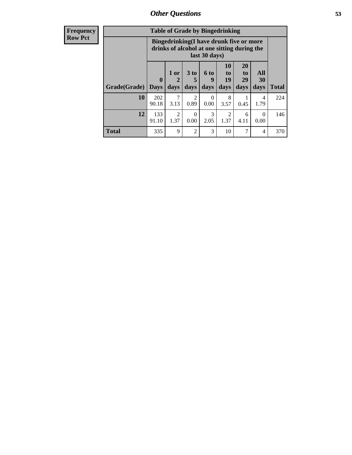| Frequency      | <b>Table of Grade by Bingedrinking</b> |                                                                                                                |                        |                        |                   |                               |                               |                   |              |
|----------------|----------------------------------------|----------------------------------------------------------------------------------------------------------------|------------------------|------------------------|-------------------|-------------------------------|-------------------------------|-------------------|--------------|
| <b>Row Pct</b> |                                        | <b>Bingedrinking(I have drunk five or more</b><br>drinks of alcohol at one sitting during the<br>last 30 days) |                        |                        |                   |                               |                               |                   |              |
|                | Grade(Grade)                           | $\mathbf{0}$<br><b>Days</b>                                                                                    | $1$ or<br>days         | 3 to<br>days           | 6 to<br>q<br>days | <b>10</b><br>to<br>19<br>days | <b>20</b><br>to<br>29<br>days | All<br>30<br>days | <b>Total</b> |
|                | 10                                     | 202<br>90.18                                                                                                   | 7<br>3.13              | $\mathfrak{D}$<br>0.89 | $\Omega$<br>0.00  | 8<br>3.57                     | 0.45                          | 4<br>1.79         | 224          |
|                | 12                                     | 133<br>91.10                                                                                                   | $\overline{2}$<br>1.37 | $\Omega$<br>0.00       | 3<br>2.05         | $\overline{2}$<br>1.37        | 6<br>4.11                     | $\theta$<br>0.00  | 146          |
|                | <b>Total</b>                           | 335                                                                                                            | 9                      | $\overline{2}$         | 3                 | 10                            | 7                             | 4                 | 370          |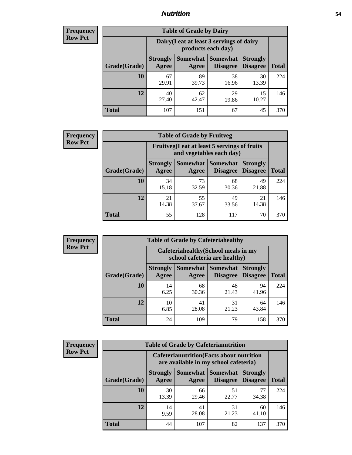### *Nutrition* **54**

| <b>Frequency</b> |
|------------------|
| <b>Row Pct</b>   |

| <b>Table of Grade by Dairy</b> |                          |                                                                 |                                    |                                    |              |  |
|--------------------------------|--------------------------|-----------------------------------------------------------------|------------------------------------|------------------------------------|--------------|--|
|                                |                          | Dairy (I eat at least 3 servings of dairy<br>products each day) |                                    |                                    |              |  |
| Grade(Grade)                   | <b>Strongly</b><br>Agree | Somewhat<br>Agree                                               | <b>Somewhat</b><br><b>Disagree</b> | <b>Strongly</b><br><b>Disagree</b> | <b>Total</b> |  |
| 10                             | 67<br>29.91              | 89<br>39.73                                                     | 38<br>16.96                        | 30<br>13.39                        | 224          |  |
| 12                             | 40<br>27.40              | 62<br>42.47                                                     | 29<br>19.86                        | 15<br>10.27                        | 146          |  |
| <b>Total</b>                   | 107                      | 151                                                             | 67                                 | 45                                 | 370          |  |

| <b>Frequency</b> |  |
|------------------|--|
| <b>Row Pct</b>   |  |

| <b>Table of Grade by Fruitveg</b> |                                                                          |                     |                             |                                    |              |
|-----------------------------------|--------------------------------------------------------------------------|---------------------|-----------------------------|------------------------------------|--------------|
|                                   | Fruitveg(I eat at least 5 servings of fruits<br>and vegetables each day) |                     |                             |                                    |              |
| Grade(Grade)                      | <b>Strongly</b><br>Agree                                                 | Somewhat  <br>Agree | <b>Somewhat</b><br>Disagree | <b>Strongly</b><br><b>Disagree</b> | <b>Total</b> |
| 10                                | 34<br>15.18                                                              | 73<br>32.59         | 68<br>30.36                 | 49<br>21.88                        | 224          |
| 12                                | 21<br>14.38                                                              | 55<br>37.67         | 49<br>33.56                 | 21<br>14.38                        | 146          |
| <b>Total</b>                      | 55                                                                       | 128                 | 117                         | 70                                 | 370          |

| <b>Frequency</b> |              |                          | <b>Table of Grade by Cafeteriahealthy</b>                             |                                          |                                    |              |
|------------------|--------------|--------------------------|-----------------------------------------------------------------------|------------------------------------------|------------------------------------|--------------|
| <b>Row Pct</b>   |              |                          | Cafeteriahealthy (School meals in my<br>school cafeteria are healthy) |                                          |                                    |              |
|                  | Grade(Grade) | <b>Strongly</b><br>Agree | Agree                                                                 | Somewhat   Somewhat  <br><b>Disagree</b> | <b>Strongly</b><br><b>Disagree</b> | <b>Total</b> |
|                  | 10           | 14<br>6.25               | 68<br>30.36                                                           | 48<br>21.43                              | 94<br>41.96                        | 224          |
|                  | 12           | 10<br>6.85               | 41<br>28.08                                                           | 31<br>21.23                              | 64<br>43.84                        | 146          |
|                  | Total        | 24                       | 109                                                                   | 79                                       | 158                                | 370          |

| <b>Frequency</b> |
|------------------|
| <b>Row Pct</b>   |

| <b>Table of Grade by Cafeterianutrition</b>                                               |                          |             |                                        |                                    |              |
|-------------------------------------------------------------------------------------------|--------------------------|-------------|----------------------------------------|------------------------------------|--------------|
| <b>Cafeterianutrition</b> (Facts about nutrition<br>are available in my school cafeteria) |                          |             |                                        |                                    |              |
| Grade(Grade)                                                                              | <b>Strongly</b><br>Agree | Agree       | Somewhat   Somewhat<br><b>Disagree</b> | <b>Strongly</b><br><b>Disagree</b> | <b>Total</b> |
| 10                                                                                        | 30<br>13.39              | 66<br>29.46 | 51<br>22.77                            | 77<br>34.38                        | 224          |
| 12                                                                                        | 14<br>9.59               | 41<br>28.08 | 31<br>21.23                            | 60<br>41.10                        | 146          |
| <b>Total</b>                                                                              | 44                       | 107         | 82                                     | 137                                | 370          |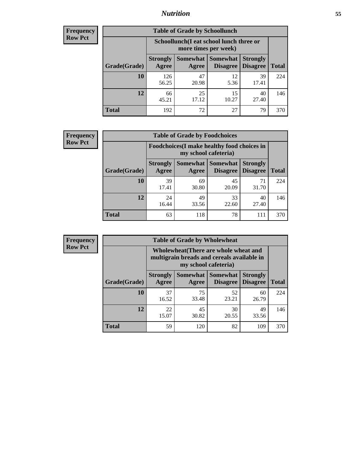### *Nutrition* **55**

| Frequency      |
|----------------|
| <b>Row Pct</b> |

| <b>Table of Grade by Schoollunch</b> |                          |                                                                 |                                 |                                    |              |  |
|--------------------------------------|--------------------------|-----------------------------------------------------------------|---------------------------------|------------------------------------|--------------|--|
|                                      |                          | Schoollunch(I eat school lunch three or<br>more times per week) |                                 |                                    |              |  |
| Grade(Grade)                         | <b>Strongly</b><br>Agree | Agree                                                           | Somewhat   Somewhat<br>Disagree | <b>Strongly</b><br><b>Disagree</b> | <b>Total</b> |  |
| 10                                   | 126<br>56.25             | 47<br>20.98                                                     | 12<br>5.36                      | 39<br>17.41                        | 224          |  |
| 12                                   | 66<br>45.21              | 25<br>17.12                                                     | 15<br>10.27                     | 40<br>27.40                        | 146          |  |
| <b>Total</b>                         | 192                      | 72                                                              | 27                              | 79                                 | 370          |  |

| <b>Frequency</b> |  |
|------------------|--|
| <b>Row Pct</b>   |  |

| <b>Table of Grade by Foodchoices</b>                                |                          |             |                                      |                                    |              |
|---------------------------------------------------------------------|--------------------------|-------------|--------------------------------------|------------------------------------|--------------|
| Foodchoices (I make healthy food choices in<br>my school cafeteria) |                          |             |                                      |                                    |              |
| Grade(Grade)                                                        | <b>Strongly</b><br>Agree | Agree       | Somewhat Somewhat<br><b>Disagree</b> | <b>Strongly</b><br><b>Disagree</b> | <b>Total</b> |
| 10                                                                  | 39<br>17.41              | 69<br>30.80 | 45<br>20.09                          | 71<br>31.70                        | 224          |
| 12                                                                  | 24<br>16.44              | 49<br>33.56 | 33<br>22.60                          | 40<br>27.40                        | 146          |
| <b>Total</b>                                                        | 63                       | 118         | 78                                   | 111                                | 370          |

| <b>Frequency</b><br><b>Row Pct</b> |  |
|------------------------------------|--|
|------------------------------------|--|

| <b>Table of Grade by Wholewheat</b> |                                                                                                             |             |                                        |                                    |              |  |
|-------------------------------------|-------------------------------------------------------------------------------------------------------------|-------------|----------------------------------------|------------------------------------|--------------|--|
|                                     | Wholewheat (There are whole wheat and<br>multigrain breads and cereals available in<br>my school cafeteria) |             |                                        |                                    |              |  |
| Grade(Grade)                        | <b>Strongly</b><br><b>Agree</b>                                                                             | Agree       | Somewhat   Somewhat<br><b>Disagree</b> | <b>Strongly</b><br><b>Disagree</b> | <b>Total</b> |  |
| 10                                  | 37<br>16.52                                                                                                 | 75<br>33.48 | 52<br>23.21                            | 60<br>26.79                        | 224          |  |
| 12                                  | 22<br>15.07                                                                                                 | 45<br>30.82 | 30<br>20.55                            | 49<br>33.56                        | 146          |  |
| <b>Total</b>                        | 59                                                                                                          | 120         | 82                                     | 109                                | 370          |  |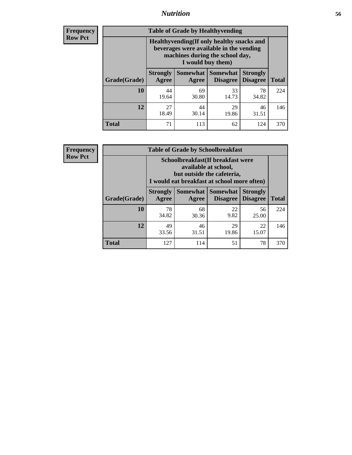### *Nutrition* **56**

**Frequency Row Pct**

| <b>Table of Grade by Healthyvending</b> |                                                                                                                                               |                          |                                    |                                    |              |  |
|-----------------------------------------|-----------------------------------------------------------------------------------------------------------------------------------------------|--------------------------|------------------------------------|------------------------------------|--------------|--|
|                                         | Healthyvending (If only healthy snacks and<br>beverages were available in the vending<br>machines during the school day,<br>I would buy them) |                          |                                    |                                    |              |  |
| Grade(Grade)                            | <b>Strongly</b><br>Agree                                                                                                                      | <b>Somewhat</b><br>Agree | <b>Somewhat</b><br><b>Disagree</b> | <b>Strongly</b><br><b>Disagree</b> | <b>Total</b> |  |
| 10                                      | 44<br>19.64                                                                                                                                   | 69<br>30.80              | 33<br>14.73                        | 78<br>34.82                        | 224          |  |
| 12                                      | 27<br>18.49                                                                                                                                   | 44<br>30.14              | 29<br>19.86                        | 46<br>31.51                        | 146          |  |
| <b>Total</b>                            | 71                                                                                                                                            | 113                      | 62                                 | 124                                | 370          |  |

**Frequency Row Pct**

| <b>Table of Grade by Schoolbreakfast</b> |                                                                                                                                         |             |                     |                                        |              |  |
|------------------------------------------|-----------------------------------------------------------------------------------------------------------------------------------------|-------------|---------------------|----------------------------------------|--------------|--|
|                                          | Schoolbreakfast (If breakfast were<br>available at school,<br>but outside the cafeteria,<br>I would eat breakfast at school more often) |             |                     |                                        |              |  |
| Grade(Grade)                             | <b>Strongly</b><br>Agree                                                                                                                | Agree       | Somewhat   Somewhat | <b>Strongly</b><br>Disagree   Disagree | <b>Total</b> |  |
| 10                                       | 78<br>34.82                                                                                                                             | 68<br>30.36 | 22<br>9.82          | 56<br>25.00                            | 224          |  |
| 12                                       | 49<br>33.56                                                                                                                             | 46<br>31.51 | 29<br>19.86         | 22<br>15.07                            | 146          |  |
| <b>Total</b>                             | 127                                                                                                                                     | 114         | 51                  | 78                                     | 370          |  |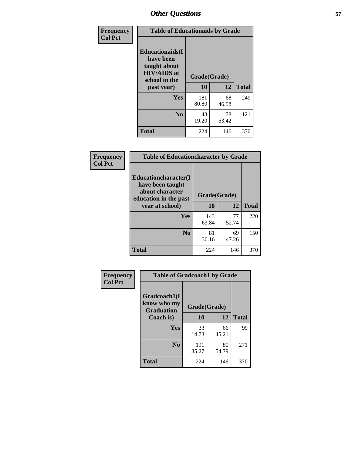| Frequency<br><b>Col Pct</b> | <b>Table of Educationaids by Grade</b>                                                                    |                    |             |              |  |
|-----------------------------|-----------------------------------------------------------------------------------------------------------|--------------------|-------------|--------------|--|
|                             | <b>Educationaids</b> (I<br>have been<br>taught about<br><b>HIV/AIDS</b> at<br>school in the<br>past year) | Grade(Grade)<br>10 | 12          | <b>Total</b> |  |
|                             | Yes                                                                                                       | 181<br>80.80       | 68<br>46.58 | 249          |  |
|                             | N <sub>0</sub>                                                                                            | 43<br>19.20        | 78<br>53.42 | 121          |  |
|                             | <b>Total</b>                                                                                              | 224                | 146         | 370          |  |

| Frequency      | <b>Table of Educationcharacter by Grade</b>                                          |              |              |              |  |
|----------------|--------------------------------------------------------------------------------------|--------------|--------------|--------------|--|
| <b>Col Pct</b> | Educationcharacter(I<br>have been taught<br>about character<br>education in the past |              | Grade(Grade) |              |  |
|                | year at school)                                                                      | 10           | 12           | <b>Total</b> |  |
|                | <b>Yes</b>                                                                           | 143<br>63.84 | 77<br>52.74  | 220          |  |
|                | N <sub>0</sub>                                                                       | 81<br>36.16  | 69<br>47.26  | 150          |  |
|                | <b>Total</b>                                                                         | 224          | 146          | 370          |  |

| Frequency      | <b>Table of Gradcoach1 by Grade</b>              |              |             |              |
|----------------|--------------------------------------------------|--------------|-------------|--------------|
| <b>Col Pct</b> | Gradcoach1(I<br>know who my<br><b>Graduation</b> | Grade(Grade) |             |              |
|                | Coach is)                                        | 10           | 12          | <b>Total</b> |
|                | <b>Yes</b>                                       | 33<br>14.73  | 66<br>45.21 | 99           |
|                | N <sub>0</sub>                                   | 191<br>85.27 | 80<br>54.79 | 271          |
|                | <b>Total</b>                                     | 224          | 146         | 370          |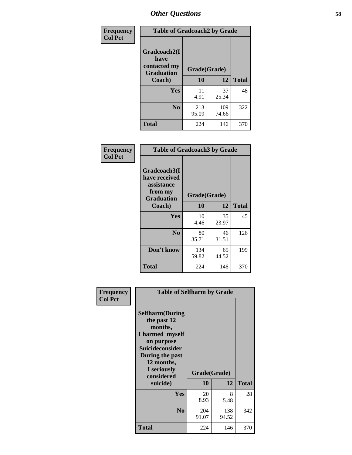| Frequency      | <b>Table of Gradcoach2 by Grade</b> |              |              |              |
|----------------|-------------------------------------|--------------|--------------|--------------|
| <b>Col Pct</b> | Gradcoach2(I<br>have                |              |              |              |
|                | contacted my<br><b>Graduation</b>   | Grade(Grade) |              |              |
|                | Coach)                              | 10           | 12           | <b>Total</b> |
|                | Yes                                 | 11<br>4.91   | 37<br>25.34  | 48           |
|                | N <sub>0</sub>                      | 213<br>95.09 | 109<br>74.66 | 322          |
|                | <b>Total</b>                        | 224          | 146          | 370          |

| Frequency<br><b>Col Pct</b> | <b>Table of Gradcoach3 by Grade</b>                                         |              |             |              |
|-----------------------------|-----------------------------------------------------------------------------|--------------|-------------|--------------|
|                             | Gradcoach3(I<br>have received<br>assistance<br>from my<br><b>Graduation</b> | Grade(Grade) |             |              |
|                             | Coach)                                                                      | 10           | 12          | <b>Total</b> |
|                             | Yes                                                                         | 10<br>4.46   | 35<br>23.97 | 45           |
|                             | N <sub>0</sub>                                                              | 80<br>35.71  | 46<br>31.51 | 126          |
|                             | Don't know                                                                  | 134<br>59.82 | 65<br>44.52 | 199          |
|                             | <b>Total</b>                                                                | 224          | 146         | 370          |

| Frequency<br><b>Col Pct</b> |                                                                                                                                                                                        | <b>Table of Selfharm by Grade</b> |              |              |  |
|-----------------------------|----------------------------------------------------------------------------------------------------------------------------------------------------------------------------------------|-----------------------------------|--------------|--------------|--|
|                             | <b>Selfharm</b> (During<br>the past 12<br>months,<br>I harmed myself<br>on purpose<br><b>Suicideconsider</b><br>During the past<br>12 months,<br>I seriously<br>considered<br>suicide) | Grade(Grade)<br>10                | 12           | <b>Total</b> |  |
|                             |                                                                                                                                                                                        |                                   |              |              |  |
|                             | Yes                                                                                                                                                                                    | 20<br>8.93                        | 8<br>5.48    | 28           |  |
|                             | N <sub>0</sub>                                                                                                                                                                         | 204<br>91.07                      | 138<br>94.52 | 342          |  |
|                             | <b>Total</b>                                                                                                                                                                           | 224                               | 146          | 370          |  |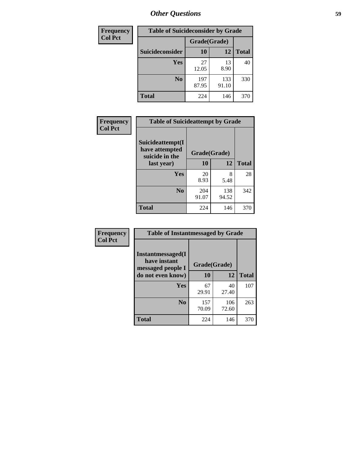| <b>Frequency</b> | <b>Table of Suicideconsider by Grade</b> |              |              |              |  |
|------------------|------------------------------------------|--------------|--------------|--------------|--|
| <b>Col Pct</b>   |                                          | Grade(Grade) |              |              |  |
|                  | Suicideconsider                          | <b>10</b>    | 12           | <b>Total</b> |  |
|                  | <b>Yes</b>                               | 27<br>12.05  | 13<br>8.90   | 40           |  |
|                  | N <sub>0</sub>                           | 197<br>87.95 | 133<br>91.10 | 330          |  |
|                  | <b>Total</b>                             | 224          | 146          | 370          |  |

| Frequency      | <b>Table of Suicideattempt by Grade</b>              |              |              |              |
|----------------|------------------------------------------------------|--------------|--------------|--------------|
| <b>Col Pct</b> | Suicideattempt(I<br>have attempted<br>suicide in the | Grade(Grade) |              |              |
|                | last year)                                           | 10           | 12           | <b>Total</b> |
|                | Yes                                                  | 20<br>8.93   | 8<br>5.48    | 28           |
|                | N <sub>0</sub>                                       | 204<br>91.07 | 138<br>94.52 | 342          |
|                | <b>Total</b>                                         | 224          | 146          | 370          |

| Frequency      | <b>Table of Instantmessaged by Grade</b>               |              |              |              |
|----------------|--------------------------------------------------------|--------------|--------------|--------------|
| <b>Col Pct</b> | Instantmessaged(I<br>have instant<br>messaged people I | Grade(Grade) |              |              |
|                | do not even know)                                      | 10           | 12           | <b>Total</b> |
|                | Yes                                                    | 67<br>29.91  | 40<br>27.40  | 107          |
|                | N <sub>0</sub>                                         | 157<br>70.09 | 106<br>72.60 | 263          |
|                | <b>Total</b>                                           | 224          | 146          | 370          |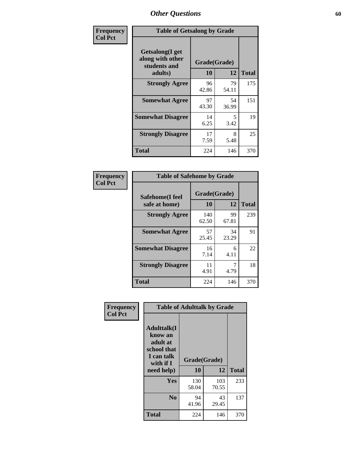| Frequency      | <b>Table of Getsalong by Grade</b>                          |              |             |              |  |  |  |
|----------------|-------------------------------------------------------------|--------------|-------------|--------------|--|--|--|
| <b>Col Pct</b> | <b>Getsalong</b> (I get<br>along with other<br>students and | Grade(Grade) |             |              |  |  |  |
|                | adults)                                                     | 10           | 12          | <b>Total</b> |  |  |  |
|                | <b>Strongly Agree</b>                                       | 96<br>42.86  | 79<br>54.11 | 175          |  |  |  |
|                | <b>Somewhat Agree</b>                                       | 97<br>43.30  | 54<br>36.99 | 151          |  |  |  |
|                | <b>Somewhat Disagree</b>                                    | 14<br>6.25   | 5<br>3.42   | 19           |  |  |  |
|                | <b>Strongly Disagree</b>                                    | 17<br>7.59   | 8<br>5.48   | 25           |  |  |  |
|                | <b>Total</b>                                                | 224          | 146         | 370          |  |  |  |

| Frequency      | <b>Table of Safehome by Grade</b> |                    |             |              |  |  |  |
|----------------|-----------------------------------|--------------------|-------------|--------------|--|--|--|
| <b>Col Pct</b> | Safehome(I feel<br>safe at home)  | Grade(Grade)<br>10 | 12          | <b>Total</b> |  |  |  |
|                | <b>Strongly Agree</b>             | 140<br>62.50       | 99<br>67.81 | 239          |  |  |  |
|                | <b>Somewhat Agree</b>             | 57<br>25.45        | 34<br>23.29 | 91           |  |  |  |
|                | <b>Somewhat Disagree</b>          | 16<br>7.14         | 6<br>4.11   | 22           |  |  |  |
|                | <b>Strongly Disagree</b>          | 11<br>4.91         | 4.79        | 18           |  |  |  |
|                | <b>Total</b>                      | 224                | 146         | 370          |  |  |  |

| Frequency      | <b>Table of Adulttalk by Grade</b>                                                   |              |              |              |  |  |  |
|----------------|--------------------------------------------------------------------------------------|--------------|--------------|--------------|--|--|--|
| <b>Col Pct</b> | <b>Adulttalk</b> (I<br>know an<br>adult at<br>school that<br>I can talk<br>with if I | Grade(Grade) |              |              |  |  |  |
|                | need help)                                                                           | 10           | 12           | <b>Total</b> |  |  |  |
|                | <b>Yes</b>                                                                           | 130<br>58.04 | 103<br>70.55 | 233          |  |  |  |
|                | N <sub>0</sub>                                                                       | 94<br>41.96  | 43<br>29.45  | 137          |  |  |  |
|                | <b>Total</b>                                                                         | 224          | 146          | 370          |  |  |  |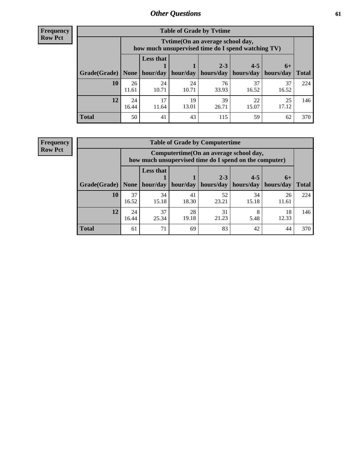**Frequency Row Pct**

| <b>Table of Grade by Tytime</b> |             |                                                                                                                                   |             |             |             |             |     |  |  |  |
|---------------------------------|-------------|-----------------------------------------------------------------------------------------------------------------------------------|-------------|-------------|-------------|-------------|-----|--|--|--|
|                                 |             | Tytime (On an average school day,<br>how much unsupervised time do I spend watching TV)                                           |             |             |             |             |     |  |  |  |
| Grade(Grade)                    | None        | <b>Less that</b><br>$2 - 3$<br>$4 - 5$<br>$6+$<br>hour/day<br>hours/day<br>  hours/day<br>hour/day<br>  hours/day<br><b>Total</b> |             |             |             |             |     |  |  |  |
| 10                              | 26<br>11.61 | 24<br>10.71                                                                                                                       | 24<br>10.71 | 76<br>33.93 | 37<br>16.52 | 37<br>16.52 | 224 |  |  |  |
| 12                              | 24<br>16.44 | 17<br>11.64                                                                                                                       | 19<br>13.01 | 39<br>26.71 | 22<br>15.07 | 25<br>17.12 | 146 |  |  |  |
| <b>Total</b>                    | 50          | 41                                                                                                                                | 43          | 115         | 59          | 62          | 370 |  |  |  |

**Frequency Row Pct**

| <b>Table of Grade by Computertime</b> |             |                                                                                                   |             |                      |                      |                   |              |  |  |  |  |
|---------------------------------------|-------------|---------------------------------------------------------------------------------------------------|-------------|----------------------|----------------------|-------------------|--------------|--|--|--|--|
|                                       |             | Computertime (On an average school day,<br>how much unsupervised time do I spend on the computer) |             |                      |                      |                   |              |  |  |  |  |
| Grade(Grade)                          | None        | <b>Less that</b><br>hour/day                                                                      | hour/day    | $2 - 3$<br>hours/day | $4 - 5$<br>hours/day | $6+$<br>hours/day | <b>Total</b> |  |  |  |  |
| 10                                    | 37<br>16.52 | 34<br>15.18                                                                                       | 41<br>18.30 | 52<br>23.21          | 34<br>15.18          | 26<br>11.61       | 224          |  |  |  |  |
| 12                                    | 24<br>16.44 | 37<br>28<br>31<br>18<br>8<br>19.18<br>21.23<br>25.34<br>12.33<br>5.48                             |             |                      |                      |                   |              |  |  |  |  |
| <b>Total</b>                          | 61          | 71                                                                                                | 69          | 83                   | 42                   | 44                | 370          |  |  |  |  |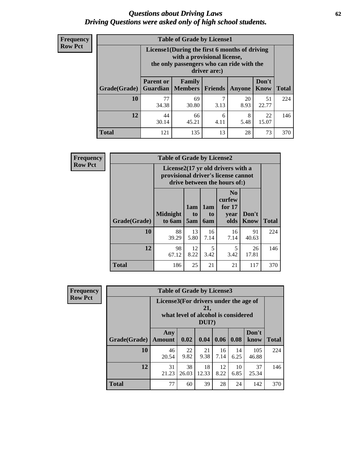#### *Questions about Driving Laws* **62** *Driving Questions were asked only of high school students.*

| <b>Frequency</b> |
|------------------|
| <b>Row Pct</b>   |

| <b>Table of Grade by License1</b> |                                                                     |                                                                                                                                           |         |            |               |              |  |  |  |
|-----------------------------------|---------------------------------------------------------------------|-------------------------------------------------------------------------------------------------------------------------------------------|---------|------------|---------------|--------------|--|--|--|
|                                   |                                                                     | License1(During the first 6 months of driving<br>with a provisional license,<br>the only passengers who can ride with the<br>driver are:) |         |            |               |              |  |  |  |
| Grade(Grade)                      | <b>Parent or</b><br><b>Guardian</b>                                 | Family<br><b>Members</b>                                                                                                                  | Friends | Anyone     | Don't<br>Know | <b>Total</b> |  |  |  |
| 10                                | 77<br>34.38                                                         | 69<br>30.80                                                                                                                               | 3.13    | 20<br>8.93 | 51<br>22.77   | 224          |  |  |  |
| 12                                | 44<br>8<br>22<br>66<br>6<br>15.07<br>30.14<br>45.21<br>5.48<br>4.11 |                                                                                                                                           |         |            |               |              |  |  |  |
| <b>Total</b>                      | 121                                                                 | 135                                                                                                                                       | 13      | 28         | 73            | 370          |  |  |  |

| <b>Frequency</b> |              | <b>Table of Grade by License2</b> |                              |                  |                                                                                                          |                      |              |  |  |  |
|------------------|--------------|-----------------------------------|------------------------------|------------------|----------------------------------------------------------------------------------------------------------|----------------------|--------------|--|--|--|
| <b>Row Pct</b>   |              |                                   |                              |                  | License2(17 yr old drivers with a<br>provisional driver's license cannot<br>drive between the hours of:) |                      |              |  |  |  |
|                  | Grade(Grade) | <b>Midnight</b><br>to 6am         | 1am<br>t <sub>0</sub><br>5am | 1am<br>to<br>6am | N <sub>0</sub><br>curfew<br>for $17$<br>year<br>olds                                                     | Don't<br><b>Know</b> | <b>Total</b> |  |  |  |
|                  | 10           | 88<br>39.29                       | 13<br>5.80                   | 16<br>7.14       | 16<br>7.14                                                                                               | 91<br>40.63          | 224          |  |  |  |
|                  | 12           | 98<br>67.12                       | 12<br>8.22                   | 5<br>3.42        | 5<br>3.42                                                                                                | 26<br>17.81          | 146          |  |  |  |
|                  | <b>Total</b> | 186                               | 25                           | 21               | 21                                                                                                       | 117                  | 370          |  |  |  |

| Frequency      |              | <b>Table of Grade by License3</b>                                                            |             |             |            |            |               |              |
|----------------|--------------|----------------------------------------------------------------------------------------------|-------------|-------------|------------|------------|---------------|--------------|
| <b>Row Pct</b> |              | License3(For drivers under the age of<br>21,<br>what level of alcohol is considered<br>DUI?) |             |             |            |            |               |              |
|                | Grade(Grade) | Any<br><b>Amount</b>                                                                         | 0.02        | 0.04        | 0.06       | 0.08       | Don't<br>know | <b>Total</b> |
|                | 10           | 46<br>20.54                                                                                  | 22<br>9.82  | 21<br>9.38  | 16<br>7.14 | 14<br>6.25 | 105<br>46.88  | 224          |
|                | 12           | 31<br>21.23                                                                                  | 38<br>26.03 | 18<br>12.33 | 12<br>8.22 | 10<br>6.85 | 37<br>25.34   | 146          |
|                | <b>Total</b> | 77                                                                                           | 60          | 39          | 28         | 24         | 142           | 370          |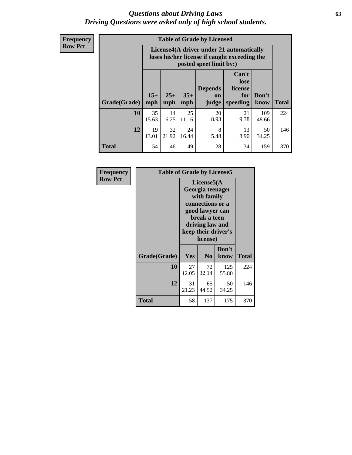#### *Questions about Driving Laws* **63** *Driving Questions were asked only of high school students.*

**Frequency Row Pct**

|              |             |                                                                                                                                                                                                                                                                                |             | <b>Table of Grade by License4</b> |            |              |     |  |  |  |
|--------------|-------------|--------------------------------------------------------------------------------------------------------------------------------------------------------------------------------------------------------------------------------------------------------------------------------|-------------|-----------------------------------|------------|--------------|-----|--|--|--|
|              |             | License4(A driver under 21 automatically<br>loses his/her license if caught exceeding the<br>posted speet limit by:)<br>Can't<br>lose<br><b>Depends</b><br>license<br>$15+$<br>$25+$<br>$35+$<br>Don't<br>for<br>on<br>speeding<br><b>Total</b><br>mph<br>mph<br>know<br>judge |             |                                   |            |              |     |  |  |  |
| Grade(Grade) | mph         |                                                                                                                                                                                                                                                                                |             |                                   |            |              |     |  |  |  |
| 10           | 35<br>15.63 | 14<br>6.25                                                                                                                                                                                                                                                                     | 25<br>11.16 | 20<br>8.93                        | 21<br>9.38 | 109<br>48.66 | 224 |  |  |  |
| 12           | 19<br>13.01 | 32<br>8<br>24<br>13<br>50<br>21.92<br>16.44<br>5.48<br>8.90<br>34.25                                                                                                                                                                                                           |             |                                   |            |              |     |  |  |  |
| <b>Total</b> | 54          | 46                                                                                                                                                                                                                                                                             | 49          | 28                                | 34         | 159          | 370 |  |  |  |

| Frequency      | <b>Table of Grade by License5</b> |                                                                                                                                                            |                |               |       |
|----------------|-----------------------------------|------------------------------------------------------------------------------------------------------------------------------------------------------------|----------------|---------------|-------|
| <b>Row Pct</b> |                                   | License5(A<br>Georgia teenager<br>with family<br>connections or a<br>good lawyer can<br>break a teen<br>driving law and<br>keep their driver's<br>license) |                |               |       |
|                | Grade(Grade)                      | <b>Yes</b>                                                                                                                                                 | N <sub>0</sub> | Don't<br>know | Total |
|                | 10                                | 27<br>12.05                                                                                                                                                | 72<br>32.14    | 125<br>55.80  | 224   |
|                | 12                                | 31<br>21.23                                                                                                                                                | 65<br>44.52    | 50<br>34.25   | 146   |
|                | Total                             | 58                                                                                                                                                         | 137            | 175           | 370   |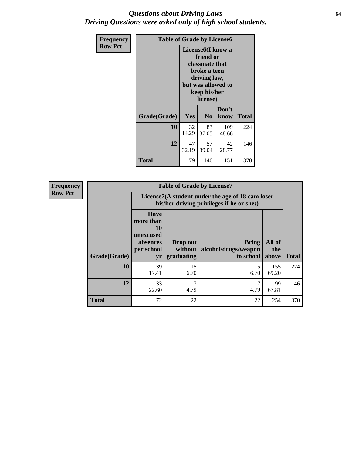#### *Questions about Driving Laws* **64** *Driving Questions were asked only of high school students.*

| <b>Frequency</b> |              | <b>Table of Grade by License6</b>                                                                                                               |                |               |       |  |  |
|------------------|--------------|-------------------------------------------------------------------------------------------------------------------------------------------------|----------------|---------------|-------|--|--|
| <b>Row Pct</b>   |              | License <sub>6</sub> (I know a<br>friend or<br>classmate that<br>broke a teen<br>driving law,<br>but was allowed to<br>keep his/her<br>license) |                |               |       |  |  |
|                  | Grade(Grade) | Yes                                                                                                                                             | N <sub>0</sub> | Don't<br>know | Total |  |  |
|                  | 10           | 32<br>14.29                                                                                                                                     | 83<br>37.05    | 109<br>48.66  | 224   |  |  |
|                  | 12           | 47<br>32.19                                                                                                                                     | 146            |               |       |  |  |
|                  | <b>Total</b> | 79                                                                                                                                              | 140            | 151           | 370   |  |  |

| <b>Frequency</b> | <b>Table of Grade by License7</b> |                                                                             |                                                                                               |                                                   |                        |              |  |
|------------------|-----------------------------------|-----------------------------------------------------------------------------|-----------------------------------------------------------------------------------------------|---------------------------------------------------|------------------------|--------------|--|
| <b>Row Pct</b>   |                                   |                                                                             | License7(A student under the age of 18 cam loser<br>his/her driving privileges if he or she:) |                                                   |                        |              |  |
|                  | Grade(Grade)                      | <b>Have</b><br>more than<br>10<br>unexcused<br>absences<br>per school<br>yr | Drop out<br>without  <br>graduating                                                           | <b>Bring</b><br>alcohol/drugs/weapon<br>to school | All of<br>the<br>above | <b>Total</b> |  |
|                  | 10                                | 39<br>17.41                                                                 | 15<br>6.70                                                                                    | 15<br>6.70                                        | 155<br>69.20           | 224          |  |
|                  | 12                                | 33<br>22.60                                                                 | 7<br>4.79                                                                                     | ⇁<br>4.79                                         | 99<br>67.81            | 146          |  |
|                  | <b>Total</b>                      | 72                                                                          | 22                                                                                            | 22                                                | 254                    | 370          |  |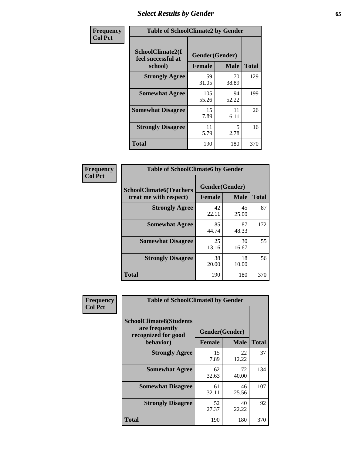# *Select Results by Gender* **65**

| Frequency      | <b>Table of SchoolClimate2 by Gender</b>          |                                 |             |              |
|----------------|---------------------------------------------------|---------------------------------|-------------|--------------|
| <b>Col Pct</b> | SchoolClimate2(I<br>feel successful at<br>school) | Gender(Gender)<br><b>Female</b> | <b>Male</b> | <b>Total</b> |
|                | <b>Strongly Agree</b>                             | 59<br>31.05                     | 70<br>38.89 | 129          |
|                | <b>Somewhat Agree</b>                             | 105<br>55.26                    | 94<br>52.22 | 199          |
|                | <b>Somewhat Disagree</b>                          | 15<br>7.89                      | 11<br>6.11  | 26           |
|                | <b>Strongly Disagree</b>                          | 11<br>5.79                      | 5<br>2.78   | 16           |
|                | <b>Total</b>                                      | 190                             | 180         | 370          |

| <b>Frequency</b> | <b>Table of SchoolClimate6 by Gender</b>                 |                          |             |              |  |
|------------------|----------------------------------------------------------|--------------------------|-------------|--------------|--|
| <b>Col Pct</b>   | <b>SchoolClimate6(Teachers</b><br>treat me with respect) | Gender(Gender)<br>Female | <b>Male</b> | <b>Total</b> |  |
|                  | <b>Strongly Agree</b>                                    | 42<br>22.11              | 45<br>25.00 | 87           |  |
|                  | <b>Somewhat Agree</b>                                    | 85<br>44.74              | 87<br>48.33 | 172          |  |
|                  | <b>Somewhat Disagree</b>                                 | 25<br>13.16              | 30<br>16.67 | 55           |  |
|                  | <b>Strongly Disagree</b>                                 | 38<br>20.00              | 18<br>10.00 | 56           |  |
|                  | <b>Total</b>                                             | 190                      | 180         | 370          |  |

| <b>Frequency</b> | <b>Table of SchoolClimate8 by Gender</b>                                             |               |                               |              |
|------------------|--------------------------------------------------------------------------------------|---------------|-------------------------------|--------------|
| <b>Col Pct</b>   | <b>SchoolClimate8(Students</b><br>are frequently<br>recognized for good<br>behavior) | <b>Female</b> | Gender(Gender)<br><b>Male</b> | <b>Total</b> |
|                  | <b>Strongly Agree</b>                                                                | 15<br>7.89    | 22<br>12.22                   | 37           |
|                  | <b>Somewhat Agree</b>                                                                | 62<br>32.63   | 72<br>40.00                   | 134          |
|                  | <b>Somewhat Disagree</b>                                                             | 61<br>32.11   | 46<br>25.56                   | 107          |
|                  | <b>Strongly Disagree</b>                                                             | 52<br>27.37   | 40<br>22.22                   | 92           |
|                  | Total                                                                                | 190           | 180                           | 370          |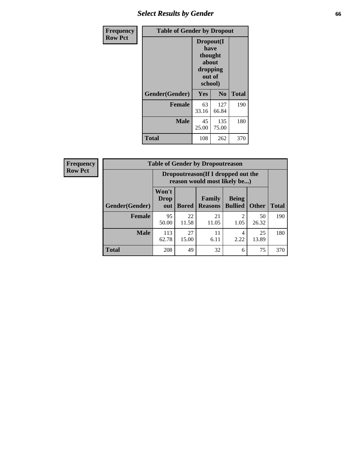# *Select Results by Gender* **66**

| Frequency      | <b>Table of Gender by Dropout</b> |                                                                        |                |              |
|----------------|-----------------------------------|------------------------------------------------------------------------|----------------|--------------|
| <b>Row Pct</b> |                                   | Dropout(I<br>have<br>thought<br>about<br>dropping<br>out of<br>school) |                |              |
|                | Gender(Gender)                    | Yes                                                                    | N <sub>0</sub> | <b>Total</b> |
|                | <b>Female</b>                     | 63<br>33.16                                                            | 127<br>66.84   | 190          |
|                | <b>Male</b>                       | 45<br>25.00                                                            | 135<br>75.00   | 180          |
|                | <b>Total</b>                      | 108                                                                    | 262            | 370          |

| <b>Frequency</b> | <b>Table of Gender by Dropoutreason</b> |                                                                     |              |                          |                                |              |              |
|------------------|-----------------------------------------|---------------------------------------------------------------------|--------------|--------------------------|--------------------------------|--------------|--------------|
| <b>Row Pct</b>   |                                         | Dropoutreason (If I dropped out the<br>reason would most likely be) |              |                          |                                |              |              |
|                  | Gender(Gender)                          | Won't<br><b>Drop</b><br>out                                         | <b>Bored</b> | Family<br><b>Reasons</b> | <b>Being</b><br><b>Bullied</b> | <b>Other</b> | <b>Total</b> |
|                  | <b>Female</b>                           | 95<br>50.00                                                         | 22<br>11.58  | 21<br>11.05              | റ<br>1.05                      | 50<br>26.32  | 190          |
|                  | <b>Male</b>                             | 113<br>62.78                                                        | 27<br>15.00  | 11<br>6.11               | 4<br>2.22                      | 25<br>13.89  | 180          |
|                  | <b>Total</b>                            | 208                                                                 | 49           | 32                       | 6                              | 75           | 370          |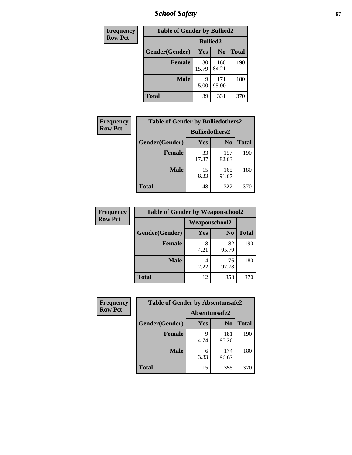*School Safety* **67**

| Frequency      | <b>Table of Gender by Bullied2</b> |                 |                |              |
|----------------|------------------------------------|-----------------|----------------|--------------|
| <b>Row Pct</b> |                                    | <b>Bullied2</b> |                |              |
|                | Gender(Gender)                     | Yes             | N <sub>0</sub> | <b>Total</b> |
|                | <b>Female</b>                      | 30<br>15.79     | 160<br>84.21   | 190          |
|                | <b>Male</b>                        | Q<br>5.00       | 171<br>95.00   | 180          |
|                | <b>Total</b>                       | 39              | 331            | 370          |

| Frequency      | <b>Table of Gender by Bulliedothers2</b> |                       |                |              |
|----------------|------------------------------------------|-----------------------|----------------|--------------|
| <b>Row Pct</b> |                                          | <b>Bulliedothers2</b> |                |              |
|                | Gender(Gender)                           | Yes                   | N <sub>0</sub> | <b>Total</b> |
|                | <b>Female</b>                            | 33<br>17.37           | 157<br>82.63   | 190          |
|                | <b>Male</b>                              | 15<br>8.33            | 165<br>91.67   | 180          |
|                | <b>Total</b>                             | 48                    | 322            | 370          |

| Frequency      | <b>Table of Gender by Weaponschool2</b> |                      |                |              |
|----------------|-----------------------------------------|----------------------|----------------|--------------|
| <b>Row Pct</b> |                                         | <b>Weaponschool2</b> |                |              |
|                | Gender(Gender)                          | Yes                  | N <sub>0</sub> | <b>Total</b> |
|                | <b>Female</b>                           | 4.21                 | 182<br>95.79   | 190          |
|                | <b>Male</b>                             | 2.22                 | 176<br>97.78   | 180          |
|                | <b>Total</b>                            | 12                   | 358            | 370          |

| Frequency      | <b>Table of Gender by Absentunsafe2</b> |               |                |              |
|----------------|-----------------------------------------|---------------|----------------|--------------|
| <b>Row Pct</b> |                                         | Absentunsafe2 |                |              |
|                | Gender(Gender)                          | Yes           | N <sub>0</sub> | <b>Total</b> |
|                | <b>Female</b>                           | q<br>4.74     | 181<br>95.26   | 190          |
|                | <b>Male</b>                             | 6<br>3.33     | 174<br>96.67   | 180          |
|                | <b>Total</b>                            | 15            | 355            | 370          |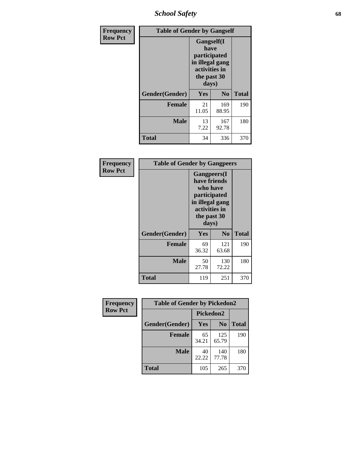*School Safety* **68**

| Frequency      | <b>Table of Gender by Gangself</b> |                                                                                                        |                |              |
|----------------|------------------------------------|--------------------------------------------------------------------------------------------------------|----------------|--------------|
| <b>Row Pct</b> |                                    | <b>Gangself</b> (I<br>have<br>participated<br>in illegal gang<br>activities in<br>the past 30<br>days) |                |              |
|                | Gender(Gender)                     | Yes                                                                                                    | N <sub>0</sub> | <b>Total</b> |
|                | <b>Female</b>                      | 21<br>11.05                                                                                            | 169<br>88.95   | 190          |
|                | <b>Male</b>                        | 13<br>7.22                                                                                             | 167<br>92.78   | 180          |
|                | <b>Total</b>                       | 34                                                                                                     | 336            | 370          |

| Frequency      | <b>Table of Gender by Gangpeers</b> |                                                                                                                             |                |              |
|----------------|-------------------------------------|-----------------------------------------------------------------------------------------------------------------------------|----------------|--------------|
| <b>Row Pct</b> |                                     | <b>Gangpeers</b> (I<br>have friends<br>who have<br>participated<br>in illegal gang<br>activities in<br>the past 30<br>days) |                |              |
|                | Gender(Gender)                      | <b>Yes</b>                                                                                                                  | N <sub>0</sub> | <b>Total</b> |
|                | <b>Female</b>                       | 69<br>36.32                                                                                                                 | 121<br>63.68   | 190          |
|                | Male                                | 50<br>27.78                                                                                                                 | 130<br>72.22   | 180          |
|                | Total                               | 119                                                                                                                         | 251            | 370          |

| Frequency      | <b>Table of Gender by Pickedon2</b> |             |                |              |
|----------------|-------------------------------------|-------------|----------------|--------------|
| <b>Row Pct</b> |                                     | Pickedon2   |                |              |
|                | Gender(Gender)                      | <b>Yes</b>  | N <sub>0</sub> | <b>Total</b> |
|                | <b>Female</b>                       | 65<br>34.21 | 125<br>65.79   | 190          |
|                | <b>Male</b>                         | 40<br>22.22 | 140<br>77.78   | 180          |
|                | <b>Total</b>                        | 105         | 265            | 370          |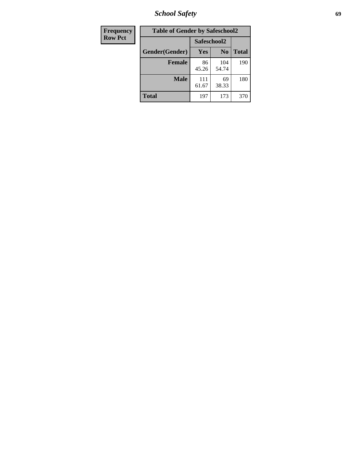*School Safety* **69**

| Frequency      | <b>Table of Gender by Safeschool2</b> |              |                |              |
|----------------|---------------------------------------|--------------|----------------|--------------|
| <b>Row Pct</b> |                                       |              | Safeschool2    |              |
|                | Gender(Gender)                        | Yes          | N <sub>0</sub> | <b>Total</b> |
|                | <b>Female</b>                         | 86<br>45.26  | 104<br>54.74   | 190          |
|                | <b>Male</b>                           | 111<br>61.67 | 69<br>38.33    | 180          |
|                | <b>Total</b>                          | 197          | 173            | 370          |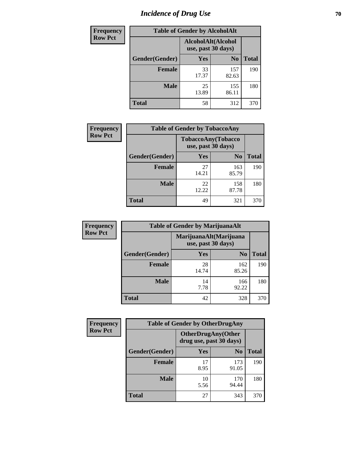# *Incidence of Drug Use* **70**

| <b>Frequency</b> | <b>Table of Gender by AlcoholAlt</b> |             |                                          |              |  |
|------------------|--------------------------------------|-------------|------------------------------------------|--------------|--|
| <b>Row Pct</b>   |                                      |             | AlcoholAlt(Alcohol<br>use, past 30 days) |              |  |
|                  | Gender(Gender)                       | Yes         | N <sub>0</sub>                           | <b>Total</b> |  |
|                  | <b>Female</b>                        | 33<br>17.37 | 157<br>82.63                             | 190          |  |
|                  | <b>Male</b>                          | 25<br>13.89 | 155<br>86.11                             | 180          |  |
|                  | <b>Total</b>                         | 58          | 312                                      | 370          |  |

| Frequency      | <b>Table of Gender by TobaccoAny</b> |                    |                    |              |  |
|----------------|--------------------------------------|--------------------|--------------------|--------------|--|
| <b>Row Pct</b> |                                      | use, past 30 days) | TobaccoAny(Tobacco |              |  |
|                | Gender(Gender)                       | Yes                | N <sub>0</sub>     | <b>Total</b> |  |
|                | <b>Female</b>                        | 27<br>14.21        | 163<br>85.79       | 190          |  |
|                | <b>Male</b>                          | 22<br>12.22        | 158<br>87.78       | 180          |  |
|                | <b>Total</b>                         | 49                 | 321                | 370          |  |

| <b>Frequency</b> | <b>Table of Gender by MarijuanaAlt</b> |                    |                        |       |
|------------------|----------------------------------------|--------------------|------------------------|-------|
| <b>Row Pct</b>   |                                        | use, past 30 days) | MarijuanaAlt(Marijuana |       |
|                  | Gender(Gender)                         | <b>Yes</b>         | N <sub>0</sub>         | Total |
|                  | <b>Female</b>                          | 28<br>14.74        | 162<br>85.26           | 190   |
|                  | <b>Male</b>                            | 14<br>7.78         | 166<br>92.22           | 180   |
|                  | <b>Total</b>                           | 42                 | 328                    | 370   |

| <b>Frequency</b> | <b>Table of Gender by OtherDrugAny</b> |                         |                            |              |
|------------------|----------------------------------------|-------------------------|----------------------------|--------------|
| <b>Row Pct</b>   |                                        | drug use, past 30 days) | <b>OtherDrugAny</b> (Other |              |
|                  | Gender(Gender)                         | <b>Yes</b>              | N <sub>0</sub>             | <b>Total</b> |
|                  | <b>Female</b>                          | 17<br>8.95              | 173<br>91.05               | 190          |
|                  | <b>Male</b>                            | 10<br>5.56              | 170<br>94.44               | 180          |
|                  | <b>Total</b>                           | 27                      | 343                        | 370          |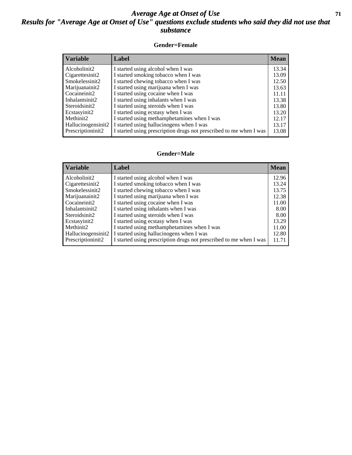#### *Average Age at Onset of Use* **71** *Results for "Average Age at Onset of Use" questions exclude students who said they did not use that substance*

#### **Gender=Female**

| <b>Variable</b>    | <b>Label</b>                                                       | <b>Mean</b> |
|--------------------|--------------------------------------------------------------------|-------------|
| Alcoholinit2       | I started using alcohol when I was                                 | 13.34       |
| Cigarettesinit2    | I started smoking tobacco when I was                               | 13.09       |
| Smokelessinit2     | I started chewing tobacco when I was                               | 12.50       |
| Marijuanainit2     | I started using marijuana when I was                               | 13.63       |
| Cocaineinit2       | I started using cocaine when I was                                 | 11.11       |
| Inhalantsinit2     | I started using inhalants when I was                               | 13.38       |
| Steroidsinit2      | I started using steroids when I was                                | 13.80       |
| Ecstasyinit2       | I started using ecstasy when I was                                 | 13.20       |
| Methinit2          | I started using methamphetamines when I was                        | 12.17       |
| Hallucinogensinit2 | I started using hallucinogens when I was                           | 13.17       |
| Prescription in t2 | I started using prescription drugs not prescribed to me when I was | 13.08       |

#### **Gender=Male**

| <b>Variable</b>                 | Label                                                              | <b>Mean</b> |
|---------------------------------|--------------------------------------------------------------------|-------------|
| Alcoholinit2                    | I started using alcohol when I was                                 | 12.96       |
| Cigarettesinit2                 | I started smoking tobacco when I was                               | 13.24       |
| Smokelessinit2                  | I started chewing tobacco when I was                               | 13.75       |
| Marijuanainit2                  | I started using marijuana when I was                               | 12.38       |
| Cocaineinit2                    | I started using cocaine when I was                                 | 11.00       |
| Inhalantsinit2                  | I started using inhalants when I was                               | 8.00        |
| Steroidsinit2                   | I started using steroids when I was                                | 8.00        |
| Ecstasyinit2                    | I started using ecstasy when I was                                 | 13.29       |
| Methinit2                       | I started using methamphetamines when I was                        | 11.00       |
| Hallucinogensinit2              | I started using hallucinogens when I was                           | 12.80       |
| Prescription in it <sub>2</sub> | I started using prescription drugs not prescribed to me when I was | 11.71       |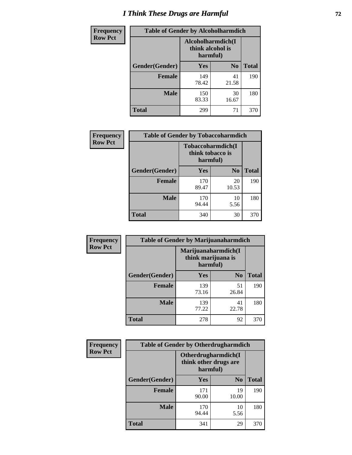# *I Think These Drugs are Harmful* **72**

| Frequency      | <b>Table of Gender by Alcoholharmdich</b> |                                                    |                |              |
|----------------|-------------------------------------------|----------------------------------------------------|----------------|--------------|
| <b>Row Pct</b> |                                           | Alcoholharmdich(I)<br>think alcohol is<br>harmful) |                |              |
|                | Gender(Gender)                            | Yes                                                | N <sub>0</sub> | <b>Total</b> |
|                | <b>Female</b>                             | 149<br>78.42                                       | 41<br>21.58    | 190          |
|                | <b>Male</b>                               | 150<br>83.33                                       | 30<br>16.67    | 180          |
|                | Total                                     | 299                                                | 71             | 370          |

| Frequency      | <b>Table of Gender by Tobaccoharmdich</b> |                  |                               |              |
|----------------|-------------------------------------------|------------------|-------------------------------|--------------|
| <b>Row Pct</b> |                                           | think tobacco is | Tobaccoharmdich(I<br>harmful) |              |
|                | Gender(Gender)                            | <b>Yes</b>       | N <sub>0</sub>                | <b>Total</b> |
|                | <b>Female</b>                             | 170<br>89.47     | 20<br>10.53                   | 190          |
|                | <b>Male</b>                               | 170<br>94.44     | 10<br>5.56                    | 180          |
|                | <b>Total</b>                              | 340              | 30                            | 370          |

| Frequency      | <b>Table of Gender by Marijuanaharmdich</b> |                                                       |                |              |  |
|----------------|---------------------------------------------|-------------------------------------------------------|----------------|--------------|--|
| <b>Row Pct</b> |                                             | Marijuanaharmdich(I<br>think marijuana is<br>harmful) |                |              |  |
|                | Gender(Gender)                              | <b>Yes</b>                                            | N <sub>0</sub> | <b>Total</b> |  |
|                | <b>Female</b>                               | 139<br>73.16                                          | 51<br>26.84    | 190          |  |
|                | <b>Male</b>                                 | 139<br>77.22                                          | 41<br>22.78    | 180          |  |
|                | <b>Total</b>                                | 278                                                   | 92             | 370          |  |

| Frequency      | <b>Table of Gender by Otherdrugharmdich</b> |                                                          |                |              |  |
|----------------|---------------------------------------------|----------------------------------------------------------|----------------|--------------|--|
| <b>Row Pct</b> |                                             | Otherdrugharmdich(I<br>think other drugs are<br>harmful) |                |              |  |
|                | Gender(Gender)                              | <b>Yes</b>                                               | N <sub>0</sub> | <b>Total</b> |  |
|                | <b>Female</b>                               | 171<br>90.00                                             | 19<br>10.00    | 190          |  |
|                | <b>Male</b>                                 | 170<br>94.44                                             | 10<br>5.56     | 180          |  |
|                | <b>Total</b>                                | 341                                                      | 29             | 370          |  |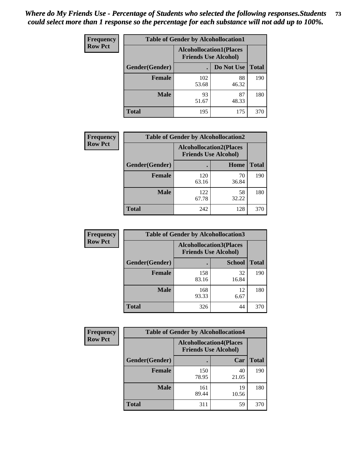| <b>Frequency</b> | <b>Table of Gender by Alcohollocation1</b> |                                                               |             |              |
|------------------|--------------------------------------------|---------------------------------------------------------------|-------------|--------------|
| <b>Row Pct</b>   |                                            | <b>Alcohollocation1(Places</b><br><b>Friends Use Alcohol)</b> |             |              |
|                  | Gender(Gender)                             |                                                               | Do Not Use  | <b>Total</b> |
|                  | <b>Female</b>                              | 102<br>53.68                                                  | 88<br>46.32 | 190          |
|                  | <b>Male</b>                                | 93<br>51.67                                                   | 87<br>48.33 | 180          |
|                  | <b>Total</b>                               | 195                                                           | 175         | 370          |

| <b>Frequency</b> | <b>Table of Gender by Alcohollocation2</b> |                                                               |             |              |
|------------------|--------------------------------------------|---------------------------------------------------------------|-------------|--------------|
| <b>Row Pct</b>   |                                            | <b>Alcohollocation2(Places</b><br><b>Friends Use Alcohol)</b> |             |              |
|                  | Gender(Gender)                             |                                                               | Home        | <b>Total</b> |
|                  | <b>Female</b>                              | 120<br>63.16                                                  | 70<br>36.84 | 190          |
|                  | <b>Male</b>                                | 122<br>67.78                                                  | 58<br>32.22 | 180          |
|                  | <b>Total</b>                               | 242                                                           | 128         | 370          |

| Frequency      | <b>Table of Gender by Alcohollocation3</b> |                                                               |               |              |
|----------------|--------------------------------------------|---------------------------------------------------------------|---------------|--------------|
| <b>Row Pct</b> |                                            | <b>Alcohollocation3(Places</b><br><b>Friends Use Alcohol)</b> |               |              |
|                | Gender(Gender)                             |                                                               | <b>School</b> | <b>Total</b> |
|                | <b>Female</b>                              | 158<br>83.16                                                  | 32<br>16.84   | 190          |
|                | <b>Male</b>                                | 168<br>93.33                                                  | 12<br>6.67    | 180          |
|                | <b>Total</b>                               | 326                                                           | 44            | 370          |

| Frequency      | <b>Table of Gender by Alcohollocation4</b> |                                                               |             |              |
|----------------|--------------------------------------------|---------------------------------------------------------------|-------------|--------------|
| <b>Row Pct</b> |                                            | <b>Alcohollocation4(Places</b><br><b>Friends Use Alcohol)</b> |             |              |
|                | <b>Gender</b> (Gender)                     |                                                               | Car         | <b>Total</b> |
|                | <b>Female</b>                              | 150<br>78.95                                                  | 40<br>21.05 | 190          |
|                | <b>Male</b>                                | 161<br>89.44                                                  | 19<br>10.56 | 180          |
|                | <b>Total</b>                               | 311                                                           | 59          | 370          |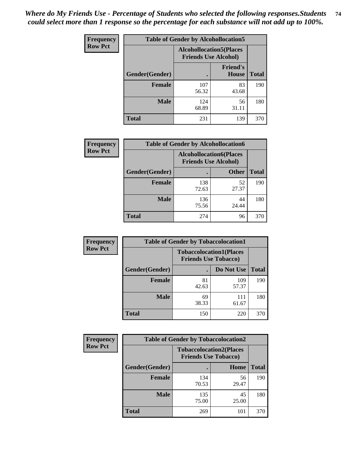| <b>Frequency</b> | <b>Table of Gender by Alcohollocation5</b> |                                                               |                                 |              |
|------------------|--------------------------------------------|---------------------------------------------------------------|---------------------------------|--------------|
| <b>Row Pct</b>   |                                            | <b>Alcohollocation5(Places</b><br><b>Friends Use Alcohol)</b> |                                 |              |
|                  | Gender(Gender)                             | $\bullet$                                                     | <b>Friend's</b><br><b>House</b> | <b>Total</b> |
|                  | <b>Female</b>                              | 107<br>56.32                                                  | 83<br>43.68                     | 190          |
|                  | <b>Male</b>                                | 124<br>68.89                                                  | 56<br>31.11                     | 180          |
|                  | <b>Total</b>                               | 231                                                           | 139                             | 370          |

| <b>Frequency</b> | <b>Table of Gender by Alcohollocation6</b> |                                                               |              |              |
|------------------|--------------------------------------------|---------------------------------------------------------------|--------------|--------------|
| <b>Row Pct</b>   |                                            | <b>Alcohollocation6(Places</b><br><b>Friends Use Alcohol)</b> |              |              |
|                  | Gender(Gender)                             |                                                               | <b>Other</b> | <b>Total</b> |
|                  | <b>Female</b>                              | 138<br>72.63                                                  | 52<br>27.37  | 190          |
|                  | <b>Male</b>                                | 136<br>75.56                                                  | 44<br>24.44  | 180          |
|                  | <b>Total</b>                               | 274                                                           | 96           | 370          |

| Frequency      | <b>Table of Gender by Tobaccolocation1</b> |                                                               |              |              |  |
|----------------|--------------------------------------------|---------------------------------------------------------------|--------------|--------------|--|
| <b>Row Pct</b> |                                            | <b>Tobaccolocation1(Places</b><br><b>Friends Use Tobacco)</b> |              |              |  |
|                | Gender(Gender)                             |                                                               | Do Not Use   | <b>Total</b> |  |
|                | Female                                     | 81<br>42.63                                                   | 109<br>57.37 | 190          |  |
|                | <b>Male</b>                                | 69<br>38.33                                                   | 111<br>61.67 | 180          |  |
|                | <b>Total</b>                               | 150                                                           | 220          | 370          |  |

| Frequency      | <b>Table of Gender by Tobaccolocation2</b> |                                                               |             |              |  |
|----------------|--------------------------------------------|---------------------------------------------------------------|-------------|--------------|--|
| <b>Row Pct</b> |                                            | <b>Tobaccolocation2(Places</b><br><b>Friends Use Tobacco)</b> |             |              |  |
|                | Gender(Gender)                             |                                                               | Home        | <b>Total</b> |  |
|                | Female                                     | 134<br>70.53                                                  | 56<br>29.47 | 190          |  |
|                | <b>Male</b>                                | 135<br>75.00                                                  | 45<br>25.00 | 180          |  |
|                | <b>Total</b>                               | 269                                                           | 101         | 370          |  |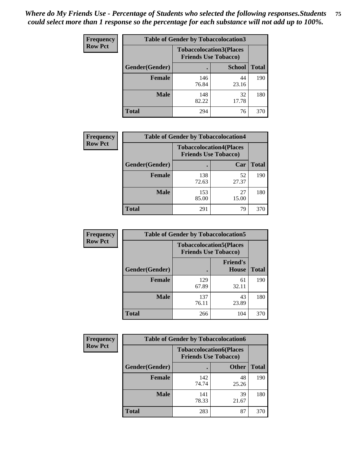| <b>Frequency</b> | <b>Table of Gender by Tobaccolocation3</b> |                                                               |               |              |  |
|------------------|--------------------------------------------|---------------------------------------------------------------|---------------|--------------|--|
| <b>Row Pct</b>   |                                            | <b>Tobaccolocation3(Places</b><br><b>Friends Use Tobacco)</b> |               |              |  |
|                  | Gender(Gender)                             |                                                               | <b>School</b> | <b>Total</b> |  |
|                  | <b>Female</b>                              | 146<br>76.84                                                  | 44<br>23.16   | 190          |  |
|                  | <b>Male</b>                                | 148<br>82.22                                                  | 32<br>17.78   | 180          |  |
|                  | <b>Total</b>                               | 294                                                           | 76            | 370          |  |

| <b>Frequency</b> | <b>Table of Gender by Tobaccolocation4</b> |                                                               |             |              |
|------------------|--------------------------------------------|---------------------------------------------------------------|-------------|--------------|
| <b>Row Pct</b>   |                                            | <b>Tobaccolocation4(Places</b><br><b>Friends Use Tobacco)</b> |             |              |
|                  | Gender(Gender)                             |                                                               | Car         | <b>Total</b> |
|                  | <b>Female</b>                              | 138<br>72.63                                                  | 52<br>27.37 | 190          |
|                  | <b>Male</b>                                | 153<br>85.00                                                  | 27<br>15.00 | 180          |
|                  | <b>Total</b>                               | 291                                                           | 79          | 370          |

| <b>Frequency</b> | <b>Table of Gender by Tobaccolocation5</b> |                                                               |                                 |              |  |
|------------------|--------------------------------------------|---------------------------------------------------------------|---------------------------------|--------------|--|
| <b>Row Pct</b>   |                                            | <b>Tobaccolocation5(Places</b><br><b>Friends Use Tobacco)</b> |                                 |              |  |
|                  | Gender(Gender)                             |                                                               | <b>Friend's</b><br><b>House</b> | <b>Total</b> |  |
|                  | <b>Female</b>                              | 129<br>67.89                                                  | 61<br>32.11                     | 190          |  |
|                  | <b>Male</b>                                | 137<br>76.11                                                  | 43<br>23.89                     | 180          |  |
|                  | <b>Total</b>                               | 266                                                           | 104                             | 370          |  |

| <b>Frequency</b> |                | <b>Table of Gender by Tobaccolocation6</b> |                                |              |
|------------------|----------------|--------------------------------------------|--------------------------------|--------------|
| <b>Row Pct</b>   |                | <b>Friends Use Tobacco)</b>                | <b>Tobaccolocation6(Places</b> |              |
|                  | Gender(Gender) |                                            | <b>Other</b>                   | <b>Total</b> |
|                  | Female         | 142<br>74.74                               | 48<br>25.26                    | 190          |
|                  | <b>Male</b>    | 141<br>78.33                               | 39<br>21.67                    | 180          |
|                  | <b>Total</b>   | 283                                        | 87                             | 370          |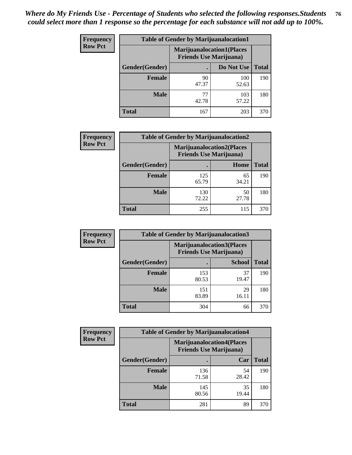| <b>Frequency</b> | <b>Table of Gender by Marijuanalocation1</b> |                                                                    |              |              |
|------------------|----------------------------------------------|--------------------------------------------------------------------|--------------|--------------|
| <b>Row Pct</b>   |                                              | <b>Marijuanalocation1(Places</b><br><b>Friends Use Marijuana</b> ) |              |              |
|                  | Gender(Gender)                               |                                                                    | Do Not Use   | <b>Total</b> |
|                  | <b>Female</b>                                | 90<br>47.37                                                        | 100<br>52.63 | 190          |
|                  | <b>Male</b>                                  | 77<br>42.78                                                        | 103<br>57.22 | 180          |
|                  | <b>Total</b>                                 | 167                                                                | 203          | 370          |

| <b>Frequency</b> | <b>Table of Gender by Marijuanalocation2</b> |                                                                    |             |              |
|------------------|----------------------------------------------|--------------------------------------------------------------------|-------------|--------------|
| <b>Row Pct</b>   |                                              | <b>Marijuanalocation2(Places</b><br><b>Friends Use Marijuana</b> ) |             |              |
|                  | Gender(Gender)                               |                                                                    | Home        | <b>Total</b> |
|                  | <b>Female</b>                                | 125<br>65.79                                                       | 65<br>34.21 | 190          |
|                  | <b>Male</b>                                  | 130<br>72.22                                                       | 50<br>27.78 | 180          |
|                  | <b>Total</b>                                 | 255                                                                | 115         | 370          |

| Frequency      | <b>Table of Gender by Marijuanalocation3</b> |              |                                                                     |              |  |
|----------------|----------------------------------------------|--------------|---------------------------------------------------------------------|--------------|--|
| <b>Row Pct</b> |                                              |              | <b>Marijuanalocation3(Places)</b><br><b>Friends Use Marijuana</b> ) |              |  |
|                | Gender(Gender)                               |              | <b>School</b>                                                       | <b>Total</b> |  |
|                | Female                                       | 153<br>80.53 | 37<br>19.47                                                         | 190          |  |
|                | <b>Male</b>                                  | 151<br>83.89 | 29<br>16.11                                                         | 180          |  |
|                | <b>Total</b>                                 | 304          | 66                                                                  | 370          |  |

| Frequency      | <b>Table of Gender by Marijuanalocation4</b> |                                                                    |             |              |
|----------------|----------------------------------------------|--------------------------------------------------------------------|-------------|--------------|
| <b>Row Pct</b> |                                              | <b>Marijuanalocation4(Places</b><br><b>Friends Use Marijuana</b> ) |             |              |
|                | Gender(Gender)                               |                                                                    | Car         | <b>Total</b> |
|                | <b>Female</b>                                | 136<br>71.58                                                       | 54<br>28.42 | 190          |
|                | <b>Male</b>                                  | 145<br>80.56                                                       | 35<br>19.44 | 180          |
|                | <b>Total</b>                                 | 281                                                                | 89          | 370          |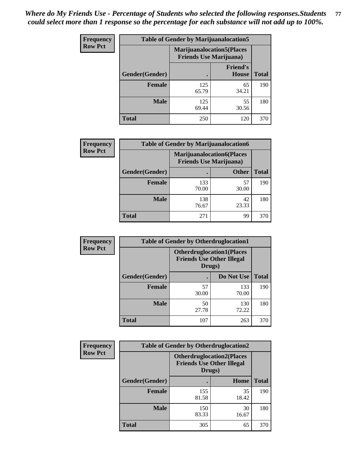| Frequency      | <b>Table of Gender by Marijuanalocation5</b> |                                                                    |                          |              |
|----------------|----------------------------------------------|--------------------------------------------------------------------|--------------------------|--------------|
| <b>Row Pct</b> |                                              | <b>Marijuanalocation5(Places</b><br><b>Friends Use Marijuana</b> ) |                          |              |
|                | Gender(Gender)                               |                                                                    | <b>Friend's</b><br>House | <b>Total</b> |
|                | <b>Female</b>                                | 125<br>65.79                                                       | 65<br>34.21              | 190          |
|                | <b>Male</b>                                  | 125<br>69.44                                                       | 55<br>30.56              | 180          |
|                | <b>Total</b>                                 | 250                                                                | 120                      | 370          |

| <b>Frequency</b> | <b>Table of Gender by Marijuanalocation6</b> |                                |                                  |              |
|------------------|----------------------------------------------|--------------------------------|----------------------------------|--------------|
| <b>Row Pct</b>   |                                              | <b>Friends Use Marijuana</b> ) | <b>Marijuanalocation6(Places</b> |              |
|                  | <b>Gender</b> (Gender)                       |                                | <b>Other</b>                     | <b>Total</b> |
|                  | <b>Female</b>                                | 133<br>70.00                   | 57<br>30.00                      | 190          |
|                  | <b>Male</b>                                  | 138<br>76.67                   | 42<br>23.33                      | 180          |
|                  | <b>Total</b>                                 | 271                            | 99                               | 370          |

| Frequency      | <b>Table of Gender by Otherdruglocation1</b> |                                                                                |              |              |
|----------------|----------------------------------------------|--------------------------------------------------------------------------------|--------------|--------------|
| <b>Row Pct</b> |                                              | <b>Otherdruglocation1(Places</b><br><b>Friends Use Other Illegal</b><br>Drugs) |              |              |
|                | Gender(Gender)                               |                                                                                | Do Not Use   | <b>Total</b> |
|                | Female                                       | 57<br>30.00                                                                    | 133<br>70.00 | 190          |
|                | <b>Male</b>                                  | 50<br>27.78                                                                    | 130<br>72.22 | 180          |
|                | <b>Total</b>                                 | 107                                                                            | 263          | 370          |

| Frequency      | <b>Table of Gender by Otherdruglocation2</b> |                                            |                                  |              |
|----------------|----------------------------------------------|--------------------------------------------|----------------------------------|--------------|
| <b>Row Pct</b> |                                              | <b>Friends Use Other Illegal</b><br>Drugs) | <b>Otherdruglocation2(Places</b> |              |
|                | Gender(Gender)                               |                                            | Home                             | <b>Total</b> |
|                | Female                                       | 155<br>81.58                               | 35<br>18.42                      | 190          |
|                | <b>Male</b>                                  | 150<br>83.33                               | 30<br>16.67                      | 180          |
|                | <b>Total</b>                                 | 305                                        | 65                               | 370          |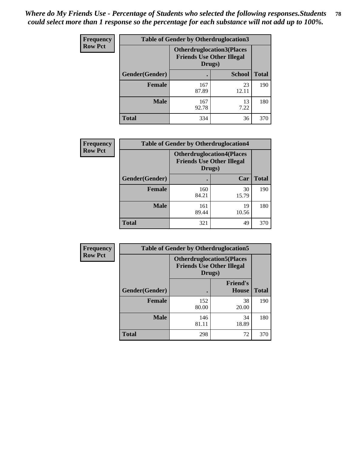| <b>Frequency</b> | <b>Table of Gender by Otherdruglocation3</b> |                                                                                |               |              |
|------------------|----------------------------------------------|--------------------------------------------------------------------------------|---------------|--------------|
| <b>Row Pct</b>   |                                              | <b>Otherdruglocation3(Places</b><br><b>Friends Use Other Illegal</b><br>Drugs) |               |              |
|                  | <b>Gender</b> (Gender)                       |                                                                                | <b>School</b> | <b>Total</b> |
|                  | Female                                       | 167<br>87.89                                                                   | 23<br>12.11   | 190          |
|                  | <b>Male</b>                                  | 167<br>92.78                                                                   | 13<br>7.22    | 180          |
|                  | <b>Total</b>                                 | 334                                                                            | 36            | 370          |

| <b>Frequency</b> | <b>Table of Gender by Otherdruglocation4</b> |                                                                                |             |              |
|------------------|----------------------------------------------|--------------------------------------------------------------------------------|-------------|--------------|
| <b>Row Pct</b>   |                                              | <b>Otherdruglocation4(Places</b><br><b>Friends Use Other Illegal</b><br>Drugs) |             |              |
|                  | Gender(Gender)                               |                                                                                | Car         | <b>Total</b> |
|                  | <b>Female</b>                                | 160<br>84.21                                                                   | 30<br>15.79 | 190          |
|                  | <b>Male</b>                                  | 161<br>89.44                                                                   | 19<br>10.56 | 180          |
|                  | <b>Total</b>                                 | 321                                                                            | 49          | 370          |

| Frequency      | <b>Table of Gender by Otherdruglocation5</b> |                                                                                |                                 |              |
|----------------|----------------------------------------------|--------------------------------------------------------------------------------|---------------------------------|--------------|
| <b>Row Pct</b> |                                              | <b>Otherdruglocation5(Places</b><br><b>Friends Use Other Illegal</b><br>Drugs) |                                 |              |
|                | Gender(Gender)                               |                                                                                | <b>Friend's</b><br><b>House</b> | <b>Total</b> |
|                | <b>Female</b>                                | 152<br>80.00                                                                   | 38<br>20.00                     | 190          |
|                | <b>Male</b>                                  | 146<br>81.11                                                                   | 34<br>18.89                     | 180          |
|                | <b>Total</b>                                 | 298                                                                            | 72                              | 370          |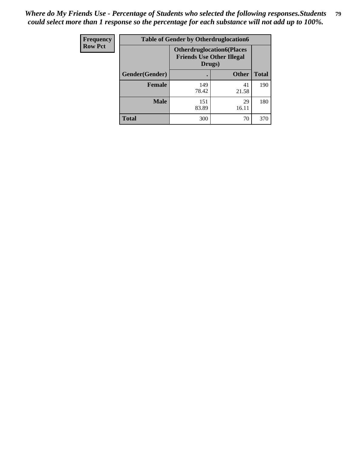| <b>Frequency</b> | <b>Table of Gender by Otherdruglocation6</b> |                                                                                |              |              |
|------------------|----------------------------------------------|--------------------------------------------------------------------------------|--------------|--------------|
| <b>Row Pct</b>   |                                              | <b>Otherdruglocation6(Places</b><br><b>Friends Use Other Illegal</b><br>Drugs) |              |              |
|                  | Gender(Gender)                               |                                                                                | <b>Other</b> | <b>Total</b> |
|                  | Female                                       | 149<br>78.42                                                                   | 41<br>21.58  | 190          |
|                  | <b>Male</b>                                  | 151<br>83.89                                                                   | 29<br>16.11  | 180          |
|                  | <b>Total</b>                                 | 300                                                                            | 70           | 370          |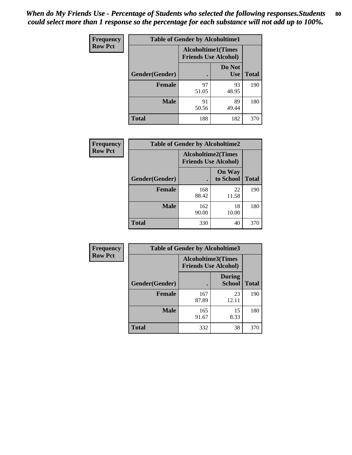| <b>Frequency</b> | <b>Table of Gender by Alcoholtime1</b> |                                                          |                      |              |
|------------------|----------------------------------------|----------------------------------------------------------|----------------------|--------------|
| <b>Row Pct</b>   |                                        | <b>Alcoholtime1(Times</b><br><b>Friends Use Alcohol)</b> |                      |              |
|                  | Gender(Gender)                         | $\bullet$                                                | Do Not<br><b>Use</b> | <b>Total</b> |
|                  | <b>Female</b>                          | 97<br>51.05                                              | 93<br>48.95          | 190          |
|                  | <b>Male</b>                            | 91<br>50.56                                              | 89<br>49.44          | 180          |
|                  | <b>Total</b>                           | 188                                                      | 182                  | 370          |

| <b>Frequency</b> | <b>Table of Gender by Alcoholtime2</b> |                                                          |                            |              |
|------------------|----------------------------------------|----------------------------------------------------------|----------------------------|--------------|
| <b>Row Pct</b>   |                                        | <b>Alcoholtime2(Times</b><br><b>Friends Use Alcohol)</b> |                            |              |
|                  | Gender(Gender)                         |                                                          | <b>On Way</b><br>to School | <b>Total</b> |
|                  | <b>Female</b>                          | 168<br>88.42                                             | 22<br>11.58                | 190          |
|                  | <b>Male</b>                            | 162<br>90.00                                             | 18<br>10.00                | 180          |
|                  | <b>Total</b>                           | 330                                                      | 40                         | 370          |

| Frequency      | <b>Table of Gender by Alcoholtime3</b> |                                                          |                                |              |  |
|----------------|----------------------------------------|----------------------------------------------------------|--------------------------------|--------------|--|
| <b>Row Pct</b> |                                        | <b>Alcoholtime3(Times</b><br><b>Friends Use Alcohol)</b> |                                |              |  |
|                | Gender(Gender)                         |                                                          | <b>During</b><br><b>School</b> | <b>Total</b> |  |
|                | Female                                 | 167<br>87.89                                             | 23<br>12.11                    | 190          |  |
|                | <b>Male</b>                            | 165<br>91.67                                             | 15<br>8.33                     | 180          |  |
|                | <b>Total</b>                           | 332                                                      | 38                             | 370          |  |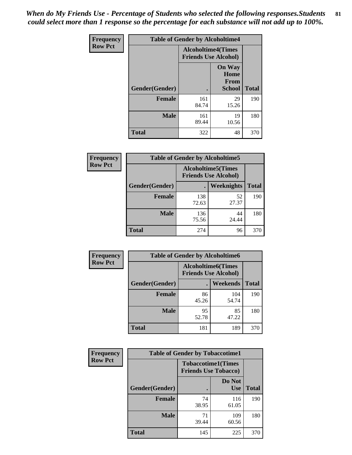*When do My Friends Use - Percentage of Students who selected the following responses.Students could select more than 1 response so the percentage for each substance will not add up to 100%.* **81**

| <b>Frequency</b> | <b>Table of Gender by Alcoholtime4</b> |                                                          |                                                |              |
|------------------|----------------------------------------|----------------------------------------------------------|------------------------------------------------|--------------|
| <b>Row Pct</b>   |                                        | <b>Alcoholtime4(Times</b><br><b>Friends Use Alcohol)</b> |                                                |              |
|                  | Gender(Gender)                         |                                                          | <b>On Way</b><br>Home<br>From<br><b>School</b> | <b>Total</b> |
|                  | <b>Female</b>                          | 161<br>84.74                                             | 29<br>15.26                                    | 190          |
|                  | <b>Male</b>                            | 161<br>89.44                                             | 19<br>10.56                                    | 180          |
|                  | <b>Total</b>                           | 322                                                      | 48                                             | 370          |

| <b>Frequency</b> | <b>Table of Gender by Alcoholtime5</b> |                                                           |             |              |  |
|------------------|----------------------------------------|-----------------------------------------------------------|-------------|--------------|--|
| <b>Row Pct</b>   |                                        | <b>Alcoholtime5</b> (Times<br><b>Friends Use Alcohol)</b> |             |              |  |
|                  | Gender(Gender)                         |                                                           | Weeknights  | <b>Total</b> |  |
|                  | <b>Female</b>                          | 138<br>72.63                                              | 52<br>27.37 | 190          |  |
|                  | <b>Male</b>                            | 136<br>75.56                                              | 44<br>24.44 | 180          |  |
|                  | <b>Total</b>                           | 274                                                       | 96          | 370          |  |

| <b>Frequency</b> |                | <b>Table of Gender by Alcoholtime6</b> |                                                          |              |
|------------------|----------------|----------------------------------------|----------------------------------------------------------|--------------|
| <b>Row Pct</b>   |                |                                        | <b>Alcoholtime6(Times</b><br><b>Friends Use Alcohol)</b> |              |
|                  | Gender(Gender) |                                        | Weekends                                                 | <b>Total</b> |
|                  | Female         | 86<br>45.26                            | 104<br>54.74                                             | 190          |
|                  | <b>Male</b>    | 95<br>52.78                            | 85<br>47.22                                              | 180          |
|                  | <b>Total</b>   | 181                                    | 189                                                      | 370          |

| Frequency      | <b>Table of Gender by Tobaccotime1</b> |                                                          |                      |              |  |
|----------------|----------------------------------------|----------------------------------------------------------|----------------------|--------------|--|
| <b>Row Pct</b> |                                        | <b>Tobaccotime1(Times</b><br><b>Friends Use Tobacco)</b> |                      |              |  |
|                | Gender(Gender)                         |                                                          | Do Not<br><b>Use</b> | <b>Total</b> |  |
|                | <b>Female</b>                          | 74<br>38.95                                              | 116<br>61.05         | 190          |  |
|                | <b>Male</b>                            | 71<br>39.44                                              | 109<br>60.56         | 180          |  |
|                | <b>Total</b>                           | 145                                                      | 225                  | 370          |  |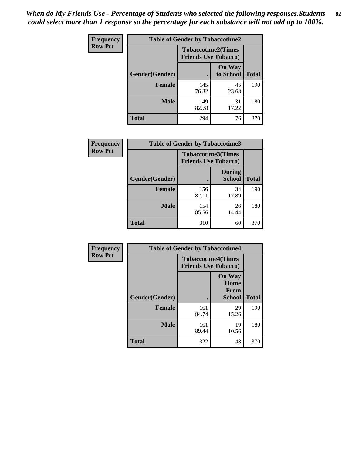*When do My Friends Use - Percentage of Students who selected the following responses.Students could select more than 1 response so the percentage for each substance will not add up to 100%.* **82**

| Frequency      | <b>Table of Gender by Tobaccotime2</b> |                                                          |                            |              |
|----------------|----------------------------------------|----------------------------------------------------------|----------------------------|--------------|
| <b>Row Pct</b> |                                        | <b>Tobaccotime2(Times</b><br><b>Friends Use Tobacco)</b> |                            |              |
|                | Gender(Gender)                         | $\bullet$                                                | <b>On Way</b><br>to School | <b>Total</b> |
|                | <b>Female</b>                          | 145<br>76.32                                             | 45<br>23.68                | 190          |
|                | <b>Male</b>                            | 149<br>82.78                                             | 31<br>17.22                | 180          |
|                | <b>Total</b>                           | 294                                                      | 76                         | 370          |

| Frequency      | <b>Table of Gender by Tobaccotime3</b> |                                                          |                                |              |
|----------------|----------------------------------------|----------------------------------------------------------|--------------------------------|--------------|
| <b>Row Pct</b> |                                        | <b>Tobaccotime3(Times</b><br><b>Friends Use Tobacco)</b> |                                |              |
|                | Gender(Gender)                         |                                                          | <b>During</b><br><b>School</b> | <b>Total</b> |
|                | Female                                 | 156<br>82.11                                             | 34<br>17.89                    | 190          |
|                | <b>Male</b>                            | 154<br>85.56                                             | 26<br>14.44                    | 180          |
|                | <b>Total</b>                           | 310                                                      | 60                             | 370          |

| Frequency      | <b>Table of Gender by Tobaccotime4</b> |                                                          |                                                       |              |
|----------------|----------------------------------------|----------------------------------------------------------|-------------------------------------------------------|--------------|
| <b>Row Pct</b> |                                        | <b>Tobaccotime4(Times</b><br><b>Friends Use Tobacco)</b> |                                                       |              |
|                | Gender(Gender)                         |                                                          | <b>On Way</b><br>Home<br><b>From</b><br><b>School</b> | <b>Total</b> |
|                | <b>Female</b>                          | 161<br>84.74                                             | 29<br>15.26                                           | 190          |
|                | <b>Male</b>                            | 161<br>89.44                                             | 19<br>10.56                                           | 180          |
|                | <b>Total</b>                           | 322                                                      | 48                                                    | 370          |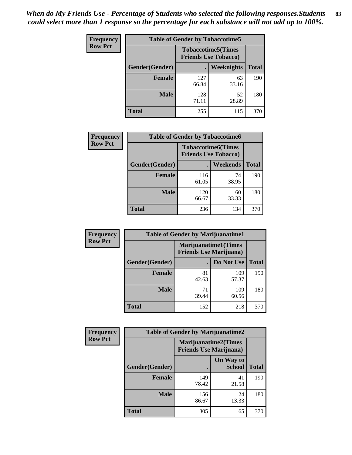| <b>Frequency</b> | <b>Table of Gender by Tobaccotime5</b> |              |                                                          |              |  |
|------------------|----------------------------------------|--------------|----------------------------------------------------------|--------------|--|
| <b>Row Pct</b>   |                                        |              | <b>Tobaccotime5(Times</b><br><b>Friends Use Tobacco)</b> |              |  |
|                  | <b>Gender</b> (Gender)                 |              | <b>Weeknights</b>                                        | <b>Total</b> |  |
|                  | Female                                 | 127<br>66.84 | 63<br>33.16                                              | 190          |  |
|                  | <b>Male</b>                            | 128<br>71.11 | 52<br>28.89                                              | 180          |  |
|                  | Total                                  | 255          | 115                                                      | 370          |  |

| <b>Frequency</b> | <b>Table of Gender by Tobaccotime6</b> |                                                          |             |              |  |
|------------------|----------------------------------------|----------------------------------------------------------|-------------|--------------|--|
| <b>Row Pct</b>   |                                        | <b>Tobaccotime6(Times</b><br><b>Friends Use Tobacco)</b> |             |              |  |
|                  | Gender(Gender)                         |                                                          | Weekends    | <b>Total</b> |  |
|                  | Female                                 | 116<br>61.05                                             | 74<br>38.95 | 190          |  |
|                  | <b>Male</b>                            | 120<br>66.67                                             | 60<br>33.33 | 180          |  |
|                  | <b>Total</b>                           | 236                                                      | 134         | 370          |  |

| Frequency      | <b>Table of Gender by Marijuanatime1</b> |                                |                              |              |  |
|----------------|------------------------------------------|--------------------------------|------------------------------|--------------|--|
| <b>Row Pct</b> |                                          | <b>Friends Use Marijuana</b> ) | <b>Marijuanatime1</b> (Times |              |  |
|                | Gender(Gender)                           |                                | Do Not Use                   | <b>Total</b> |  |
|                | <b>Female</b>                            | 81<br>42.63                    | 109<br>57.37                 | 190          |  |
|                | <b>Male</b>                              | 71<br>39.44                    | 109<br>60.56                 | 180          |  |
|                | <b>Total</b>                             | 152                            | 218                          | 370          |  |

| <b>Frequency</b> | <b>Table of Gender by Marijuanatime2</b> |              |                                                               |              |
|------------------|------------------------------------------|--------------|---------------------------------------------------------------|--------------|
| <b>Row Pct</b>   |                                          |              | <b>Marijuanatime2(Times</b><br><b>Friends Use Marijuana</b> ) |              |
|                  | Gender(Gender)                           |              | On Way to<br><b>School</b>                                    | <b>Total</b> |
|                  | <b>Female</b>                            | 149<br>78.42 | 41<br>21.58                                                   | 190          |
|                  | <b>Male</b>                              | 156<br>86.67 | 24<br>13.33                                                   | 180          |
|                  | <b>Total</b>                             | 305          | 65                                                            | 370          |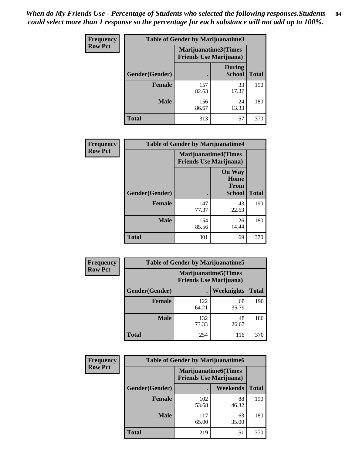| Frequency      | <b>Table of Gender by Marijuanatime3</b> |                                                        |                                |              |
|----------------|------------------------------------------|--------------------------------------------------------|--------------------------------|--------------|
| <b>Row Pct</b> |                                          | Marijuanatime3(Times<br><b>Friends Use Marijuana</b> ) |                                |              |
|                | Gender(Gender)                           |                                                        | <b>During</b><br><b>School</b> | <b>Total</b> |
|                | <b>Female</b>                            | 157<br>82.63                                           | 33<br>17.37                    | 190          |
|                | <b>Male</b>                              | 156<br>86.67                                           | 24<br>13.33                    | 180          |
|                | <b>Total</b>                             | 313                                                    | 57                             | 370          |

| Frequency      | <b>Table of Gender by Marijuanatime4</b> |                                                               |                                                |              |
|----------------|------------------------------------------|---------------------------------------------------------------|------------------------------------------------|--------------|
| <b>Row Pct</b> |                                          | <b>Marijuanatime4(Times</b><br><b>Friends Use Marijuana</b> ) |                                                |              |
|                | Gender(Gender)                           |                                                               | <b>On Way</b><br>Home<br>From<br><b>School</b> | <b>Total</b> |
|                | <b>Female</b>                            | 147<br>77.37                                                  | 43<br>22.63                                    | 190          |
|                | <b>Male</b>                              | 154<br>85.56                                                  | 26<br>14.44                                    | 180          |
|                | <b>Total</b>                             | 301                                                           | 69                                             | 370          |

| Frequency      | <b>Table of Gender by Marijuanatime5</b> |                                                                |             |              |  |
|----------------|------------------------------------------|----------------------------------------------------------------|-------------|--------------|--|
| <b>Row Pct</b> |                                          | <b>Marijuanatime5</b> (Times<br><b>Friends Use Marijuana</b> ) |             |              |  |
|                | Gender(Gender)                           | ٠                                                              | Weeknights  | <b>Total</b> |  |
|                | <b>Female</b>                            | 122<br>64.21                                                   | 68<br>35.79 | 190          |  |
|                | <b>Male</b>                              | 132<br>73.33                                                   | 48<br>26.67 | 180          |  |
|                | <b>Total</b>                             | 254                                                            | 116         | 370          |  |

| Frequency      | <b>Table of Gender by Marijuanatime6</b> |                                                               |                 |              |  |
|----------------|------------------------------------------|---------------------------------------------------------------|-----------------|--------------|--|
| <b>Row Pct</b> |                                          | <b>Marijuanatime6(Times</b><br><b>Friends Use Marijuana</b> ) |                 |              |  |
|                | Gender(Gender)                           |                                                               | <b>Weekends</b> | <b>Total</b> |  |
|                | <b>Female</b>                            | 102<br>53.68                                                  | 88<br>46.32     | 190          |  |
|                | <b>Male</b>                              | 117<br>65.00                                                  | 63<br>35.00     | 180          |  |
|                | <b>Total</b>                             | 219                                                           | 151             | 370          |  |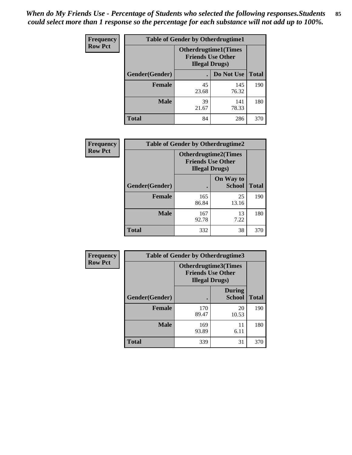*When do My Friends Use - Percentage of Students who selected the following responses.Students could select more than 1 response so the percentage for each substance will not add up to 100%.* **85**

| <b>Frequency</b> | <b>Table of Gender by Otherdrugtime1</b> |                        |                                                          |              |
|------------------|------------------------------------------|------------------------|----------------------------------------------------------|--------------|
| <b>Row Pct</b>   |                                          | <b>Illegal Drugs</b> ) | <b>Otherdrugtime1</b> (Times<br><b>Friends Use Other</b> |              |
|                  | Gender(Gender)                           |                        | Do Not Use                                               | <b>Total</b> |
|                  | <b>Female</b>                            | 45<br>23.68            | 145<br>76.32                                             | 190          |
|                  | <b>Male</b>                              | 39<br>21.67            | 141<br>78.33                                             | 180          |
|                  | <b>Total</b>                             | 84                     | 286                                                      | 370          |

| Frequency      | <b>Table of Gender by Otherdrugtime2</b> |                                                                                   |                            |              |  |
|----------------|------------------------------------------|-----------------------------------------------------------------------------------|----------------------------|--------------|--|
| <b>Row Pct</b> |                                          | <b>Otherdrugtime2(Times</b><br><b>Friends Use Other</b><br><b>Illegal Drugs</b> ) |                            |              |  |
|                | Gender(Gender)                           |                                                                                   | On Way to<br><b>School</b> | <b>Total</b> |  |
|                | <b>Female</b>                            | 165<br>86.84                                                                      | 25<br>13.16                | 190          |  |
|                | <b>Male</b>                              | 167<br>92.78                                                                      | 13<br>7.22                 | 180          |  |
|                | <b>Total</b>                             | 332                                                                               | 38                         | 370          |  |

| Frequency      | <b>Table of Gender by Otherdrugtime3</b> |                                                    |                                |              |
|----------------|------------------------------------------|----------------------------------------------------|--------------------------------|--------------|
| <b>Row Pct</b> |                                          | <b>Friends Use Other</b><br><b>Illegal Drugs</b> ) | Otherdrugtime3(Times           |              |
|                | Gender(Gender)                           |                                                    | <b>During</b><br><b>School</b> | <b>Total</b> |
|                | <b>Female</b>                            | 170<br>89.47                                       | 20<br>10.53                    | 190          |
|                | <b>Male</b>                              | 169<br>93.89                                       | 11<br>6.11                     | 180          |
|                | <b>Total</b>                             | 339                                                | 31                             | 370          |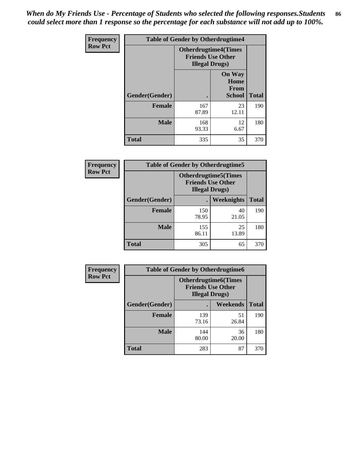*When do My Friends Use - Percentage of Students who selected the following responses.Students could select more than 1 response so the percentage for each substance will not add up to 100%.* **86**

| <b>Frequency</b> | <b>Table of Gender by Otherdrugtime4</b> |                                                                                   |                                                |              |
|------------------|------------------------------------------|-----------------------------------------------------------------------------------|------------------------------------------------|--------------|
| <b>Row Pct</b>   |                                          | <b>Otherdrugtime4(Times</b><br><b>Friends Use Other</b><br><b>Illegal Drugs</b> ) |                                                |              |
|                  | Gender(Gender)                           |                                                                                   | <b>On Way</b><br>Home<br>From<br><b>School</b> | <b>Total</b> |
|                  | <b>Female</b>                            | 167<br>87.89                                                                      | 23<br>12.11                                    | 190          |
|                  | <b>Male</b>                              | 168<br>93.33                                                                      | 12<br>6.67                                     | 180          |
|                  | <b>Total</b>                             | 335                                                                               | 35                                             | 370          |

| Frequency      | <b>Table of Gender by Otherdrugtime5</b> |                                                                                    |             |              |
|----------------|------------------------------------------|------------------------------------------------------------------------------------|-------------|--------------|
| <b>Row Pct</b> |                                          | <b>Otherdrugtime5</b> (Times<br><b>Friends Use Other</b><br><b>Illegal Drugs</b> ) |             |              |
|                | Gender(Gender)                           |                                                                                    | Weeknights  | <b>Total</b> |
|                | Female                                   | 150<br>78.95                                                                       | 40<br>21.05 | 190          |
|                | <b>Male</b>                              | 155<br>86.11                                                                       | 25<br>13.89 | 180          |
|                | <b>Total</b>                             | 305                                                                                | 65          | 370          |

| <b>Frequency</b> | <b>Table of Gender by Otherdrugtime6</b> |                                                                                   |             |              |
|------------------|------------------------------------------|-----------------------------------------------------------------------------------|-------------|--------------|
| <b>Row Pct</b>   |                                          | <b>Otherdrugtime6(Times</b><br><b>Friends Use Other</b><br><b>Illegal Drugs</b> ) |             |              |
|                  | Gender(Gender)                           |                                                                                   | Weekends    | <b>Total</b> |
|                  | <b>Female</b>                            | 139<br>73.16                                                                      | 51<br>26.84 | 190          |
|                  | <b>Male</b>                              | 144<br>80.00                                                                      | 36<br>20.00 | 180          |
|                  | <b>Total</b>                             | 283                                                                               | 87          | 370          |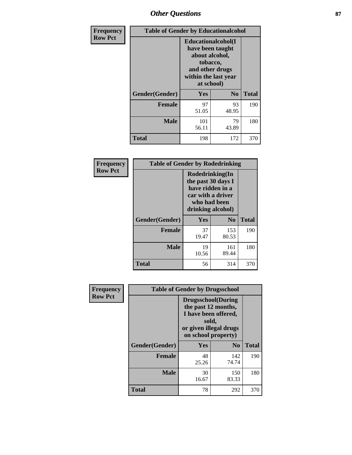# *Other Questions* **87**

| <b>Frequency</b> | <b>Table of Gender by Educationalcohol</b> |                                                                                                                                       |                |              |  |
|------------------|--------------------------------------------|---------------------------------------------------------------------------------------------------------------------------------------|----------------|--------------|--|
| <b>Row Pct</b>   |                                            | <b>Educationalcohol</b> (I<br>have been taught<br>about alcohol,<br>tobacco,<br>and other drugs<br>within the last year<br>at school) |                |              |  |
|                  | Gender(Gender)                             | <b>Yes</b>                                                                                                                            | N <sub>0</sub> | <b>Total</b> |  |
|                  | <b>Female</b>                              | 97<br>51.05                                                                                                                           | 93<br>48.95    | 190          |  |
|                  | <b>Male</b>                                | 101<br>56.11                                                                                                                          | 79<br>43.89    | 180          |  |
|                  | <b>Total</b>                               | 198                                                                                                                                   | 172            | 370          |  |

| Frequency      | <b>Table of Gender by Rodedrinking</b> |                                                                                                                     |                |              |  |
|----------------|----------------------------------------|---------------------------------------------------------------------------------------------------------------------|----------------|--------------|--|
| <b>Row Pct</b> |                                        | Rodedrinking(In<br>the past 30 days I<br>have ridden in a<br>car with a driver<br>who had been<br>drinking alcohol) |                |              |  |
|                | Gender(Gender)                         | Yes                                                                                                                 | N <sub>0</sub> | <b>Total</b> |  |
|                | <b>Female</b>                          | 37<br>19.47                                                                                                         | 153<br>80.53   | 190          |  |
|                | <b>Male</b>                            | 19<br>10.56                                                                                                         | 161<br>89.44   | 180          |  |
|                | <b>Total</b>                           | 56                                                                                                                  | 314            | 370          |  |

| Frequency      | <b>Table of Gender by Drugsschool</b> |                                                                                                                                     |                |              |  |
|----------------|---------------------------------------|-------------------------------------------------------------------------------------------------------------------------------------|----------------|--------------|--|
| <b>Row Pct</b> |                                       | <b>Drugsschool</b> (During<br>the past 12 months,<br>I have been offered,<br>sold,<br>or given illegal drugs<br>on school property) |                |              |  |
|                | Gender(Gender)                        | Yes                                                                                                                                 | N <sub>0</sub> | <b>Total</b> |  |
|                | <b>Female</b>                         | 48<br>25.26                                                                                                                         | 142<br>74.74   | 190          |  |
|                | <b>Male</b>                           | 30<br>16.67                                                                                                                         | 150<br>83.33   | 180          |  |
|                | <b>Total</b>                          | 78                                                                                                                                  | 292            | 370          |  |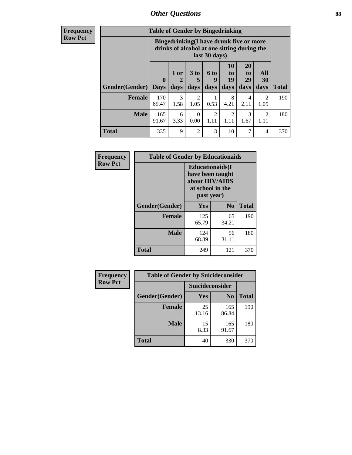# *Other Questions* **88**

**Frequency Row Pct**

| <b>Table of Gender by Bingedrinking</b> |                            |                                                                                                         |                   |                        |                        |                               |                          |              |
|-----------------------------------------|----------------------------|---------------------------------------------------------------------------------------------------------|-------------------|------------------------|------------------------|-------------------------------|--------------------------|--------------|
|                                         |                            | Bingedrinking(I have drunk five or more<br>drinks of alcohol at one sitting during the<br>last 30 days) |                   |                        |                        |                               |                          |              |
| <b>Gender</b> (Gender)                  | $\mathbf 0$<br><b>Days</b> | 1 or<br>days                                                                                            | 3 to<br>5<br>days | 6 to<br>q<br>days      | 10<br>to<br>19<br>days | <b>20</b><br>to<br>29<br>days | All<br><b>30</b><br>days | <b>Total</b> |
|                                         |                            |                                                                                                         |                   |                        |                        |                               |                          |              |
| <b>Female</b>                           | 170<br>89.47               | 3<br>1.58                                                                                               | 2<br>1.05         | 0.53                   | 8<br>4.21              | 4<br>2.11                     | $\mathfrak{D}$<br>1.05   | 190          |
| <b>Male</b>                             | 165<br>91.67               | 6<br>3.33                                                                                               | 0<br>0.00         | $\mathfrak{D}$<br>1.11 | 2<br>1.11              | 3<br>1.67                     | $\mathcal{D}$<br>1.11    | 180          |

| Frequency      | <b>Table of Gender by Educationaids</b> |                                                                                                 |             |              |  |
|----------------|-----------------------------------------|-------------------------------------------------------------------------------------------------|-------------|--------------|--|
| <b>Row Pct</b> |                                         | <b>Educationaids</b> (I<br>have been taught<br>about HIV/AIDS<br>at school in the<br>past year) |             |              |  |
|                | Gender(Gender)                          | Yes                                                                                             | $\bf N_0$   | <b>Total</b> |  |
|                | <b>Female</b>                           | 125<br>65.79                                                                                    | 65<br>34.21 | 190          |  |
|                | <b>Male</b>                             | 124<br>68.89                                                                                    | 56<br>31.11 | 180          |  |
|                | <b>Total</b>                            | 249                                                                                             | 121         | 370          |  |

| <b>Frequency</b> | <b>Table of Gender by Suicideconsider</b> |                 |                |              |  |
|------------------|-------------------------------------------|-----------------|----------------|--------------|--|
| <b>Row Pct</b>   |                                           | Suicideconsider |                |              |  |
|                  | Gender(Gender)                            | Yes             | N <sub>0</sub> | <b>Total</b> |  |
|                  | <b>Female</b>                             | 25<br>13.16     | 165<br>86.84   | 190          |  |
|                  | <b>Male</b>                               | 15<br>8.33      | 165<br>91.67   | 180          |  |
|                  | Total                                     | 40              | 330            | 370          |  |